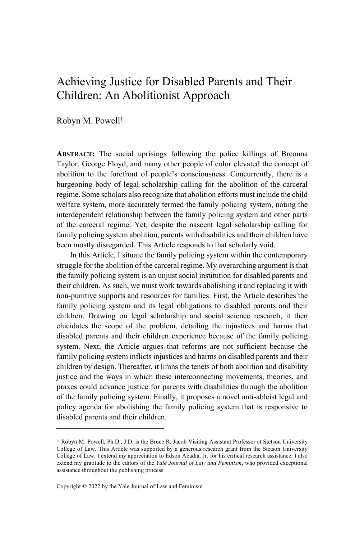# Achieving Justice for Disabled Parents and Their Children: An Abolitionist Approach

Robyn M. Powell†

**ABSTRACT:** The social uprisings following the police killings of Breonna Taylor, George Floyd, and many other people of color elevated the concept of abolition to the forefront of people's consciousness. Concurrently, there is a burgeoning body of legal scholarship calling for the abolition of the carceral regime. Some scholars also recognize that abolition efforts must include the child welfare system, more accurately termed the family policing system, noting the interdependent relationship between the family policing system and other parts of the carceral regime. Yet, despite the nascent legal scholarship calling for family policing system abolition, parents with disabilities and their children have been mostly disregarded. This Article responds to that scholarly void.

In this Article, I situate the family policing system within the contemporary struggle for the abolition of the carceral regime. My overarching argument is that the family policing system is an unjust social institution for disabled parents and their children. As such, we must work towards abolishing it and replacing it with non-punitive supports and resources for families. First, the Article describes the family policing system and its legal obligations to disabled parents and their children. Drawing on legal scholarship and social science research, it then elucidates the scope of the problem, detailing the injustices and harms that disabled parents and their children experience because of the family policing system. Next, the Article argues that reforms are not sufficient because the family policing system inflicts injustices and harms on disabled parents and their children by design. Thereafter, it limns the tenets of both abolition and disability justice and the ways in which these interconnecting movements, theories, and praxes could advance justice for parents with disabilities through the abolition of the family policing system. Finally, it proposes a novel anti-ableist legal and policy agenda for abolishing the family policing system that is responsive to disabled parents and their children.

<sup>†</sup> Robyn M. Powell, Ph.D., J.D. is the Bruce R. Jacob Visiting Assistant Professor at Stetson University College of Law. This Article was supported by a generous research grant from the Stetson University College of Law. I extend my appreciation to Edson Abadia, Jr. for his critical research assistance. I also extend my gratitude to the editors of the *Yale Journal of Law and Feminism*, who provided exceptional assistance throughout the publishing process.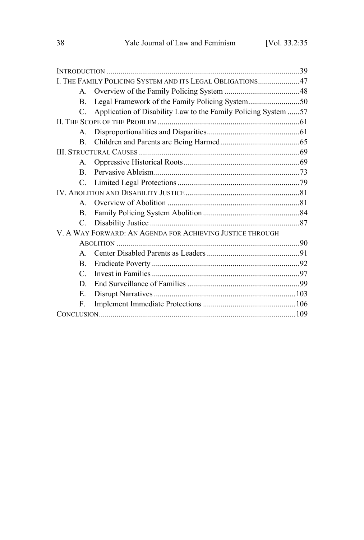| I. THE FAMILY POLICING SYSTEM AND ITS LEGAL OBLIGATIONS47 |                                                                |  |
|-----------------------------------------------------------|----------------------------------------------------------------|--|
| $A_{\cdot}$                                               |                                                                |  |
| B.                                                        | Legal Framework of the Family Policing System50                |  |
| C.                                                        | Application of Disability Law to the Family Policing System 57 |  |
|                                                           |                                                                |  |
| $A_{-}$                                                   |                                                                |  |
| $\mathbf{B}$ .                                            |                                                                |  |
|                                                           |                                                                |  |
| $A_{-}$                                                   |                                                                |  |
| B.                                                        |                                                                |  |
| C.                                                        |                                                                |  |
|                                                           |                                                                |  |
| $\mathbf{A}$                                              |                                                                |  |
| $\mathbf{B}$ .                                            |                                                                |  |
| $C_{\cdot}$                                               |                                                                |  |
| V. A WAY FORWARD: AN AGENDA FOR ACHIEVING JUSTICE THROUGH |                                                                |  |
|                                                           |                                                                |  |
| $\mathbf{A}$                                              |                                                                |  |
| $\mathbf{B}$ .                                            |                                                                |  |
| $\mathcal{C}$                                             |                                                                |  |
| D.                                                        |                                                                |  |
| E.                                                        |                                                                |  |
| F.                                                        |                                                                |  |
|                                                           |                                                                |  |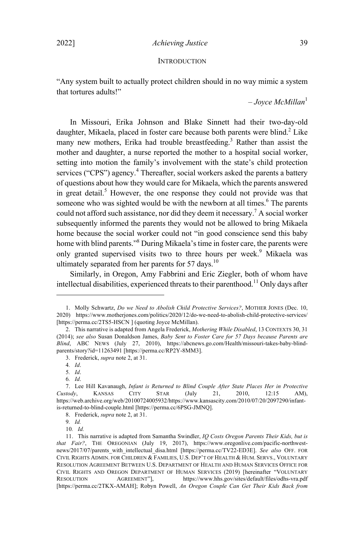#### **INTRODUCTION**

"Any system built to actually protect children should in no way mimic a system that tortures adults!"

– *Joyce McMillan* 1

In Missouri, Erika Johnson and Blake Sinnett had their two-day-old daughter, Mikaela, placed in foster care because both parents were blind.<sup>2</sup> Like many new mothers, Erika had trouble breastfeeding.<sup>3</sup> Rather than assist the mother and daughter, a nurse reported the mother to a hospital social worker, setting into motion the family's involvement with the state's child protection services ("CPS") agency.<sup>4</sup> Thereafter, social workers asked the parents a battery of questions about how they would care for Mikaela, which the parents answered in great detail.<sup>5</sup> However, the one response they could not provide was that someone who was sighted would be with the newborn at all times.<sup>6</sup> The parents could not afford such assistance, nor did they deem it necessary.<sup>7</sup> <sup>A</sup> social worker subsequently informed the parents they would not be allowed to bring Mikaela home because the social worker could not "in good conscience send this baby home with blind parents."<sup>8</sup> During Mikaela's time in foster care, the parents were only granted supervised visits two to three hours per week.<sup>9</sup> Mikaela was ultimately separated from her parents for 57 days.<sup>10</sup>

Similarly, in Oregon, Amy Fabbrini and Eric Ziegler, both of whom have intellectual disabilities, experienced threats to their parenthood.<sup>11</sup> Only days after

<sup>1.</sup> Molly Schwartz, *Do we Need to Abolish Child Protective Services?*, MOTHER JONES (Dec. 10, 2020) https://www.motherjones.com/politics/2020/12/do-we-need-to-abolish-child-protective-services/ [https://perma.cc/2TS5-HSCN ] (quoting Joyce McMillan).

<sup>2.</sup> This narrative is adapted from Angela Frederick, *Mothering While Disabled*, 13 CONTEXTS 30, 31 (2014); *see also* Susan Donaldson James, *Baby Sent to Foster Care for 57 Days because Parents are Blind*, ABC NEWS (July 27, 2010), https://abcnews.go.com/Health/missouri-takes-baby-blindparents/story?id=11263491 [https://perma.cc/RP2Y-8MM3].

<sup>3.</sup> Frederick, *supra* note 2, at 31.

<sup>4</sup>*. Id*.

<sup>5</sup>*. Id*. 6*. Id*.

<sup>7.</sup> Lee Hill Kavanaugh, *Infant is Returned to Blind Couple After State Places Her in Protective Custody*, KANSAS CITY STAR (July 21, 2010, 12:15 AM), https://web.archive.org/web/20100724005932/https://www.kansascity.com/2010/07/20/2097290/infantis-returned-to-blind-couple.html [https://perma.cc/6PSG-JMNQ].

<sup>8.</sup> Frederick, *supra* note 2, at 31.

<sup>9</sup>*. Id.*

<sup>10</sup>*. Id.*

<sup>11.</sup> This narrative is adapted from Samantha Swindler, *IQ Costs Oregon Parents Their Kids, but is that Fair?*, THE OREGONIAN (July 19, 2017), https://www.oregonlive.com/pacific-northwestnews/2017/07/parents\_with\_intellectual\_disa.html [https://perma.cc/TV22-ED3E]. *See also* OFF. FOR CIVIL RIGHTS ADMIN. FOR CHILDREN & FAMILIES, U.S. DEP'T OF HEALTH & HUM. SERVS., VOLUNTARY RESOLUTION AGREEMENT BETWEEN U.S. DEPARTMENT OF HEALTH AND HUMAN SERVICES OFFICE FOR CIVIL RIGHTS AND OREGON DEPARTMENT OF HUMAN SERVICES (2019) [hereinafter "VOLUNTARY RESOLUTION AGREEMENT"], https://www.hhs.gov/sites/default/files/odhs-vra.pdf [https://perma.cc/2TKX-AMAH]; Robyn Powell, *An Oregon Couple Can Get Their Kids Back from*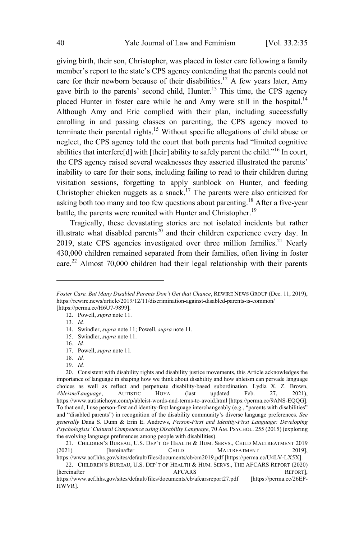giving birth, their son, Christopher, was placed in foster care following a family member's report to the state's CPS agency contending that the parents could not care for their newborn because of their disabilities.<sup>12</sup> A few years later, Amy gave birth to the parents' second child, Hunter.<sup>13</sup> This time, the CPS agency placed Hunter in foster care while he and Amy were still in the hospital.<sup>14</sup> Although Amy and Eric complied with their plan, including successfully enrolling in and passing classes on parenting, the CPS agency moved to terminate their parental rights.<sup>15</sup> Without specific allegations of child abuse or neglect, the CPS agency told the court that both parents had "limited cognitive abilities that interfere<sup>[d]</sup> with [their] ability to safely parent the child."<sup>16</sup> In court, the CPS agency raised several weaknesses they asserted illustrated the parents' inability to care for their sons, including failing to read to their children during visitation sessions, forgetting to apply sunblock on Hunter, and feeding Christopher chicken nuggets as a snack.<sup>17</sup> The parents were also criticized for asking both too many and too few questions about parenting.<sup>18</sup> After a five-year battle, the parents were reunited with Hunter and Christopher.<sup>19</sup>

Tragically, these devastating stories are not isolated incidents but rather illustrate what disabled parents<sup>20</sup> and their children experience every day. In 2019, state CPS agencies investigated over three million families.<sup>21</sup> Nearly 430,000 children remained separated from their families, often living in foster care.<sup>22</sup> Almost 70,000 children had their legal relationship with their parents

*Foster Care. But Many Disabled Parents Don't Get that Chance*, REWIRE NEWS GROUP (Dec. 11, 2019), https://rewire.news/article/2019/12/11/discrimination-against-disabled-parents-is-common/ [https://perma.cc/H6U7-9899].

<sup>12.</sup> Powell, *supra* note 11.

<sup>13</sup>*. Id.*

<sup>14.</sup> Swindler, *supra* note 11; Powell, *supra* note 11.

<sup>15.</sup> Swindler, *supra* note 11.

<sup>16</sup>*. Id.*

<sup>17.</sup> Powell, *supra* note 11*.*

<sup>18</sup>*. Id.*

<sup>19</sup>*. Id.*

<sup>20.</sup> Consistent with disability rights and disability justice movements, this Article acknowledges the importance of language in shaping how we think about disability and how ableism can pervade language choices as well as reflect and perpetuate disability-based subordination. Lydia X. Z. Brown, *Ableism/Language*, AUTISTIC HOYA (last updated Feb. 27, 2021), https://www.autistichoya.com/p/ableist-words-and-terms-to-avoid.html [https://perma.cc/9ANS-EQQG]. To that end, I use person-first and identity-first language interchangeably (e.g., "parents with disabilities" and "disabled parents") in recognition of the disability community's diverse language preferences. *See generally* Dana S. Dunn & Erin E. Andrews, *Person-First and Identity-First Language: Developing Psychologists' Cultural Competence using Disability Language*, 70 AM. PSYCHOL. 255 (2015) (exploring the evolving language preferences among people with disabilities).

<sup>21.</sup> CHILDREN'S BUREAU, U.S. DEP'T OF HEALTH & HUM. SERVS., CHILD MALTREATMENT 2019 (2021) [hereinafter CHILD MALTREATMENT 2019],

https://www.acf.hhs.gov/sites/default/files/documents/cb/cm2019.pdf [https://perma.cc/U4LV-LX5X]. 22. CHILDREN'S BUREAU, U.S. DEP'T OF HEALTH & HUM. SERVS., THE AFCARS REPORT (2020) [hereinafter **AFCARS** REPORT],

https://www.acf.hhs.gov/sites/default/files/documents/cb/afcarsreport27.pdf [https://perma.cc/26EP-HWVR].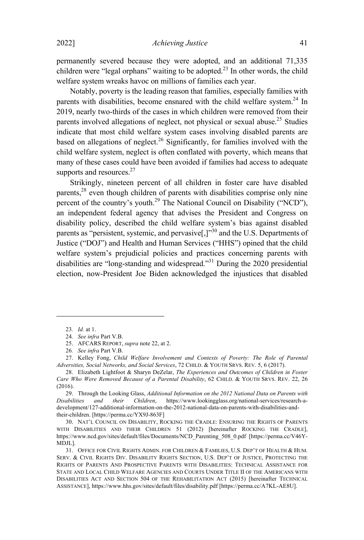permanently severed because they were adopted, and an additional 71,335 children were "legal orphans" waiting to be adopted.<sup>23</sup> In other words, the child welfare system wreaks havoc on millions of families each year.

Notably, poverty is the leading reason that families, especially families with parents with disabilities, become ensnared with the child welfare system. <sup>24</sup> In 2019, nearly two-thirds of the cases in which children were removed from their parents involved allegations of neglect, not physical or sexual abuse.<sup>25</sup> Studies indicate that most child welfare system cases involving disabled parents are based on allegations of neglect.<sup>26</sup> Significantly, for families involved with the child welfare system, neglect is often conflated with poverty, which means that many of these cases could have been avoided if families had access to adequate supports and resources.<sup>27</sup>

Strikingly, nineteen percent of all children in foster care have disabled parents,<sup>28</sup> even though children of parents with disabilities comprise only nine percent of the country's youth.<sup>29</sup> The National Council on Disability ("NCD"), an independent federal agency that advises the President and Congress on disability policy, described the child welfare system's bias against disabled parents as "persistent, systemic, and pervasive $\left[\cdot\right]^{30}$  and the U.S. Departments of Justice ("DOJ") and Health and Human Services ("HHS") opined that the child welfare system's prejudicial policies and practices concerning parents with disabilities are "long-standing and widespread." <sup>31</sup> During the <sup>2020</sup> presidential election, now-President Joe Biden acknowledged the injustices that disabled

30. NAT'L COUNCIL ON DISABILITY, ROCKING THE CRADLE: ENSURING THE RIGHTS OF PARENTS WITH DISABILITIES AND THEIR CHILDREN 51 (2012) [hereinafter ROCKING THE CRADLE], https://www.ncd.gov/sites/default/files/Documents/NCD\_Parenting\_508\_0.pdf [https://perma.cc/V46Y-MDJL].

31. OFFICE FOR CIVIL RIGHTS ADMIN. FOR CHILDREN & FAMILIES, U.S. DEP'T OF HEALTH & HUM. SERV. & CIVIL RIGHTS DIV. DISABILITY RIGHTS SECTION, U.S. DEP'T OF JUSTICE, PROTECTING THE RIGHTS OF PARENTS AND PROSPECTIVE PARENTS WITH DISABILITIES: TECHNICAL ASSISTANCE FOR STATE AND LOCAL CHILD WELFARE AGENCIES AND COURTS UNDER TITLE II OF THE AMERICANS WITH DISABILITIES ACT AND SECTION 504 OF THE REHABILITATION ACT (2015) [hereinafter TECHNICAL ASSISTANCE], https://www.hhs.gov/sites/default/files/disability.pdf [https://perma.cc/A7KL-AE8U].

<sup>23</sup>*. Id.* at 1.

<sup>24</sup>*. See infra* Part V.B.

<sup>25.</sup> AFCARS REPORT, *supra* note 22, at 2.

<sup>26</sup>*. See infra* Part V.B.

<sup>27.</sup> Kelley Fong, *Child Welfare Involvement and Contexts of Poverty: The Role of Parental Adversities, Social Networks, and Social Services*, 72 CHILD. & YOUTH SRVS. REV. 5, 6 (2017).

<sup>28.</sup> Elizabeth Lightfoot & Sharyn DeZelar, *The Experiences and Outcomes of Children in Foster Care Who Were Removed Because of a Parental Disability*, 62 CHILD. & YOUTH SRVS. REV. 22, 26 (2016).

<sup>29.</sup> Through the Looking Glass, *Additional Information on the 2012 National Data on Parents with Disabilities and their Children*, https://www.lookingglass.org/national-services/research-adevelopment/127-additional-information-on-the-2012-national-data-on-parents-with-disabilities-andtheir-children. [https://perma.cc/YX9J-863F]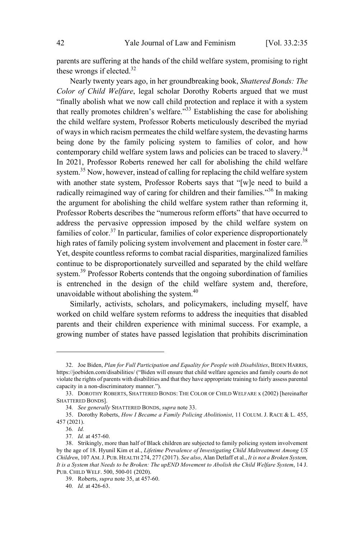parents are suffering at the hands of the child welfare system, promising to right these wrongs if elected.<sup>32</sup>

Nearly twenty years ago, in her groundbreaking book, *Shattered Bonds: The Color of Child Welfare*, legal scholar Dorothy Roberts argued that we must "finally abolish what we now call child protection and replace it with a system that really promotes children's welfare."<sup>33</sup> Establishing the case for abolishing the child welfare system, Professor Roberts meticulously described the myriad of ways in which racism permeates the child welfare system, the devasting harms being done by the family policing system to families of color, and how contemporary child welfare system laws and policies can be traced to slavery. 34 In 2021, Professor Roberts renewed her call for abolishing the child welfare system.<sup>35</sup> Now, however, instead of calling for replacing the child welfare system with another state system, Professor Roberts says that "[w]e need to build a radically reimagined way of caring for children and their families."<sup>36</sup> In making the argument for abolishing the child welfare system rather than reforming it, Professor Roberts describes the "numerous reform efforts" that have occurred to address the pervasive oppression imposed by the child welfare system on families of color. <sup>37</sup> In particular, families of color experience disproportionately high rates of family policing system involvement and placement in foster care.<sup>38</sup> Yet, despite countless reforms to combat racial disparities, marginalized families continue to be disproportionately surveilled and separated by the child welfare system.<sup>39</sup> Professor Roberts contends that the ongoing subordination of families is entrenched in the design of the child welfare system and, therefore, unavoidable without abolishing the system. 40

Similarly, activists, scholars, and policymakers, including myself, have worked on child welfare system reforms to address the inequities that disabled parents and their children experience with minimal success. For example, a growing number of states have passed legislation that prohibits discrimination

<sup>32.</sup> Joe Biden, *Plan for Full Participation and Equality for People with Disabilities*, BIDEN HARRIS, https://joebiden.com/disabilities/ ("Biden will ensure that child welfare agencies and family courts do not violate the rights of parents with disabilities and that they have appropriate training to fairly assess parental capacity in a non-discriminatory manner.").

<sup>33.</sup> DOROTHY ROBERTS, SHATTERED BONDS: THE COLOR OF CHILD WELFARE x (2002) [hereinafter SHATTERED BONDS].

<sup>34</sup>*. See generally* SHATTERED BONDS, *supra* note 33.

<sup>35.</sup> Dorothy Roberts, *How I Became a Family Policing Abolitionist*, 11 COLUM. J. RACE & L. 455, 457 (2021).

<sup>36</sup>*. Id.*

<sup>37</sup>*. Id.* at 457-60.

<sup>38.</sup> Strikingly, more than half of Black children are subjected to family policing system involvement by the age of 18. Hyunil Kim et al., *Lifetime Prevalence of Investigating Child Maltreatment Among US Children*, 107 AM.J. PUB. HEALTH 274, 277 (2017). *See also*, Alan Detlaff et al., *It is not a Broken System,* It is a System that Needs to be Broken: The upEND Movement to Abolish the Child Welfare System, 14 J. PUB. CHILD WELF. 500, 500-01 (2020).

<sup>39.</sup> Roberts, *supra* note 35, at 457-60.

<sup>40</sup>*. Id.* at 426-63.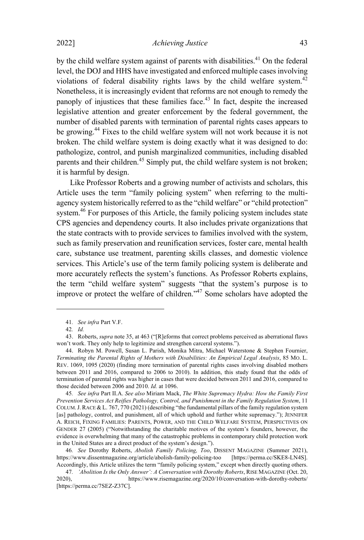#### 2022] *Achieving Justice* 43

by the child welfare system against of parents with disabilities.<sup>41</sup> On the federal level, the DOJ and HHS have investigated and enforced multiple cases involving violations of federal disability rights laws by the child welfare system.<sup>42</sup> Nonetheless, it is increasingly evident that reforms are not enough to remedy the panoply of injustices that these families face. $43$  In fact, despite the increased legislative attention and greater enforcement by the federal government, the number of disabled parents with termination of parental rights cases appears to be growing.<sup>44</sup> Fixes to the child welfare system will not work because it is not broken. The child welfare system is doing exactly what it was designed to do: pathologize, control, and punish marginalized communities, including disabled parents and their children.<sup>45</sup> Simply put, the child welfare system is not broken; it is harmful by design.

Like Professor Roberts and a growing number of activists and scholars, this Article uses the term "family policing system" when referring to the multiagency system historically referred to as the "child welfare" or "child protection" system.<sup>46</sup> For purposes of this Article, the family policing system includes state CPS agencies and dependency courts. It also includes private organizations that the state contracts with to provide services to families involved with the system, such as family preservation and reunification services, foster care, mental health care, substance use treatment, parenting skills classes, and domestic violence services. This Article's use of the term family policing system is deliberate and more accurately reflects the system's functions. As Professor Roberts explains, the term "child welfare system" suggests "that the system's purpose is to improve or protect the welfare of children."<sup>47</sup> Some scholars have adopted the

<sup>41</sup>*. See infra* Part V.F.

<sup>42</sup>*. Id.*

<sup>43.</sup> Roberts, *supra* note 35, at 463 ("[R]eforms that correct problems perceived as aberrational flaws won't work. They only help to legitimize and strengthen carceral systems.").

<sup>44.</sup> Robyn M. Powell, Susan L. Parish, Monika Mitra, Michael Waterstone & Stephen Fournier, *Terminating the Parental Rights of Mothers with Disabilities: An Empirical Legal Analysis*, 85 MO. L. REV. 1069, 1095 (2020) (finding more termination of parental rights cases involving disabled mothers between 2011 and 2016, compared to 2006 to 2010). In addition, this study found that the odds of termination of parental rights was higher in cases that were decided between 2011 and 2016, compared to those decided between 2006 and 2010. *Id.* at 1096.

<sup>45</sup>*. See infra* Part II.A. *See also* Miriam Mack, *The White Supremacy Hydra: How the Family First Prevention Services Act Reifies Pathology, Control, and Punishment in the Family Regulation System*, 11 COLUM.J.RACE & L. 767, 770 (2021) (describing "the fundamental pillars of the family regulation system [as] pathology, control, and punishment, all of which uphold and further white supremacy."); JENNIFER A. REICH, FIXING FAMILIES: PARENTS, POWER, AND THE CHILD WELFARE SYSTEM, PERSPECTIVES ON GENDER 27 (2005) ("Notwithstanding the charitable motives of the system's founders, however, the evidence is overwhelming that many of the catastrophic problems in contemporary child protection work in the United States are a direct product of the system's design.").

<sup>46</sup>*. See* Dorothy Roberts, *Abolish Family Policing, Too*, DISSENT MAGAZINE (Summer 2021), https://www.dissentmagazine.org/article/abolish-family-policing-too Accordingly, this Article utilizes the term "family policing system," except when directly quoting others.

<sup>47</sup>*. 'Abolition Is the Only Answer': A Conversation with Dorothy Roberts*, RISE MAGAZINE (Oct. 20, 2020), https://www.risemagazine.org/2020/10/conversation-with-dorothy-roberts/ [https://perma.cc/7SEZ-Z37C].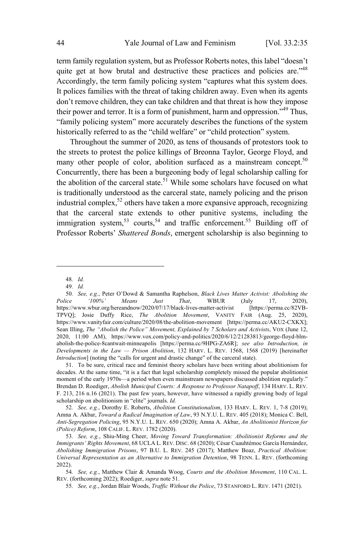term family regulation system, but as Professor Roberts notes, this label "doesn't quite get at how brutal and destructive these practices and policies are."<sup>48</sup> Accordingly, the term family policing system "captures what this system does. It polices families with the threat of taking children away. Even when its agents don't remove children, they can take children and that threat is how they impose their power and terror. It is a form of punishment, harm and oppression."<sup>49</sup> Thus, "family policing system" more accurately describes the functions of the system historically referred to as the "child welfare" or "child protection" system.

Throughout the summer of 2020, as tens of thousands of protestors took to the streets to protest the police killings of Breonna Taylor, George Floyd, and many other people of color, abolition surfaced as a mainstream concept.<sup>50</sup> Concurrently, there has been a burgeoning body of legal scholarship calling for the abolition of the carceral state.<sup>51</sup> While some scholars have focused on what is traditionally understood as the carceral state, namely policing and the prison industrial complex, <sup>52</sup> others have taken <sup>a</sup> more expansive approach, recognizing that the carceral state extends to other punitive systems, including the immigration system,<sup>53</sup> courts,<sup>54</sup> and traffic enforcement.<sup>55</sup> Building off of Professor Roberts' *Shattered Bonds*, emergent scholarship is also beginning to

48*. Id.*

49*. Id.*

<sup>50</sup>*. See, e.g.*, Peter O'Dowd & Samantha Raphelson, *Black Lives Matter Activist: Abolishing the Police '100%' Means Just That*, WBUR (July 17, 2020), https://www.wbur.org/hereandnow/2020/07/17/black-lives-matter-activist [https://perma.cc/82VB-TPVQ]; Josie Duffy Rice, *The Abolition Movement*, VANITY FAIR (Aug. 25, 2020), https://www.vanityfair.com/culture/2020/08/the-abolition-movement [https://perma.cc/AKU2-CXKX]; Sean Illing, *The "Abolish the Police" Movement, Explained by 7 Scholars and Activists*, VOX (June 12, 2020, 11:00 AM), https://www.vox.com/policy-and-politics/2020/6/12/21283813/george-floyd-blmabolish-the-police-8cantwait-minneapolis [https://perma.cc/9HPG-ZA6R]; *see also Introduction, in Developments in the Law — Prison Abolition*, 132 HARV. L. REV. 1568, 1568 (2019) [hereinafter *Introduction*] (noting the "calls for urgent and drastic change" of the carceral state).

<sup>51.</sup> To be sure, critical race and feminist theory scholars have been writing about abolitionism for decades. At the same time, "it is a fact that legal scholarship completely missed the popular abolitionist moment of the early 1970s—a period when even mainstream newspapers discussed abolition regularly." Brendan D. Roediger, *Abolish Municipal Courts: A Response to Professor Natapoff*, 134 HARV. L. REV. F. 213, 216 n.16 (2021). The past few years, however, have witnessed a rapidly growing body of legal scholarship on abolitionism in "elite" journals. *Id.*

<sup>52</sup>*. See, e.g.*, Dorothy E. Roberts, *Abolition Constitutionalism*, 133 HARV. L. REV. 1, 7-8 (2019); Amna A. Akbar, *Toward a Radical Imagination of Law*, 93 N.Y.U. L. REV. 405 (2018); Monica C. Bell, *Anti-Segregation Policing*, 95 N.Y.U. L. REV. 650 (2020); Amna A. Akbar, *An Abolitionist Horizon for (Police) Reform*, 108 CALIF. L. REV. 1782 (2020).

<sup>53</sup>*. See, e.g.*, Shiu-Ming Cheer, *Moving Toward Transformation: Abolitionist Reforms and the Immigrants' Rights Movement*, 68 UCLA L. REV. DISC. 68 (2020); César Cuauhtémoc García Hernández, *Abolishing Immigration Prisons*, 97 B.U. L. REV. 245 (2017); Matthew Boaz, *Practical Abolition: Universal Representation as an Alternative to Immigration Detention*, 98 TENN. L. REV. (forthcoming 2022).

<sup>54</sup>*. See, e.g.*, Matthew Clair & Amanda Woog, *Courts and the Abolition Movement*, 110 CAL. L. REV. (forthcoming 2022); Roediger, *supra* note 51.

<sup>55</sup>*. See, e.g.*, Jordan Blair Woods, *Traffic Without the Police*, 73 STANFORD L. REV. 1471 (2021).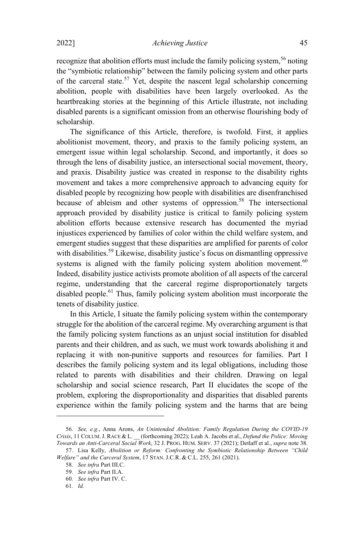recognize that abolition efforts must include the family policing system, <sup>56</sup> noting the "symbiotic relationship" between the family policing system and other parts of the carceral state.<sup>57</sup> Yet, despite the nascent legal scholarship concerning abolition, people with disabilities have been largely overlooked. As the heartbreaking stories at the beginning of this Article illustrate, not including disabled parents is a significant omission from an otherwise flourishing body of scholarship.

The significance of this Article, therefore, is twofold. First, it applies abolitionist movement, theory, and praxis to the family policing system, an emergent issue within legal scholarship. Second, and importantly, it does so through the lens of disability justice, an intersectional social movement, theory, and praxis. Disability justice was created in response to the disability rights movement and takes a more comprehensive approach to advancing equity for disabled people by recognizing how people with disabilities are disenfranchised because of ableism and other systems of oppression. <sup>58</sup> The intersectional approach provided by disability justice is critical to family policing system abolition efforts because extensive research has documented the myriad injustices experienced by families of color within the child welfare system, and emergent studies suggest that these disparities are amplified for parents of color with disabilities.<sup>59</sup> Likewise, disability justice's focus on dismantling oppressive systems is aligned with the family policing system abolition movement.<sup>60</sup> Indeed, disability justice activists promote abolition of all aspects of the carceral regime, understanding that the carceral regime disproportionately targets disabled people.<sup>61</sup> Thus, family policing system abolition must incorporate the tenets of disability justice.

In this Article, I situate the family policing system within the contemporary struggle for the abolition of the carceral regime. My overarching argument is that the family policing system functions as an unjust social institution for disabled parents and their children, and as such, we must work towards abolishing it and replacing it with non-punitive supports and resources for families. Part I describes the family policing system and its legal obligations, including those related to parents with disabilities and their children. Drawing on legal scholarship and social science research, Part II elucidates the scope of the problem, exploring the disproportionality and disparities that disabled parents experience within the family policing system and the harms that are being

<sup>56</sup>*. See, e.g.*, Anna Arons, *An Unintended Abolition: Family Regulation During the COVID-19 Crisis*, 11 COLUM.J. RACE & L. \_\_ (forthcoming 2022); Leah A. Jacobs et al., *Defund the Police: Moving Towards an Anti-Carceral Social Work*, 32 J. PROG. HUM. SERV. 37 (2021); Detlaff et al., *supra* note 38.

<sup>57.</sup> Lisa Kelly, *Abolition or Reform: Confronting the Symbiotic Relationship Between "Child Welfare" and the Carceral System*, 17 STAN. J.C.R. & C.L. 255, 261 (2021).

<sup>58</sup>*. See infra* Part III.C.

<sup>59</sup>*. See infra* Part II.A.

<sup>60</sup>*. See infra* Part IV. C.

<sup>61</sup>*. Id.*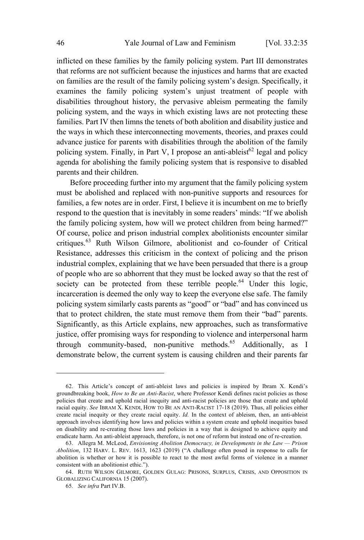inflicted on these families by the family policing system. Part III demonstrates that reforms are not sufficient because the injustices and harms that are exacted on families are the result of the family policing system's design. Specifically, it examines the family policing system's unjust treatment of people with disabilities throughout history, the pervasive ableism permeating the family policing system, and the ways in which existing laws are not protecting these families. Part IV then limns the tenets of both abolition and disability justice and the ways in which these interconnecting movements, theories, and praxes could advance justice for parents with disabilities through the abolition of the family policing system. Finally, in Part V, I propose an anti-ableist<sup>62</sup> legal and policy agenda for abolishing the family policing system that is responsive to disabled parents and their children.

Before proceeding further into my argument that the family policing system must be abolished and replaced with non-punitive supports and resources for families, a few notes are in order. First, I believe it is incumbent on me to briefly respond to the question that is inevitably in some readers' minds: "If we abolish the family policing system, how will we protect children from being harmed?" Of course, police and prison industrial complex abolitionists encounter similar critiques.<sup>63</sup> Ruth Wilson Gilmore, abolitionist and co-founder of Critical Resistance, addresses this criticism in the context of policing and the prison industrial complex, explaining that we have been persuaded that there is a group of people who are so abhorrent that they must be locked away so that the rest of society can be protected from these terrible people.<sup>64</sup> Under this logic, incarceration is deemed the only way to keep the everyone else safe. The family policing system similarly casts parents as "good" or "bad" and has convinced us that to protect children, the state must remove them from their "bad" parents. Significantly, as this Article explains, new approaches, such as transformative justice, offer promising ways for responding to violence and interpersonal harm through community-based, non-punitive methods.<sup>65</sup> Additionally, as I demonstrate below, the current system is causing children and their parents far

<sup>62.</sup> This Article's concept of anti-ableist laws and policies is inspired by Ibram X. Kendi's groundbreaking book, *How to Be an Anti-Racist*, where Professor Kendi defines racist policies as those policies that create and uphold racial inequity and anti-racist policies are those that create and uphold racial equity. *See* IBRAM X. KENDI, HOW TO B<sup>E</sup> AN ANTI-RACIST 17-18 (2019). Thus, all policies either create racial inequity or they create racial equity. *Id.* In the context of ableism, then, an anti-ableist approach involves identifying how laws and policies within a system create and uphold inequities based on disability and re-creating those laws and policies in a way that is designed to achieve equity and eradicate harm. An anti-ableist approach, therefore, is not one of reform but instead one of re-creation.

<sup>63.</sup> Allegra M. McLeod, *Envisioning Abolition Democracy, in Developments in the Law — Prison Abolition*, 132 HARV. L. REV. 1613, 1623 (2019) ("A challenge often posed in response to calls for abolition is whether or how it is possible to react to the most awful forms of violence in a manner consistent with an abolitionist ethic.").

<sup>64.</sup> RUTH WILSON GILMORE, GOLDEN GULAG: PRISONS, SURPLUS, CRISIS, AND OPPOSITION IN GLOBALIZING CALIFORNIA 15 (2007).

<sup>65</sup>*. See infra* Part IV.B.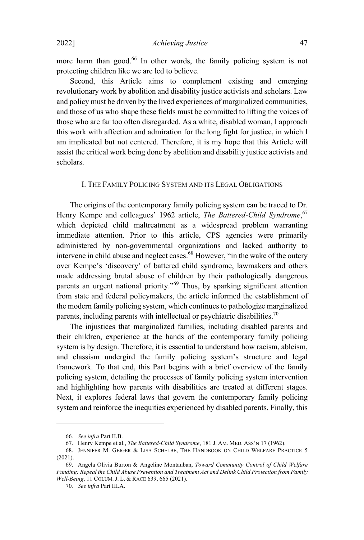more harm than good.<sup>66</sup> In other words, the family policing system is not protecting children like we are led to believe.

Second, this Article aims to complement existing and emerging revolutionary work by abolition and disability justice activists and scholars. Law and policy must be driven by the lived experiences of marginalized communities, and those of us who shape these fields must be committed to lifting the voices of those who are far too often disregarded. As a white, disabled woman, I approach this work with affection and admiration for the long fight for justice, in which I am implicated but not centered. Therefore, it is my hope that this Article will assist the critical work being done by abolition and disability justice activists and scholars.

## I. THE FAMILY POLICING SYSTEM AND ITS LEGAL OBLIGATIONS

The origins of the contemporary family policing system can be traced to Dr. Henry Kempe and colleagues' 1962 article, *The Battered-Child Syndrome*, 67 which depicted child maltreatment as a widespread problem warranting immediate attention. Prior to this article, CPS agencies were primarily administered by non-governmental organizations and lacked authority to intervene in child abuse and neglect cases. <sup>68</sup> However, "in the wake of the outcry over Kempe's 'discovery' of battered child syndrome, lawmakers and others made addressing brutal abuse of children by their pathologically dangerous parents an urgent national priority."<sup>69</sup> Thus, by sparking significant attention from state and federal policymakers, the article informed the establishment of the modern family policing system, which continues to pathologize marginalized parents, including parents with intellectual or psychiatric disabilities.<sup>70</sup>

The injustices that marginalized families, including disabled parents and their children, experience at the hands of the contemporary family policing system is by design. Therefore, it is essential to understand how racism, ableism, and classism undergird the family policing system's structure and legal framework. To that end, this Part begins with a brief overview of the family policing system, detailing the processes of family policing system intervention and highlighting how parents with disabilities are treated at different stages. Next, it explores federal laws that govern the contemporary family policing system and reinforce the inequities experienced by disabled parents. Finally, this

<sup>66</sup>*. See infra* Part II.B.

<sup>67.</sup> Henry Kempe et al., *The Battered-Child Syndrome*, 181 J. AM. MED. ASS'<sup>N</sup> 17 (1962).

<sup>68.</sup> JENNIFER M. GEIGER & LISA SCHELBE, THE HANDBOOK ON CHILD WELFARE PRACTICE 5  $(2021)$ .

<sup>69.</sup> Angela Olivia Burton & Angeline Montauban, *Toward Community Control of Child Welfare Funding: Repeal the Child Abuse Prevention and Treatment Act and Delink Child Protection from Family Well-Being*, 11 COLUM. J. L. & RACE 639, 665 (2021).

<sup>70</sup>*. See infra* Part III.A.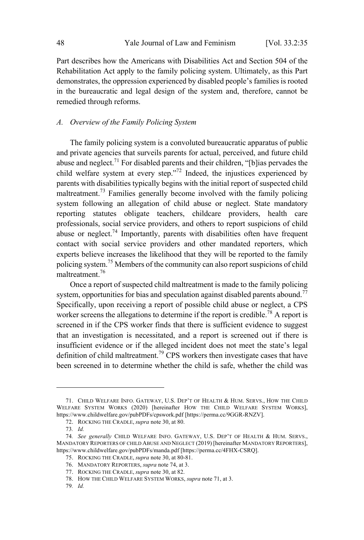Part describes how the Americans with Disabilities Act and Section 504 of the Rehabilitation Act apply to the family policing system. Ultimately, as this Part demonstrates, the oppression experienced by disabled people's families is rooted in the bureaucratic and legal design of the system and, therefore, cannot be remedied through reforms.

#### *A. Overview of the Family Policing System*

The family policing system is a convoluted bureaucratic apparatus of public and private agencies that surveils parents for actual, perceived, and future child abuse and neglect.<sup>71</sup> For disabled parents and their children, "[b]ias pervades the child welfare system at every step."<sup>72</sup> Indeed, the injustices experienced by parents with disabilities typically begins with the initial report of suspected child maltreatment.<sup>73</sup> Families generally become involved with the family policing system following an allegation of child abuse or neglect. State mandatory reporting statutes obligate teachers, childcare providers, health care professionals, social service providers, and others to report suspicions of child abuse or neglect.<sup>74</sup> Importantly, parents with disabilities often have frequent contact with social service providers and other mandated reporters, which experts believe increases the likelihood that they will be reported to the family policing system.<sup>75</sup> Members of the community can also report suspicions of child maltreatment.<sup>76</sup>

Once a report of suspected child maltreatment is made to the family policing system, opportunities for bias and speculation against disabled parents abound.<sup>77</sup> Specifically, upon receiving a report of possible child abuse or neglect, a CPS worker screens the allegations to determine if the report is credible.<sup>78</sup> A report is screened in if the CPS worker finds that there is sufficient evidence to suggest that an investigation is necessitated, and a report is screened out if there is insufficient evidence or if the alleged incident does not meet the state's legal definition of child maltreatment.<sup>79</sup> CPS workers then investigate cases that have been screened in to determine whether the child is safe, whether the child was

<sup>71.</sup> CHILD WELFARE INFO. GATEWAY, U.S. DEP'T OF HEALTH & HUM. SERVS., HOW THE CHILD WELFARE SYSTEM WORKS (2020) [hereinafter HOW THE CHILD WELFARE SYSTEM WORKS], https://www.childwelfare.gov/pubPDFs/cpswork.pdf [https://perma.cc/9GGR-RNZV].

<sup>72.</sup> ROCKING THE CRADLE, *supra* note 30, at 80.

<sup>73</sup>*. Id.*

<sup>74</sup>*. See generally* CHILD WELFARE INFO. GATEWAY, U.S. DEP'<sup>T</sup> OF HEALTH & HUM. SERVS., MANDATORY REPORTERS OF CHILD ABUSE AND NEGLECT (2019) [hereinafter MANDATORY REPORTERS], https://www.childwelfare.gov/pubPDFs/manda.pdf [https://perma.cc/4FHX-CSRQ].

<sup>75.</sup> ROCKING THE CRADLE, *supra* note 30, at 80-81.

<sup>76.</sup> MANDATORY REPORTERS, *supra* note 74, at 3.

<sup>77.</sup> ROCKING THE CRADLE, *supra* note 30, at 82.

<sup>78.</sup> HOW THE CHILD WELFARE SYSTEM WORKS, *supra* note 71, at 3.

<sup>79</sup>*. Id.*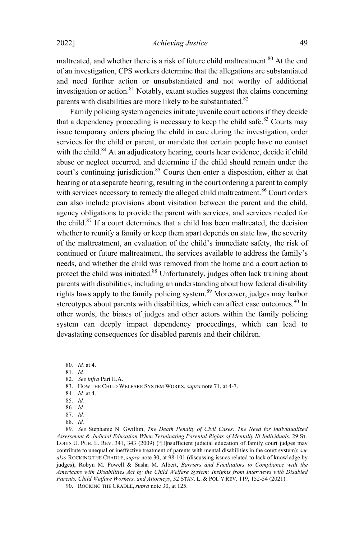maltreated, and whether there is a risk of future child maltreatment.<sup>80</sup> At the end of an investigation, CPS workers determine that the allegations are substantiated and need further action or unsubstantiated and not worthy of additional investigation or action.<sup>81</sup> Notably, extant studies suggest that claims concerning parents with disabilities are more likely to be substantiated.<sup>82</sup>

Family policing system agencies initiate juvenile court actions if they decide that a dependency proceeding is necessary to keep the child safe.<sup>83</sup> Courts may issue temporary orders placing the child in care during the investigation, order services for the child or parent, or mandate that certain people have no contact with the child.<sup>84</sup> At an adjudicatory hearing, courts hear evidence, decide if child abuse or neglect occurred, and determine if the child should remain under the court's continuing jurisdiction.<sup>85</sup> Courts then enter a disposition, either at that hearing or at a separate hearing, resulting in the court ordering a parent to comply with services necessary to remedy the alleged child maltreatment.<sup>86</sup> Court orders can also include provisions about visitation between the parent and the child, agency obligations to provide the parent with services, and services needed for the child. $87$  If a court determines that a child has been maltreated, the decision whether to reunify a family or keep them apart depends on state law, the severity of the maltreatment, an evaluation of the child's immediate safety, the risk of continued or future maltreatment, the services available to address the family's needs, and whether the child was removed from the home and a court action to protect the child was initiated.<sup>88</sup> Unfortunately, judges often lack training about parents with disabilities, including an understanding about how federal disability rights laws apply to the family policing system.<sup>89</sup> Moreover, judges may harbor stereotypes about parents with disabilities, which can affect case outcomes.<sup>90</sup> In other words, the biases of judges and other actors within the family policing system can deeply impact dependency proceedings, which can lead to devastating consequences for disabled parents and their children.

84*. Id.* at 4.

<sup>80</sup>*. Id.* at 4.

<sup>81</sup>*. Id.*

<sup>82</sup>*. See infra* Part II.A.

<sup>83.</sup> HOW THE CHILD WELFARE SYSTEM WORKS, *supra* note 71, at 4-7.

<sup>85</sup>*. Id.*

<sup>86</sup>*. Id.*

<sup>87</sup>*. Id.*

<sup>88</sup>*. Id.*

<sup>89</sup>*. See* Stephanie N. Gwillim, *The Death Penalty of Civil Cases: The Need for Individualized Assessment & Judicial Education When Terminating Parental Rights of Mentally Ill Individuals*, 29 ST. LOUIS U. PUB. L. REV. 341, 343 (2009) ("[I]nsufficient judicial education of family court judges may contribute to unequal or ineffective treatment of parents with mental disabilities in the court system); *see also* ROCKING THE CRADLE, *supra* note 30, at 98-101 (discussing issues related to lack of knowledge by judges); Robyn M. Powell & Sasha M. Albert, *Barriers and Facilitators to Compliance with the Americans with Disabilities Act by the Child Welfare System: Insights from Interviews with Disabled Parents, Child Welfare Workers, and Attorneys*, 32 STAN. L. & POL'<sup>Y</sup> REV. 119, 152-54 (2021).

<sup>90.</sup> ROCKING THE CRADLE, *supra* note 30, at 125.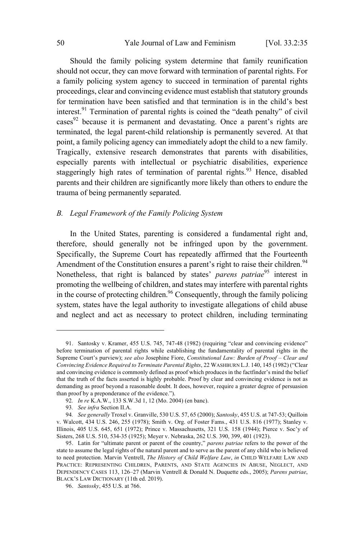Should the family policing system determine that family reunification should not occur, they can move forward with termination of parental rights. For a family policing system agency to succeed in termination of parental rights proceedings, clear and convincing evidence must establish that statutory grounds for termination have been satisfied and that termination is in the child's best interest.<sup>91</sup> Termination of parental rights is coined the "death penalty" of civil  $\csc^{92}$  because it is permanent and devastating. Once a parent's rights are terminated, the legal parent-child relationship is permanently severed. At that point, a family policing agency can immediately adopt the child to a new family. Tragically, extensive research demonstrates that parents with disabilities, especially parents with intellectual or psychiatric disabilities, experience staggeringly high rates of termination of parental rights.<sup>93</sup> Hence, disabled parents and their children are significantly more likely than others to endure the trauma of being permanently separated.

## *B. Legal Framework of the Family Policing System*

In the United States, parenting is considered a fundamental right and, therefore, should generally not be infringed upon by the government. Specifically, the Supreme Court has repeatedly affirmed that the Fourteenth Amendment of the Constitution ensures a parent's right to raise their children.<sup>94</sup> Nonetheless, that right is balanced by states' *parens patriae* <sup>95</sup> interest in promoting the wellbeing of children, and states may interfere with parental rights in the course of protecting children. <sup>96</sup> Consequently, through the family policing system, states have the legal authority to investigate allegations of child abuse and neglect and act as necessary to protect children, including terminating

<sup>91.</sup> Santosky v. Kramer, 455 U.S. 745, 747-48 (1982) (requiring "clear and convincing evidence" before termination of parental rights while establishing the fundamentality of parental rights in the Supreme Court's purview); *see also* Josephine Fiore, *Constitutional Law: Burden of Proof – Clear and Convincing Evidence Required to Terminate Parental Rights*, 22 WASHBURN L.J. 140, 145 (1982) ("Clear and convincing evidence is commonly defined as proof which produces in the factfinder's mind the belief that the truth of the facts asserted is highly probable. Proof by clear and convincing evidence is not as demanding as proof beyond a reasonable doubt. It does, however, require a greater degree of persuasion than proof by a preponderance of the evidence.").

<sup>92</sup>*. In re* K.A.W., 133 S.W.3d 1, 12 (Mo. 2004) (en banc).

<sup>93</sup>*. See infra* Section II.A.

<sup>94</sup>*. See generally* Troxel v. Granville, 530 U.S. 57, 65 (2000); *Santosky*, 455 U.S. at 747-53; Quilloin v. Walcott, 434 U.S. 246, 255 (1978); Smith v. Org. of Foster Fams., 431 U.S. 816 (1977); Stanley v. Illinois, 405 U.S. 645, 651 (1972); Prince v. Massachusetts, 321 U.S. 158 (1944); Pierce v. Soc'y of Sisters, 268 U.S. 510, 534-35 (1925); Meyer v. Nebraska, 262 U.S. 390, 399, 401 (1923).

<sup>95.</sup> Latin for "ultimate parent or parent of the country," *parens patriae* refers to the power of the state to assume the legal rights of the natural parent and to serve as the parent of any child who is believed to need protection. Marvin Ventrell, *The History of Child Welfare Law*, *in* CHILD WELFARE LAW AND PRACTICE: REPRESENTING CHILDREN, PARENTS, AND STATE AGENCIES IN ABUSE, NEGLECT, AND DEPENDENCY CASES 113, 126–27 (Marvin Ventrell & Donald N. Duquette eds., 2005); *Parens patriae*, BLACK'S LAW DICTIONARY (11th ed. 2019).

<sup>96.</sup> *Santosky*, 455 U.S. at 766.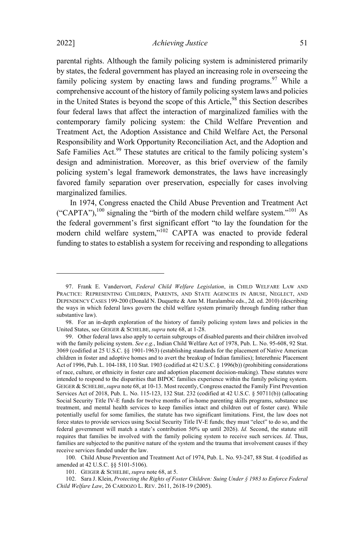2022] *Achieving Justice* 51

parental rights. Although the family policing system is administered primarily by states, the federal government has played an increasing role in overseeing the family policing system by enacting laws and funding programs.<sup>97</sup> While a comprehensive account of the history of family policing system laws and policies in the United States is beyond the scope of this Article,<sup>98</sup> this Section describes four federal laws that affect the interaction of marginalized families with the contemporary family policing system: the Child Welfare Prevention and Treatment Act, the Adoption Assistance and Child Welfare Act, the Personal Responsibility and Work Opportunity Reconciliation Act, and the Adoption and Safe Families Act.<sup>99</sup> These statutes are critical to the family policing system's design and administration. Moreover, as this brief overview of the family policing system's legal framework demonstrates, the laws have increasingly favored family separation over preservation, especially for cases involving

marginalized families. In 1974, Congress enacted the Child Abuse Prevention and Treatment Act ("CAPTA"),<sup>100</sup> signaling the "birth of the modern child welfare system."<sup>101</sup> As the federal government's first significant effort "to lay the foundation for the modern child welfare system,"<sup>102</sup> CAPTA was enacted to provide federal funding to states to establish a system for receiving and responding to allegations

100. Child Abuse Prevention and Treatment Act of 1974, Pub. L. No. 93-247, 88 Stat. 4 (codified as amended at 42 U.S.C. §§ 5101-5106).

101. GEIGER & SCHELBE, *supra* note 68, at 5.

102. Sara J. Klein, *Protecting the Rights of Foster Children: Suing Under § 1983 to Enforce Federal Child Welfare Law*, 26 CARDOZO L. REV. 2611, 2618-19 (2005).

<sup>97.</sup> Frank E. Vandervort, *Federal Child Welfare Legislation*, in CHILD WELFARE LAW AND PRACTICE: REPRESENTING CHILDREN, PARENTS, AND STATE AGENCIES IN ABUSE, NEGLECT, AND DEPENDENCY CASES 199-200 (Donald N. Duquette & Ann M. Haralambie eds., 2d. ed. 2010) (describing the ways in which federal laws govern the child welfare system primarily through funding rather than substantive law).

<sup>98.</sup> For an in-depth exploration of the history of family policing system laws and policies in the United States, see GEIGER & SCHELBE, *supra* note 68, at 1-28.

<sup>99.</sup> Other federal laws also apply to certain subgroups of disabled parents and their children involved with the family policing system. *See e.g.*, Indian Child Welfare Act of 1978, Pub. L. No. 95-608, 92 Stat. 3069 (codified at 25 U.S.C. §§ 1901-1963) (establishing standards for the placement of Native American children in foster and adoptive homes and to avert the breakup of Indian families); Interethnic Placement Act of 1996, Pub. L. 104-188, 110 Stat. 1903 (codified at 42 U.S.C. § 1996(b)) (prohibiting considerations of race, culture, or ethnicity in foster care and adoption placement decision-making). These statutes were intended to respond to the disparities that BIPOC families experience within the family policing system. GEIGER & SCHELBE,*supra* note 68, at 10-13. Most recently, Congress enacted the Family First Prevention Services Act of 2018, Pub. L. No. 115-123, 132 Stat. 232 (codified at 42 U.S.C. § 50711(b)) (allocating Social Security Title IV-E funds for twelve months of in-home parenting skills programs, substance use treatment, and mental health services to keep families intact and children out of foster care). While potentially useful for some families, the statute has two significant limitations. First, the law does not force states to provide services using Social Security Title IV-E funds; they must "elect" to do so, and the federal government will match a state's contribution 50% up until 2026). *Id.* Second, the statute still requires that families be involved with the family policing system to receive such services. *Id*. Thus, families are subjected to the punitive nature of the system and the trauma that involvement causes if they receive services funded under the law.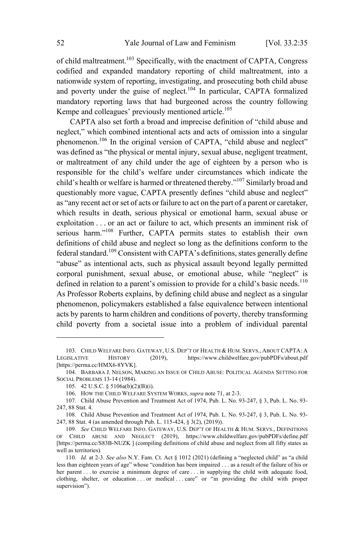of child maltreatment.<sup>103</sup> Specifically, with the enactment of CAPTA, Congress codified and expanded mandatory reporting of child maltreatment, into a nationwide system of reporting, investigating, and prosecuting both child abuse and poverty under the guise of neglect.<sup>104</sup> In particular, CAPTA formalized mandatory reporting laws that had burgeoned across the country following Kempe and colleagues' previously mentioned article.<sup>105</sup>

CAPTA also set forth a broad and imprecise definition of "child abuse and neglect," which combined intentional acts and acts of omission into a singular phenomenon.<sup>106</sup> In the original version of CAPTA, "child abuse and neglect" was defined as "the physical or mental injury, sexual abuse, negligent treatment, or maltreatment of any child under the age of eighteen by a person who is responsible for the child's welfare under circumstances which indicate the child's health or welfare is harmed or threatened thereby."<sup>107</sup> Similarly broad and questionably more vague, CAPTA presently defines "child abuse and neglect" as "any recent act or set of acts or failure to act on the part of a parent or caretaker, which results in death, serious physical or emotional harm, sexual abuse or exploitation . . . or an act or failure to act, which presents an imminent risk of serious harm."<sup>108</sup> Further, CAPTA permits states to establish their own definitions of child abuse and neglect so long as the definitions conform to the federal standard.<sup>109</sup> Consistent with CAPTA's definitions, states generally define "abuse" as intentional acts, such as physical assault beyond legally permitted corporal punishment, sexual abuse, or emotional abuse, while "neglect" is defined in relation to a parent's omission to provide for a child's basic needs.<sup>110</sup> As Professor Roberts explains, by defining child abuse and neglect as a singular phenomenon, policymakers established a false equivalence between intentional acts by parents to harm children and conditions of poverty, thereby transforming child poverty from a societal issue into a problem of individual parental

<sup>103.</sup> CHILD WELFARE INFO. GATEWAY, U.S. DEP'T OF HEALTH & HUM. SERVS., ABOUT CAPTA: A LEGISLATIVE HISTORY (2019), https://www.childwelfare.gov/pubPDFs/about.pdf [https://perma.cc/HMX6-8YVK].

<sup>104.</sup> BARBARA J. NELSON, MAKING AN ISSUE OF CHILD ABUSE: POLITICAL AGENDA SETTING FOR SOCIAL PROBLEMS 13-14 (1984).

<sup>105.</sup> 42 U.S.C. § 5106a(b)(2)(B)(i).

<sup>106.</sup> HOW THE CHILD WELFARE SYSTEM WORKS, *supra* note 71, at 2-3.

<sup>107.</sup> Child Abuse Prevention and Treatment Act of 1974, Pub. L. No. 93-247, § 3, Pub. L. No. 93- 247, 88 Stat. 4.

<sup>108.</sup> Child Abuse Prevention and Treatment Act of 1974, Pub. L. No. 93-247, § 3, Pub. L. No. 93- 247, 88 Stat. 4 (as amended through Pub. L. 115-424, § 3(2), (2019)).

<sup>109</sup>*. See* CHILD WELFARE INFO. GATEWAY, U.S. DEP'<sup>T</sup> OF HEALTH & HUM. SERVS., DEFINITIONS OF CHILD ABUSE AND NEGLECT (2019), https://www.childwelfare.gov/pubPDFs/define.pdf [https://perma.cc/S83B-NUZK ] (compiling definitions of child abuse and neglect from all fifty states as well as territories).

<sup>110</sup>*. Id.* at 2-3. *See also* N.Y. Fam. Ct. Act § 1012 (2021) (defining a "neglected child" as "a child less than eighteen years of age" whose "condition has been impaired . . . as a result of the failure of his or her parent . . . to exercise a minimum degree of care . . . in supplying the child with adequate food, clothing, shelter, or education . . . or medical . . . care" or "in providing the child with proper supervision").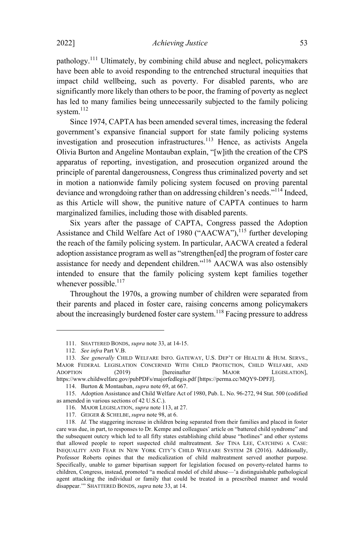pathology.<sup>111</sup> Ultimately, by combining child abuse and neglect, policymakers have been able to avoid responding to the entrenched structural inequities that impact child wellbeing, such as poverty. For disabled parents, who are significantly more likely than others to be poor, the framing of poverty as neglect has led to many families being unnecessarily subjected to the family policing system.<sup>112</sup>

Since 1974, CAPTA has been amended several times, increasing the federal government's expansive financial support for state family policing systems investigation and prosecution infrastructures.<sup>113</sup> Hence, as activists Angela Olivia Burton and Angeline Montauban explain, "[w]ith the creation of the CPS apparatus of reporting, investigation, and prosecution organized around the principle of parental dangerousness, Congress thus criminalized poverty and set in motion a nationwide family policing system focused on proving parental deviance and wrongdoing rather than on addressing children's needs."<sup>114</sup> Indeed, as this Article will show, the punitive nature of CAPTA continues to harm marginalized families, including those with disabled parents.

Six years after the passage of CAPTA, Congress passed the Adoption Assistance and Child Welfare Act of 1980 ("AACWA"),<sup>115</sup> further developing the reach of the family policing system. In particular, AACWA created a federal adoption assistance program as well as "strengthen[ed] the program of foster care assistance for needy and dependent children."<sup>116</sup> AACWA was also ostensibly intended to ensure that the family policing system kept families together whenever possible.<sup>117</sup>

Throughout the 1970s, a growing number of children were separated from their parents and placed in foster care, raising concerns among policymakers about the increasingly burdened foster care system. <sup>118</sup> Facing pressure to address

<sup>111.</sup> SHATTERED BONDS, *supra* note 33, at 14-15.

<sup>112</sup>*. See infra* Part V.B.

<sup>113</sup>*. See generally* CHILD WELFARE INFO. GATEWAY, U.S. DEP'<sup>T</sup> OF HEALTH & HUM. SERVS., MAJOR FEDERAL LEGISLATION CONCERNED WITH CHILD PROTECTION, CHILD WELFARE, AND ADOPTION (2019) [hereinafter MAJOR LEGISLATION], https://www.childwelfare.gov/pubPDFs/majorfedlegis.pdf [https://perma.cc/MQY9-DPFJ].

<sup>114.</sup> Burton & Montauban, *supra* note 69, at 667.

<sup>115.</sup> Adoption Assistance and Child Welfare Act of 1980, Pub. L. No. 96-272, 94 Stat. 500 (codified as amended in various sections of 42 U.S.C.).

<sup>116.</sup> MAJOR LEGISLATION, *supra* note 113, at 27.

<sup>117.</sup> GEIGER & SCHELBE, *supra* note 98, at 6.

<sup>118</sup>*. Id.* The staggering increase in children being separated from their families and placed in foster care was due, in part, to responses to Dr. Kempe and colleagues' article on "battered child syndrome" and the subsequent outcry which led to all fifty states establishing child abuse "hotlines" and other systems that allowed people to report suspected child maltreatment. *See* TINA LEE, CATCHING <sup>A</sup> CASE: INEQUALITY AND FEAR IN NEW YORK CITY'S CHILD WELFARE SYSTEM 28 (2016). Additionally, Professor Roberts opines that the medicalization of child maltreatment served another purpose. Specifically, unable to garner bipartisan support for legislation focused on poverty-related harms to children, Congress, instead, promoted "a medical model of child abuse—'a distinguishable pathological agent attacking the individual or family that could be treated in a prescribed manner and would disappear.'" SHATTERED BONDS, *supra* note 33, at 14.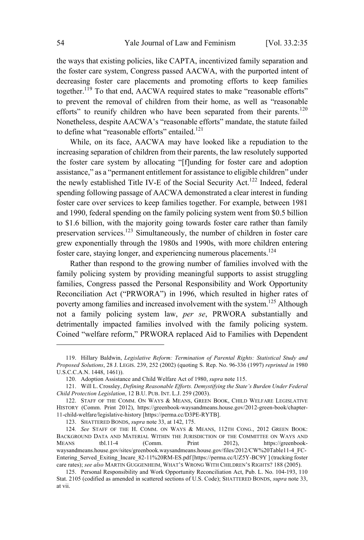the ways that existing policies, like CAPTA, incentivized family separation and the foster care system, Congress passed AACWA, with the purported intent of decreasing foster care placements and promoting efforts to keep families together.<sup>119</sup> To that end, AACWA required states to make "reasonable efforts" to prevent the removal of children from their home, as well as "reasonable efforts" to reunify children who have been separated from their parents.<sup>120</sup> Nonetheless, despite AACWA's "reasonable efforts" mandate, the statute failed to define what "reasonable efforts" entailed.<sup>121</sup>

While, on its face, AACWA may have looked like a repudiation to the increasing separation of children from their parents, the law resolutely supported the foster care system by allocating "[f]unding for foster care and adoption assistance," as a "permanent entitlement for assistance to eligible children" under the newly established Title IV-E of the Social Security Act.<sup>122</sup> Indeed, federal spending following passage of AACWA demonstrated a clear interest in funding foster care over services to keep families together. For example, between 1981 and 1990, federal spending on the family policing system went from \$0.5 billion to \$1.6 billion, with the majority going towards foster care rather than family preservation services.<sup>123</sup> Simultaneously, the number of children in foster care grew exponentially through the 1980s and 1990s, with more children entering foster care, staying longer, and experiencing numerous placements.<sup>124</sup>

Rather than respond to the growing number of families involved with the family policing system by providing meaningful supports to assist struggling families, Congress passed the Personal Responsibility and Work Opportunity Reconciliation Act ("PRWORA") in 1996, which resulted in higher rates of poverty among families and increased involvement with the system.<sup>125</sup> Although not a family policing system law, *per se*, PRWORA substantially and detrimentally impacted families involved with the family policing system. Coined "welfare reform," PRWORA replaced Aid to Families with Dependent

<sup>119.</sup> Hillary Baldwin, *Legislative Reform: Termination of Parental Rights: Statistical Study and Proposed Solutions*, 28 J. LEGIS. 239, 252 (2002) (quoting S. Rep. No. 96-336 (1997) *reprinted in* 1980 U.S.C.C.A.N. 1448, 1461)).

<sup>120.</sup> Adoption Assistance and Child Welfare Act of 1980, *supra* note 115.

<sup>121.</sup> Will L. Crossley, *Defining Reasonable Efforts. Demystifying the State's Burden Under Federal Child Protection Legislation*, 12 B.U. PUB. INT. L.J. 259 (2003).

<sup>122.</sup> STAFF OF THE COMM. ON WAYS & MEANS, GREEN BOOK, CHILD WELFARE LEGISLATIVE HISTORY (Comm. Print 2012), https://greenbook-waysandmeans.house.gov/2012-green-book/chapter-11-child-welfare/legislative-history [https://perma.cc/D3PE-RYTB].

<sup>123.</sup> SHATTERED BONDS, *supra* note 33, at 142, 175.

<sup>124</sup>*. See* STAFF OF THE H. COMM. ON WAYS & MEANS, 112TH CONG., 2012 GREEN BOOK: BACKGROUND DATA AND MATERIAL WITHIN THE JURISDICTION OF THE COMMITTEE ON WAYS AND MEANS tbl.11-4 (Comm. Print 2012), https://greenbookwaysandmeans.house.gov/sites/greenbook.waysandmeans.house.gov/files/2012/CW%20Table11-4\_FC-Entering\_Served\_Exiting\_Incare\_82-11%20RM-ES.pdf [https://perma.cc/UZ5Y-BC9Y ] (tracking foster care rates); *see also* MARTIN GUGGENHEIM, WHAT'<sup>S</sup> WRONG WITH CHILDREN'<sup>S</sup> RIGHTS? 188 (2005).

<sup>125.</sup> Personal Responsibility and Work Opportunity Reconciliation Act, Pub. L. No. 104-193, 110 Stat. 2105 (codified as amended in scattered sections of U.S. Code); SHATTERED BONDS, *supra* note 33, at vii.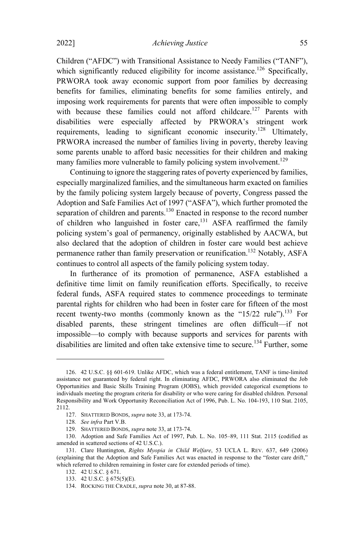Children ("AFDC") with Transitional Assistance to Needy Families ("TANF"), which significantly reduced eligibility for income assistance.<sup>126</sup> Specifically, PRWORA took away economic support from poor families by decreasing benefits for families, eliminating benefits for some families entirely, and imposing work requirements for parents that were often impossible to comply with because these families could not afford childcare.<sup>127</sup> Parents with disabilities were especially affected by PRWORA's stringent work requirements, leading to significant economic insecurity.<sup>128</sup> Ultimately, PRWORA increased the number of families living in poverty, thereby leaving some parents unable to afford basic necessities for their children and making many families more vulnerable to family policing system involvement.<sup>129</sup>

Continuing to ignore the staggering rates of poverty experienced by families, especially marginalized families, and the simultaneous harm exacted on families by the family policing system largely because of poverty, Congress passed the Adoption and Safe Families Act of 1997 ("ASFA"), which further promoted the separation of children and parents.<sup>130</sup> Enacted in response to the record number of children who languished in foster care,<sup>131</sup> ASFA reaffirmed the family policing system's goal of permanency, originally established by AACWA, but also declared that the adoption of children in foster care would best achieve permanence rather than family preservation or reunification.<sup>132</sup> Notably, ASFA continues to control all aspects of the family policing system today.

In furtherance of its promotion of permanence, ASFA established a definitive time limit on family reunification efforts. Specifically, to receive federal funds, ASFA required states to commence proceedings to terminate parental rights for children who had been in foster care for fifteen of the most recent twenty-two months (commonly known as the " $15/22$  rule").<sup>133</sup> For disabled parents, these stringent timelines are often difficult—if not impossible—to comply with because supports and services for parents with disabilities are limited and often take extensive time to secure.<sup>134</sup> Further, some

<sup>126.</sup> 42 U.S.C. §§ 601-619. Unlike AFDC, which was a federal entitlement, TANF is time-limited assistance not guaranteed by federal right. In eliminating AFDC, PRWORA also eliminated the Job Opportunities and Basic Skills Training Program (JOBS), which provided categorical exemptions to individuals meeting the program criteria for disability or who were caring for disabled children. Personal Responsibility and Work Opportunity Reconciliation Act of 1996, Pub. L. No. 104-193, 110 Stat. 2105, 2112.

<sup>127.</sup> SHATTERED BONDS, *supra* note 33, at 173-74.

<sup>128</sup>*. See infra* Part V.B.

<sup>129.</sup> SHATTERED BONDS, *supra* note 33, at 173-74.

<sup>130.</sup> Adoption and Safe Families Act of 1997, Pub. L. No. 105–89, 111 Stat. 2115 (codified as amended in scattered sections of 42 U.S.C.).

<sup>131.</sup> Clare Huntington, *Rights Myopia in Child Welfare*, 53 UCLA L. REV. 637, 649 (2006) (explaining that the Adoption and Safe Families Act was enacted in response to the "foster care drift," which referred to children remaining in foster care for extended periods of time).

<sup>132.</sup> 42 U.S.C. § 671.

<sup>133.</sup> 42 U.S.C. § 675(5)(E).

<sup>134.</sup> ROCKING THE CRADLE, *supra* note 30, at 87-88.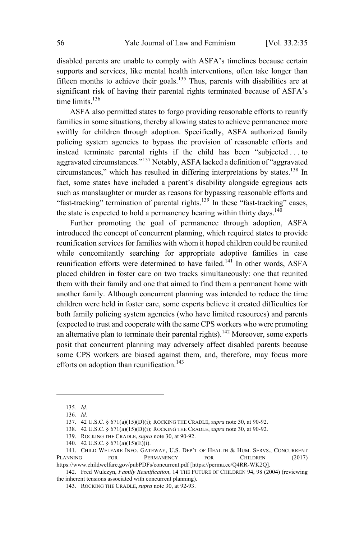disabled parents are unable to comply with ASFA's timelines because certain supports and services, like mental health interventions, often take longer than fifteen months to achieve their goals. <sup>135</sup> Thus, parents with disabilities are at significant risk of having their parental rights terminated because of ASFA's time limits.<sup>136</sup>

ASFA also permitted states to forgo providing reasonable efforts to reunify families in some situations, thereby allowing states to achieve permanence more swiftly for children through adoption. Specifically, ASFA authorized family policing system agencies to bypass the provision of reasonable efforts and instead terminate parental rights if the child has been "subjected . . . to aggravated circumstances."<sup>137</sup> Notably, ASFA lacked a definition of "aggravated circumstances," which has resulted in differing interpretations by states.<sup>138</sup> In fact, some states have included a parent's disability alongside egregious acts such as manslaughter or murder as reasons for bypassing reasonable efforts and "fast-tracking" termination of parental rights. $139$  In these "fast-tracking" cases, the state is expected to hold a permanency hearing within thirty days.<sup>140</sup>

Further promoting the goal of permanence through adoption, ASFA introduced the concept of concurrent planning, which required states to provide reunification services for families with whom it hoped children could be reunited while concomitantly searching for appropriate adoptive families in case reunification efforts were determined to have failed.<sup>141</sup> In other words, ASFA placed children in foster care on two tracks simultaneously: one that reunited them with their family and one that aimed to find them a permanent home with another family. Although concurrent planning was intended to reduce the time children were held in foster care, some experts believe it created difficulties for both family policing system agencies (who have limited resources) and parents (expected to trust and cooperate with the same CPS workers who were promoting an alternative plan to terminate their parental rights).<sup>142</sup> Moreover, some experts posit that concurrent planning may adversely affect disabled parents because some CPS workers are biased against them, and, therefore, may focus more efforts on adoption than reunification. 143

<sup>135</sup>*. Id.*

<sup>136</sup>*. Id.*

<sup>137.</sup> 42 U.S.C. § 671(a)(15)(D)(i); ROCKING THE CRADLE, *supra* note 30, at 90-92.

<sup>138.</sup> 42 U.S.C. § 671(a)(15)(D)(i); ROCKING THE CRADLE, *supra* note 30, at 90-92.

<sup>139.</sup> ROCKING THE CRADLE, *supra* note 30, at 90-92.

<sup>140.</sup> 42 U.S.C. § 671(a)(15)(E)(i).

<sup>141.</sup> CHILD WELFARE INFO. GATEWAY, U.S. DEP'T OF HEALTH & HUM. SERVS., CONCURRENT PLANNING FOR PERMANENCY FOR CHILDREN (2017) https://www.childwelfare.gov/pubPDFs/concurrent.pdf [https://perma.cc/Q4RR-WK2Q].

<sup>142.</sup> Fred Wulczyn, *Family Reunification*, 14 THE FUTURE OF CHILDREN 94, 98 (2004) (reviewing the inherent tensions associated with concurrent planning).

<sup>143.</sup> ROCKING THE CRADLE, *supra* note 30, at 92-93.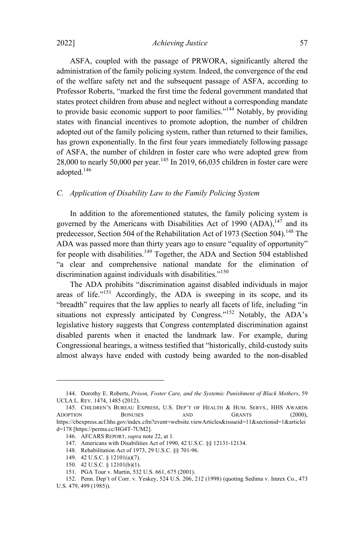2022] *Achieving Justice* 57

ASFA, coupled with the passage of PRWORA, significantly altered the administration of the family policing system. Indeed, the convergence of the end of the welfare safety net and the subsequent passage of ASFA, according to Professor Roberts, "marked the first time the federal government mandated that states protect children from abuse and neglect without a corresponding mandate to provide basic economic support to poor families."<sup>144</sup> Notably, by providing states with financial incentives to promote adoption, the number of children adopted out of the family policing system, rather than returned to their families, has grown exponentially. In the first four years immediately following passage of ASFA, the number of children in foster care who were adopted grew from 28,000 to nearly 50,000 per year. <sup>145</sup> In 2019, 66,035 children in foster care were adopted.<sup>146</sup>

## *C. Application of Disability Law to the Family Policing System*

In addition to the aforementioned statutes, the family policing system is governed by the Americans with Disabilities Act of 1990  $(ADA)$ ,  $147$  and its predecessor, Section 504 of the Rehabilitation Act of 1973 (Section 504).<sup>148</sup> The ADA was passed more than thirty years ago to ensure "equality of opportunity" for people with disabilities.<sup>149</sup> Together, the ADA and Section 504 established "a clear and comprehensive national mandate for the elimination of discrimination against individuals with disabilities."<sup>150</sup>

The ADA prohibits "discrimination against disabled individuals in major areas of life. $n<sup>151</sup>$  Accordingly, the ADA is sweeping in its scope, and its "breadth" requires that the law applies to nearly all facets of life, including "in situations not expressly anticipated by Congress." $152$  Notably, the ADA's legislative history suggests that Congress contemplated discrimination against disabled parents when it enacted the landmark law. For example, during Congressional hearings, a witness testified that "historically, child-custody suits almost always have ended with custody being awarded to the non-disabled

<sup>144.</sup> Dorothy E. Roberts, *Prison, Foster Care, and the Systemic Punishment of Black Mothers*, 59 UCLA L. REV. 1474, 1485 (2012).

<sup>145.</sup> CHILDREN'S BUREAU EXPRESS, U.S. DEP'T OF HEALTH & HUM. SERVS., HHS AWARDS ADOPTION BONUSES AND GRANTS (2000), https://cbexpress.acf.hhs.gov/index.cfm?event=website.viewArticles&issueid=11&sectionid=1&articlei d=178 [https://perma.cc/HG4T-7UM2].

<sup>146.</sup> AFCARS REPORT, *supra* note 22, at 1.

<sup>147.</sup> Americans with Disabilities Act of 1990, 42 U.S.C. §§ 12131-12134.

<sup>148.</sup> Rehabilitation Act of 1973, 29 U.S.C. §§ 701-96.

<sup>149.</sup> 42 U.S.C. § 12101(a)(7).

<sup>150.</sup> 42 U.S.C. § 12101(b)(1).

<sup>151.</sup> PGA Tour v. Martin, 532 U.S. 661, 675 (2001).

<sup>152.</sup> Penn. Dep't of Corr. v. Yeskey, 524 U.S. 206, 212 (1998) (quoting Sedima v. Imrex Co., 473 U.S. 479, 499 (1985)).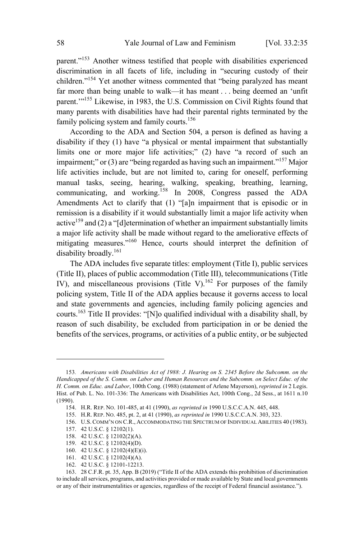parent."<sup>153</sup> Another witness testified that people with disabilities experienced discrimination in all facets of life, including in "securing custody of their children."<sup>154</sup> Yet another witness commented that "being paralyzed has meant far more than being unable to walk—it has meant . . . being deemed an 'unfit parent."<sup>155</sup> Likewise, in 1983, the U.S. Commission on Civil Rights found that many parents with disabilities have had their parental rights terminated by the family policing system and family courts.<sup>156</sup>

According to the ADA and Section 504, a person is defined as having a disability if they (1) have "a physical or mental impairment that substantially limits one or more major life activities;" (2) have "a record of such an impairment;" or (3) are "being regarded as having such an impairment."<sup>157</sup> Major life activities include, but are not limited to, caring for oneself, performing manual tasks, seeing, hearing, walking, speaking, breathing, learning, communicating, and working.<sup>158</sup> In 2008, Congress passed the ADA Amendments Act to clarify that (1) "[a]n impairment that is episodic or in remission is a disability if it would substantially limit a major life activity when active<sup>159</sup> and (2) a "[d]etermination of whether an impairment substantially limits a major life activity shall be made without regard to the ameliorative effects of mitigating measures." <sup>160</sup> Hence, courts should interpret the definition of disability broadly.<sup>161</sup>

The ADA includes five separate titles: employment (Title I), public services (Title II), places of public accommodation (Title III), telecommunications (Title IV), and miscellaneous provisions (Title V).<sup>162</sup> For purposes of the family policing system, Title II of the ADA applies because it governs access to local and state governments and agencies, including family policing agencies and courts.<sup>163</sup> Title II provides: "[N]o qualified individual with <sup>a</sup> disability shall, by reason of such disability, be excluded from participation in or be denied the benefits of the services, programs, or activities of a public entity, or be subjected

- 161. 42 U.S.C. § 12102(4)(A).
- 162. 42 U.S.C. § 12101-12213.

<sup>153</sup>*. Americans with Disabilities Act of 1988: J. Hearing on S. 2345 Before the Subcomm. on the Handicapped of the S. Comm. on Labor and Human Resources and the Subcomm. on Select Educ. of the H. Comm. on Educ. and Labor*, 100th Cong. (1988) (statement of Arlene Mayerson), *reprinted in* 2 Legis. Hist. of Pub. L. No. 101-336: The Americans with Disabilities Act, 100th Cong., 2d Sess., at 1611 n.10 (1990).

<sup>154.</sup> H.R. REP. NO. 101-485, at 41 (1990), *as reprinted in* 1990 U.S.C.C.A.N. 445, 448.

<sup>155.</sup> H.R. REP. NO. 485, pt. 2, at 41 (1990), *as reprinted in* 1990 U.S.C.C.A.N. 303, 323.

<sup>156.</sup> U.S.COMM'N ON C.R., ACCOMMODATING THE SPECTRUM OF INDIVIDUAL ABILITIES 40 (1983).

<sup>157.</sup> 42 U.S.C. § 12102(1).

<sup>158.</sup> 42 U.S.C. § 12102(2)(A).

<sup>159.</sup> 42 U.S.C. § 12102(4)(D).

<sup>160.</sup> 42 U.S.C. § 12102(4)(E)(i).

<sup>163.</sup> 28 C.F.R. pt. 35, App. B (2019) ("Title II of the ADA extends this prohibition of discrimination to include all services, programs, and activities provided or made available by State and local governments or any of their instrumentalities or agencies, regardless of the receipt of Federal financial assistance.").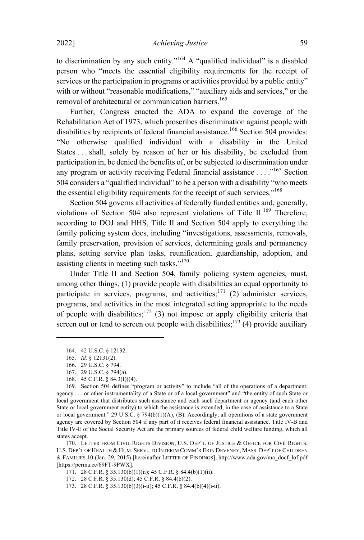to discrimination by any such entity."<sup>164</sup> A "qualified individual" is a disabled person who "meets the essential eligibility requirements for the receipt of services or the participation in programs or activities provided by a public entity" with or without "reasonable modifications," "auxiliary aids and services," or the removal of architectural or communication barriers.<sup>165</sup>

Further, Congress enacted the ADA to expand the coverage of the Rehabilitation Act of 1973, which proscribes discrimination against people with disabilities by recipients of federal financial assistance.<sup>166</sup> Section 504 provides: "No otherwise qualified individual with a disability in the United States . . . shall, solely by reason of her or his disability, be excluded from participation in, be denied the benefits of, or be subjected to discrimination under any program or activity receiving Federal financial assistance  $\dots$ <sup>167</sup> Section 504 considers a "qualified individual" to be a person with a disability "who meets the essential eligibility requirements for the receipt of such services."<sup>168</sup>

Section 504 governs all activities of federally funded entities and, generally, violations of Section 504 also represent violations of Title II.<sup>169</sup> Therefore, according to DOJ and HHS, Title II and Section 504 apply to everything the family policing system does, including "investigations, assessments, removals, family preservation, provision of services, determining goals and permanency plans, setting service plan tasks, reunification, guardianship, adoption, and assisting clients in meeting such tasks."<sup>170</sup>

Under Title II and Section 504, family policing system agencies, must, among other things, (1) provide people with disabilities an equal opportunity to participate in services, programs, and activities; $171$  (2) administer services, programs, and activities in the most integrated setting appropriate to the needs of people with disabilities;<sup>172</sup> (3) not impose or apply eligibility criteria that screen out or tend to screen out people with disabilities;<sup>173</sup> (4) provide auxiliary

<sup>164.</sup> 42 U.S.C. § 12132.

<sup>165</sup>*. Id.* § 12131(2).

<sup>166.</sup> 29 U.S.C. § 794.

<sup>167.</sup> 29 U.S.C. § 794(a).

<sup>168.</sup> 45 C.F.R. § 84.3(I)((4).

<sup>169.</sup> Section 504 defines "program or activity" to include "all of the operations of a department, agency . . . or other instrumentality of a State or of a local government" and "the entity of such State or local government that distributes such assistance and each such department or agency (and each other State or local government entity) to which the assistance is extended, in the case of assistance to a State or local government." 29 U.S.C. § 794(b)(1)(A), (B). Accordingly, all operations of a state government agency are covered by Section 504 if any part of it receives federal financial assistance. Title IV-B and Title IV-E of the Social Security Act are the primary sources of federal child welfare funding, which all states accept.

<sup>170.</sup> LETTER FROM CIVIL RIGHTS DIVISION, U.S. DEP'T. OF JUSTICE & OFFICE FOR Civil RIGHTS, U.S. DEP'T OF HEALTH & HUM. SERV., TO INTERIM COMM'R ERIN DEVENEY, MASS. DEP'T OF CHILDREN & FAMILIES 10 (Jan. 29, 2015) [hereinafter LETTER OF FINDINGS], http://www.ada.gov/ma\_docf\_lof.pdf [https://perma.cc/69FT-9PWX].

<sup>171.</sup> 28 C.F.R. § 35.130(b)(1)(ii); 45 C.F.R. § 84.4(b)(1)(ii).

<sup>172.</sup> 28 C.F.R. § 35.130(d); 45 C.F.R. § 84.4(b)(2).

<sup>173.</sup> 28 C.F.R. § 35.130(b)(3)(i-ii); 45 C.F.R. § 84.4(b)(4)(i-ii).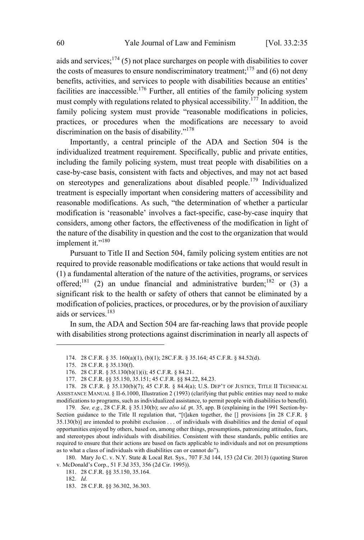aids and services; $1^{74}$  (5) not place surcharges on people with disabilities to cover the costs of measures to ensure nondiscriminatory treatment;<sup>175</sup> and (6) not deny benefits, activities, and services to people with disabilities because an entities' facilities are inaccessible.<sup>176</sup> Further, all entities of the family policing system must comply with regulations related to physical accessibility.<sup>177</sup> In addition, the family policing system must provide "reasonable modifications in policies, practices, or procedures when the modifications are necessary to avoid discrimination on the basis of disability." $178$ 

Importantly, a central principle of the ADA and Section 504 is the individualized treatment requirement. Specifically, public and private entities, including the family policing system, must treat people with disabilities on a case-by-case basis, consistent with facts and objectives, and may not act based on stereotypes and generalizations about disabled people.<sup>179</sup> Individualized treatment is especially important when considering matters of accessibility and reasonable modifications. As such, "the determination of whether a particular modification is 'reasonable' involves a fact-specific, case-by-case inquiry that considers, among other factors, the effectiveness of the modification in light of the nature of the disability in question and the cost to the organization that would implement it."<sup>180</sup>

Pursuant to Title II and Section 504, family policing system entities are not required to provide reasonable modifications or take actions that would result in (1) a fundamental alteration of the nature of the activities, programs, or services offered;<sup>181</sup> (2) an undue financial and administrative burden;<sup>182</sup> or (3) a significant risk to the health or safety of others that cannot be eliminated by a modification of policies, practices, or procedures, or by the provision of auxiliary aids or services.<sup>183</sup>

In sum, the ADA and Section 504 are far-reaching laws that provide people with disabilities strong protections against discrimination in nearly all aspects of

<sup>174.</sup> 28 C.F.R. § 35. 160(a)(1), (b)(1); 28C.F.R. § 35.164; 45 C.F.R. § 84.52(d).

<sup>175.</sup> 28 C.F.R. § 35.130(f).

<sup>176.</sup> 28 C.F.R. § 35.130(b)(1)(i); 45 C.F.R. § 84.21.

<sup>177.</sup> 28 C.F.R. §§ 35.150, 35.151; 45 C.F.R. §§ 84.22, 84.23.

<sup>178.</sup> 28 C.F.R. § 35.130(b)(7); 45 C.F.R. § 84.4(a); U.S. DEP'T OF JUSTICE, TITLE II TECHNICAL ASSISTANCE MANUAL § II-6.1000, Illustration 2 (1993) (clarifying that public entities may need to make modifications to programs, such as individualized assistance, to permit people with disabilities to benefit).

<sup>179</sup>*. See, e.g.*, 28 C.F.R. § 35.130(b); *see also id.* pt. 35, app. B (explaining in the 1991 Section-by-Section guidance to the Title II regulation that, "[t]aken together, the [] provisions [in 28 C.F.R. § 35.130(b)] are intended to prohibit exclusion . . . of individuals with disabilities and the denial of equal opportunities enjoyed by others, based on, among other things, presumptions, patronizing attitudes, fears, and stereotypes about individuals with disabilities. Consistent with these standards, public entities are required to ensure that their actions are based on facts applicable to individuals and not on presumptions as to what a class of individuals with disabilities can or cannot do").

<sup>180.</sup> Mary Jo C. v. N.Y. State & Local Ret. Sys., 707 F.3d 144, 153 (2d Cir. 2013) (quoting Staron v. McDonald's Corp., 51 F.3d 353, 356 (2d Cir. 1995)).

<sup>181.</sup> 28 C.F.R. §§ 35.150, 35.164.

<sup>182</sup>*. Id.*

<sup>183.</sup> 28 C.F.R. §§ 36.302, 36.303.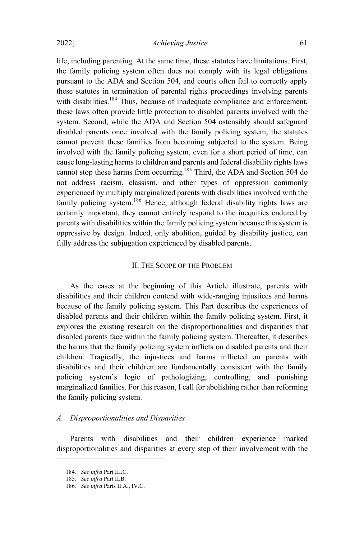life, including parenting. At the same time, these statutes have limitations. First, the family policing system often does not comply with its legal obligations pursuant to the ADA and Section 504, and courts often fail to correctly apply these statutes in termination of parental rights proceedings involving parents with disabilities.<sup>184</sup> Thus, because of inadequate compliance and enforcement, these laws often provide little protection to disabled parents involved with the system. Second, while the ADA and Section 504 ostensibly should safeguard disabled parents once involved with the family policing system, the statutes cannot prevent these families from becoming subjected to the system. Being involved with the family policing system, even for a short period of time, can cause long-lasting harms to children and parents and federal disability rights laws cannot stop these harms from occurring.<sup>185</sup> Third, the ADA and Section 504 do not address racism, classism, and other types of oppression commonly experienced by multiply marginalized parents with disabilities involved with the family policing system.<sup>186</sup> Hence, although federal disability rights laws are certainly important, they cannot entirely respond to the inequities endured by parents with disabilities within the family policing system because this system is oppressive by design. Indeed, only abolition, guided by disability justice, can fully address the subjugation experienced by disabled parents.

## II. THE SCOPE OF THE PROBLEM

As the cases at the beginning of this Article illustrate, parents with disabilities and their children contend with wide-ranging injustices and harms because of the family policing system. This Part describes the experiences of disabled parents and their children within the family policing system. First, it explores the existing research on the disproportionalities and disparities that disabled parents face within the family policing system. Thereafter, it describes the harms that the family policing system inflicts on disabled parents and their children. Tragically, the injustices and harms inflicted on parents with disabilities and their children are fundamentally consistent with the family policing system's logic of pathologizing, controlling, and punishing marginalized families. For this reason, I call for abolishing rather than reforming the family policing system.

#### *A. Disproportionalities and Disparities*

Parents with disabilities and their children experience marked disproportionalities and disparities at every step of their involvement with the

<sup>184</sup>*. See infra* Part III.C.

<sup>185</sup>*. See infra* Part II.B.

<sup>186</sup>*. See infra* Parts II.A., IV.C.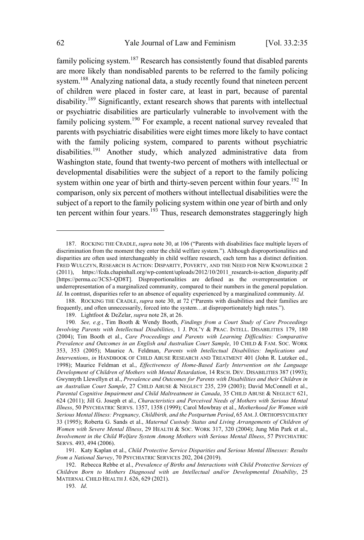family policing system.<sup>187</sup> Research has consistently found that disabled parents are more likely than nondisabled parents to be referred to the family policing system.<sup>188</sup> Analyzing national data, a study recently found that nineteen percent of children were placed in foster care, at least in part, because of parental disability.<sup>189</sup> Significantly, extant research shows that parents with intellectual or psychiatric disabilities are particularly vulnerable to involvement with the family policing system.<sup>190</sup> For example, a recent national survey revealed that parents with psychiatric disabilities were eight times more likely to have contact with the family policing system, compared to parents without psychiatric disabilities.<sup>191</sup> Another study, which analyzed administrative data from Washington state, found that twenty-two percent of mothers with intellectual or developmental disabilities were the subject of a report to the family policing system within one year of birth and thirty-seven percent within four years.<sup>192</sup> In comparison, only six percent of mothers without intellectual disabilities were the subject of a report to the family policing system within one year of birth and only ten percent within four years.<sup>193</sup> Thus, research demonstrates staggeringly high

<sup>187.</sup> ROCKING THE CRADLE, *supra* note 30, at 106 ("Parents with disabilities face multiple layers of discrimination from the moment they enter the child welfare system."). Although disproportionalities and disparities are often used interchangeably in child welfare research, each term has a distinct definition. FRED WULCZYN, RESEARCH IS ACTION: DISPARITY, POVERTY, AND THE NEED FOR NEW KNOWLEDGE 2 (2011), https://fcda.chapinhall.org/wp-content/uploads/2012/10/2011\_research-is-action\_disparity.pdf [https://perma.cc/3CS3-QD8T]. Disproportionalities are defined as the overrepresentation or underrepresentation of a marginalized community, compared to their numbers in the general population. *Id*. In contrast, disparities refer to an absence of equality experienced by a marginalized community. *Id*.

<sup>188.</sup> ROCKING THE CRADLE, *supra* note 30, at 72 ("Parents with disabilities and their families are frequently, and often unnecessarily, forced into the system…at disproportionately high rates.").

<sup>189.</sup> Lightfoot & DeZelar, *supra* note 28, at 26.

<sup>190</sup>*. See, e.g.*, Tim Booth & Wendy Booth, *Findings from a Court Study of Care Proceedings Involving Parents with Intellectual Disabilities*, 1 J. POL'<sup>Y</sup> & PRAC. INTELL. DISABILITIES 179, 180 (2004); Tim Booth et al., *Care Proceedings and Parents with Learning Difficulties: Comparative Prevalence and Outcomes in an English and Australian Court Sample*, 10 CHILD & FAM. SOC. WORK 353, 353 (2005); Maurice A. Feldman, *Parents with Intellectual Disabilities: Implications and Interventions*, *in* HANDBOOK OF CHILD ABUSE RESEARCH AND TREATMENT 401 (John R. Lutzker ed., 1998); Maurice Feldman et al., *Effectiveness of Home-Based Early Intervention on the Language Development of Children of Mothers with Mental Retardation*, 14 RSCH. DEV. DISABILITIES 387 (1993); Gwynnyth Llewellyn et al., *Prevalence and Outcomes for Parents with Disabilities and their Children in an Australian Court Sample*, 27 CHILD ABUSE & NEGLECT 235, 239 (2003); David McConnell et al., *Parental Cognitive Impairment and Child Maltreatment in Canada*, 35 CHILD ABUSE & NEGLECT 621, 624 (2011); Jill G. Joseph et al., *Characteristics and Perceived Needs of Mothers with Serious Mental Illness*, 50 PSYCHIATRIC SERVS. 1357, 1358 (1999); Carol Mowbray et al., *Motherhood for Women with Serious Mental Illness: Pregnancy, Childbirth, and the Postpartum Period*, 65 AM.J. ORTHOPSYCHIATRY 33 (1995); Roberta G. Sands et al., *Maternal Custody Status and Living Arrangements of Children of Women with Severe Mental Illness*, 29 HEALTH & SOC. WORK 317, 320 (2004); Jung Min Park et al., *Involvement in the Child Welfare System Among Mothers with Serious Mental Illness*, 57 PSYCHIATRIC SERVS. 493, 494 (2006).

<sup>191.</sup> Katy Kaplan et al., *Child Protective Service Disparities and Serious Mental Illnesses: Results from a National Survey*, 70 PSYCHIATRIC SERVICES 202, 204 (2019).

<sup>192.</sup> Rebecca Rebbe et al., *Prevalence of Births and Interactions with Child Protective Services of Children Born to Mothers Diagnosed with an Intellectual and/or Developmental Disability*, 25 MATERNAL CHILD HEALTH J. 626, 629 (2021).

<sup>193</sup>*. Id*.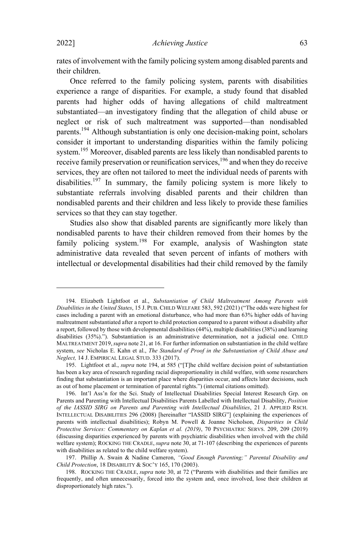rates of involvement with the family policing system among disabled parents and their children.

Once referred to the family policing system, parents with disabilities experience a range of disparities. For example, a study found that disabled parents had higher odds of having allegations of child maltreatment substantiated—an investigatory finding that the allegation of child abuse or neglect or risk of such maltreatment was supported—than nondisabled parents. <sup>194</sup> Although substantiation is only one decision-making point, scholars consider it important to understanding disparities within the family policing system.<sup>195</sup> Moreover, disabled parents are less likely than nondisabled parents to receive family preservation or reunification services,<sup>196</sup> and when they do receive services, they are often not tailored to meet the individual needs of parents with disabilities.<sup>197</sup> In summary, the family policing system is more likely to substantiate referrals involving disabled parents and their children than nondisabled parents and their children and less likely to provide these families services so that they can stay together.

Studies also show that disabled parents are significantly more likely than nondisabled parents to have their children removed from their homes by the family policing system.<sup>198</sup> For example, analysis of Washington state administrative data revealed that seven percent of infants of mothers with intellectual or developmental disabilities had their child removed by the family

<sup>194.</sup> Elizabeth Lightfoot et al., *Substantiation of Child Maltreatment Among Parents with Disabilities in the United States*, 15 J. PUB. CHILD WELFARE 583, 592 (2021) ("The odds were highest for cases including a parent with an emotional disturbance, who had more than 63% higher odds of having maltreatment substantiated after a report to child protection compared to a parent without a disability after a report, followed by those with developmental disabilities (44%), multiple disabilities (38%) and learning disabilities (35%)."). Substantiation is an administrative determination, not a judicial one. CHILD MALTREATMENT 2019,*supra* note 21, at 16. For further information on substantiation in the child welfare system, *see* Nicholas E. Kahn et al., *The Standard of Proof in the Substantiation of Child Abuse and Neglect,* 14 J. EMPIRICAL LEGAL STUD. 333 (2017).

<sup>195.</sup> Lightfoot et al., *supra* note 194, at 585 ("[T]he child welfare decision point of substantiation has been a key area of research regarding racial disproportionality in child welfare, with some researchers finding that substantiation is an important place where disparities occur, and affects later decisions, such as out of home placement or termination of parental rights.") (internal citations omitted).

<sup>196.</sup> Int'l Ass'n for the Sci. Study of Intellectual Disabilities Special Interest Research Grp. on Parents and Parenting with Intellectual Disabilities Parents Labelled with Intellectual Disability, *Position of the IASSID SIRG on Parents and Parenting with Intellectual Disabilities*, 21 J. APPLIED RSCH. INTELLECTUAL DISABILITIES 296 (2008) [hereinafter "IASSID SIRG"] (explaining the experiences of parents with intellectual disabilities); Robyn M. Powell & Joanne Nicholson, *Disparities in Child Protective Services: Commentary on Kaplan et al. (2019)*, 70 PSYCHIATRIC SERVS. 209, 209 (2019) (discussing disparities experienced by parents with psychiatric disabilities when involved with the child welfare system); ROCKING THE CRADLE, *supra* note 30, at 71-107 (describing the experiences of parents with disabilities as related to the child welfare system).

<sup>197.</sup> Phillip A. Swain & Nadine Cameron, *"Good Enough Parenting;" Parental Disability and Child Protection*, 18 DISABILITY & SOC'<sup>Y</sup> 165, 170 (2003).

<sup>198.</sup> ROCKING THE CRADLE, *supra* note 30, at 72 ("Parents with disabilities and their families are frequently, and often unnecessarily, forced into the system and, once involved, lose their children at disproportionately high rates.").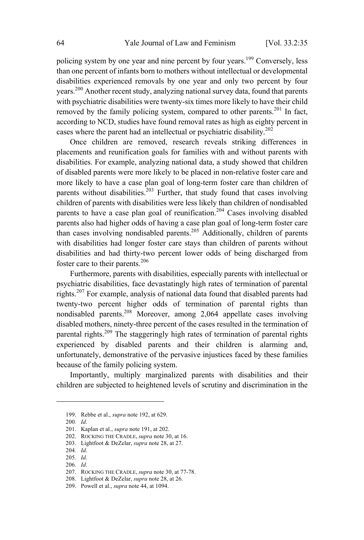policing system by one year and nine percent by four years.<sup>199</sup> Conversely, less than one percent of infants born to mothers without intellectual or developmental disabilities experienced removals by one year and only two percent by four years.<sup>200</sup> Another recent study, analyzing national survey data, found that parents with psychiatric disabilities were twenty-six times more likely to have their child removed by the family policing system, compared to other parents.<sup>201</sup> In fact, according to NCD, studies have found removal rates as high as eighty percent in cases where the parent had an intellectual or psychiatric disability.<sup>202</sup>

Once children are removed, research reveals striking differences in placements and reunification goals for families with and without parents with disabilities. For example, analyzing national data, a study showed that children of disabled parents were more likely to be placed in non-relative foster care and more likely to have a case plan goal of long-term foster care than children of parents without disabilities. $2^{03}$  Further, that study found that cases involving children of parents with disabilities were less likely than children of nondisabled parents to have a case plan goal of reunification.<sup>204</sup> Cases involving disabled parents also had higher odds of having a case plan goal of long-term foster care than cases involving nondisabled parents.<sup>205</sup> Additionally, children of parents with disabilities had longer foster care stays than children of parents without disabilities and had thirty-two percent lower odds of being discharged from foster care to their parents. 206

Furthermore, parents with disabilities, especially parents with intellectual or psychiatric disabilities, face devastatingly high rates of termination of parental rights.<sup>207</sup> For example, analysis of national data found that disabled parents had twenty-two percent higher odds of termination of parental rights than nondisabled parents. <sup>208</sup> Moreover, among 2,064 appellate cases involving disabled mothers, ninety-three percent of the cases resulted in the termination of parental rights.<sup>209</sup> The staggeringly high rates of termination of parental rights experienced by disabled parents and their children is alarming and, unfortunately, demonstrative of the pervasive injustices faced by these families because of the family policing system.

Importantly, multiply marginalized parents with disabilities and their children are subjected to heightened levels of scrutiny and discrimination in the

<sup>199.</sup> Rebbe et al., *supra* note 192, at 629.

<sup>200</sup>*. Id*.

<sup>201.</sup> Kaplan et al., *supra* note 191, at 202.

<sup>202.</sup> ROCKING THE CRADLE, *supra* note 30, at 16.

<sup>203.</sup> Lightfoot & DeZelar, *supra* note 28, at 27.

<sup>204</sup>*. Id*.

<sup>205</sup>*. Id*.

<sup>206</sup>*. Id*.

<sup>207.</sup> ROCKING THE CRADLE, *supra* note 30, at 77-78.

<sup>208.</sup> Lightfoot & DeZelar, *supra* note 28, at 26.

<sup>209.</sup> Powell et al., *supra* note 44, at 1094.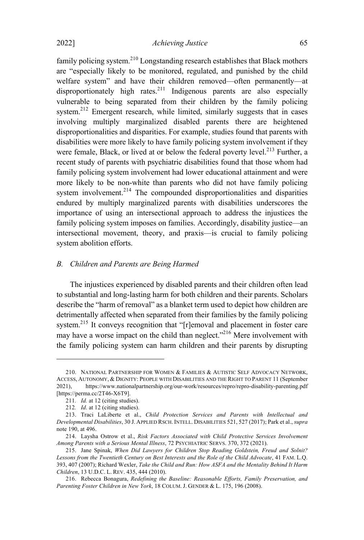family policing system.<sup>210</sup> Longstanding research establishes that Black mothers are "especially likely to be monitored, regulated, and punished by the child welfare system" and have their children removed—often permanently—at disproportionately high rates. <sup>211</sup> Indigenous parents are also especially vulnerable to being separated from their children by the family policing system.<sup>212</sup> Emergent research, while limited, similarly suggests that in cases involving multiply marginalized disabled parents there are heightened disproportionalities and disparities. For example, studies found that parents with disabilities were more likely to have family policing system involvement if they were female, Black, or lived at or below the federal poverty level.<sup>213</sup> Further, a recent study of parents with psychiatric disabilities found that those whom had family policing system involvement had lower educational attainment and were more likely to be non-white than parents who did not have family policing system involvement.<sup>214</sup> The compounded disproportionalities and disparities endured by multiply marginalized parents with disabilities underscores the importance of using an intersectional approach to address the injustices the family policing system imposes on families. Accordingly, disability justice—an intersectional movement, theory, and praxis—is crucial to family policing system abolition efforts.

#### *B. Children and Parents are Being Harmed*

The injustices experienced by disabled parents and their children often lead to substantial and long-lasting harm for both children and their parents. Scholars describe the "harm of removal" as a blanket term used to depict how children are detrimentally affected when separated from their families by the family policing system.<sup>215</sup> It conveys recognition that "[r]emoval and placement in foster care may have a worse impact on the child than neglect."<sup>216</sup> Mere involvement with the family policing system can harm children and their parents by disrupting

<sup>210.</sup> NATIONAL PARTNERSHIP FOR WOMEN & FAMILIES & AUTISTIC SELF ADVOCACY NETWORK, ACCESS, AUTONOMY, & DIGNITY: PEOPLE WITH DISABILITIES AND THE RIGHT TO PARENT 11 (September 2021), https://www.nationalpartnership.org/our-work/resources/repro/repro-disability-parenting.pdf [https://perma.cc/2T46-X6T9].

<sup>211</sup>*. Id.* at 12 (citing studies).

<sup>212</sup>*. Id*. at 12 (citing studies).

<sup>213.</sup> Traci LaLiberte et al., *Child Protection Services and Parents with Intellectual and Developmental Disabilities*, 30 J. APPLIED RSCH. INTELL. DISABILITIES 521, 527 (2017); Park et al., *supra* note 190, at 496.

<sup>214.</sup> Laysha Ostrow et al., *Risk Factors Associated with Child Protective Services Involvement Among Parents with a Serious Mental Illness*, 72 PSYCHIATRIC SERVS. 370, 372 (2021).

<sup>215.</sup> Jane Spinak, *When Did Lawyers for Children Stop Reading Goldstein, Freud and Solnit? Lessons from the Twentieth Century on Best Interests and the Role of the Child Advocate*, 41 FAM. L.Q. 393, 407 (2007); Richard Wexler, *Take the Child and Run: How ASFA and the Mentality Behind It Harm Children*, 13 U.D.C. L. REV. 435, 444 (2010).

<sup>216.</sup> Rebecca Bonagura, *Redefining the Baseline: Reasonable Efforts, Family Preservation, and Parenting Foster Children in New York*, 18 COLUM. J. GENDER & L. 175, 196 (2008).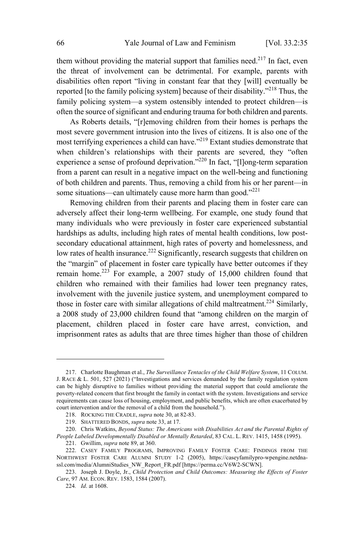them without providing the material support that families need.<sup>217</sup> In fact, even the threat of involvement can be detrimental. For example, parents with disabilities often report "living in constant fear that they [will] eventually be reported [to the family policing system] because of their disability." <sup>218</sup> Thus, the family policing system—a system ostensibly intended to protect children—is often the source of significant and enduring trauma for both children and parents.

As Roberts details, "[r]emoving children from their homes is perhaps the most severe government intrusion into the lives of citizens. It is also one of the most terrifying experiences a child can have."<sup>219</sup> Extant studies demonstrate that when children's relationships with their parents are severed, they "often experience a sense of profound deprivation."<sup>220</sup> In fact, "[l]ong-term separation from a parent can result in a negative impact on the well-being and functioning of both children and parents. Thus, removing a child from his or her parent—in some situations—can ultimately cause more harm than good." $^{221}$ 

Removing children from their parents and placing them in foster care can adversely affect their long-term wellbeing. For example, one study found that many individuals who were previously in foster care experienced substantial hardships as adults, including high rates of mental health conditions, low postsecondary educational attainment, high rates of poverty and homelessness, and low rates of health insurance.<sup>222</sup> Significantly, research suggests that children on the "margin" of placement in foster care typically have better outcomes if they remain home.<sup>223</sup> For example, a 2007 study of 15,000 children found that children who remained with their families had lower teen pregnancy rates, involvement with the juvenile justice system, and unemployment compared to those in foster care with similar allegations of child maltreatment.<sup>224</sup> Similarly, a 2008 study of 23,000 children found that "among children on the margin of placement, children placed in foster care have arrest, conviction, and imprisonment rates as adults that are three times higher than those of children

<sup>217.</sup> Charlotte Baughman et al., *The Surveillance Tentacles of the Child Welfare System*, 11 COLUM. J. RACE & L. 501, 527 (2021) ("Investigations and services demanded by the family regulation system can be highly disruptive to families without providing the material support that could ameliorate the poverty-related concern that first brought the family in contact with the system. Investigations and service requirements can cause loss of housing, employment, and public benefits, which are often exacerbated by court intervention and/or the removal of a child from the household.").

<sup>218.</sup> ROCKING THE CRADLE, *supra* note 30, at 82-83.

<sup>219.</sup> SHATTERED BONDS, *supra* note 33, at 17.

<sup>220.</sup> Chris Watkins, *Beyond Status: The Americans with Disabilities Act and the Parental Rights of People Labeled Developmentally Disabled or Mentally Retarded*, 83 CAL. L. REV. 1415, 1458 (1995).

<sup>221.</sup> Gwillim, *supra* note 89, at 360.

<sup>222.</sup> CASEY FAMILY PROGRAMS, IMPROVING FAMILY FOSTER CARE: FINDINGS FROM THE NORTHWEST FOSTER CARE ALUMNI STUDY 1-2 (2005), https://caseyfamilypro-wpengine.netdnassl.com/media/AlumniStudies\_NW\_Report\_FR.pdf [https://perma.cc/V6W2-SCWN].

<sup>223.</sup> Joseph J. Doyle, Jr., *Child Protection and Child Outcomes: Measuring the Effects of Foster Care*, 97 AM. ECON. REV. 1583, 1584 (2007).

<sup>224</sup>*. Id*. at 1608.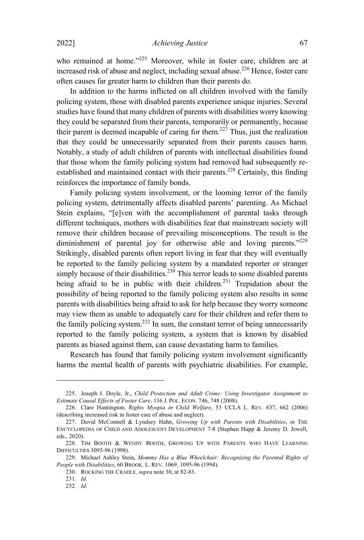who remained at home."<sup>225</sup> Moreover, while in foster care, children are at increased risk of abuse and neglect, including sexual abuse. <sup>226</sup> Hence, foster care often causes far greater harm to children than their parents do.

In addition to the harms inflicted on all children involved with the family policing system, those with disabled parents experience unique injuries. Several studies have found that many children of parents with disabilities worry knowing they could be separated from their parents, temporarily or permanently, because their parent is deemed incapable of caring for them.<sup>227</sup> Thus, just the realization that they could be unnecessarily separated from their parents causes harm. Notably, a study of adult children of parents with intellectual disabilities found that those whom the family policing system had removed had subsequently reestablished and maintained contact with their parents.<sup>228</sup> Certainly, this finding reinforces the importance of family bonds.

Family policing system involvement, or the looming terror of the family policing system, detrimentally affects disabled parents' parenting. As Michael Stein explains, "[e]ven with the accomplishment of parental tasks through different techniques, mothers with disabilities fear that mainstream society will remove their children because of prevailing misconceptions. The result is the diminishment of parental joy for otherwise able and loving parents."<sup>229</sup> Strikingly, disabled parents often report living in fear that they will eventually be reported to the family policing system by a mandated reporter or stranger simply because of their disabilities.<sup>230</sup> This terror leads to some disabled parents being afraid to be in public with their children.<sup>231</sup> Trepidation about the possibility of being reported to the family policing system also results in some parents with disabilities being afraid to ask for help because they worry someone may view them as unable to adequately care for their children and refer them to the family policing system. <sup>232</sup> In sum, the constant terror of being unnecessarily reported to the family policing system, a system that is known by disabled parents as biased against them, can cause devastating harm to families.

Research has found that family policing system involvement significantly harms the mental health of parents with psychiatric disabilities. For example,

<sup>225.</sup> Joseph J. Doyle, Jr., *Child Protection and Adult Crime: Using Investigator Assignment to Estimate Causal Effects of Foster Care*, 116 J. POL. ECON. 746, 748 (2008).

<sup>226.</sup> Clare Huntington, *Rights Myopia in Child Welfare*, 53 UCLA L. REV. 637, 662 (2006) (describing increased risk in foster care of abuse and neglect).

<sup>227.</sup> David McConnell & Lyndsey Hahn, *Growing Up with Parents with Disabilities*, *in* THE ENCYCLOPEDIA OF CHILD AND ADOLESCENT DEVELOPMENT 7-8 (Stephen Hupp & Jeremy D. Jewell, eds., 2020).

<sup>228.</sup> TIM BOOTH & WENDY BOOTH, GROWING UP WITH PARENTS WHO HAVE LEARNING DIFFICULTIES 1095-96 (1998).

<sup>229.</sup> Michael Ashley Stein, *Mommy Has a Blue Wheelchair: Recognizing the Parental Rights of People with Disabilities*, 60 BROOK. L. REV. 1069, 1095-96 (1994).

<sup>230.</sup> ROCKING THE CRADLE*, supra* note 30, at 82-83.

<sup>231</sup>*. Id.*

<sup>232</sup>*. Id.*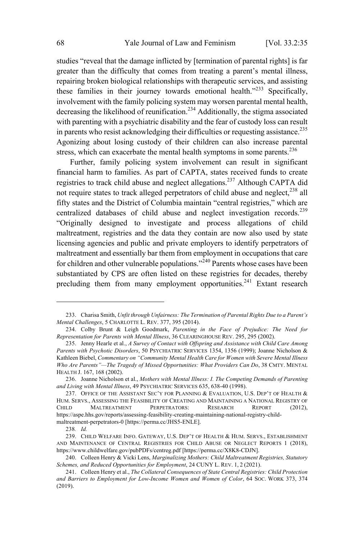studies "reveal that the damage inflicted by [termination of parental rights] is far greater than the difficulty that comes from treating a parent's mental illness, repairing broken biological relationships with therapeutic services, and assisting these families in their journey towards emotional health." $233$  Specifically, involvement with the family policing system may worsen parental mental health, decreasing the likelihood of reunification. <sup>234</sup> Additionally, the stigma associated with parenting with a psychiatric disability and the fear of custody loss can result in parents who resist acknowledging their difficulties or requesting assistance. 235 Agonizing about losing custody of their children can also increase parental stress, which can exacerbate the mental health symptoms in some parents. $236$ 

Further, family policing system involvement can result in significant financial harm to families. As part of CAPTA, states received funds to create registries to track child abuse and neglect allegations.<sup>237</sup> Although CAPTA did not require states to track alleged perpetrators of child abuse and neglect, <sup>238</sup> all fifty states and the District of Columbia maintain "central registries," which are centralized databases of child abuse and neglect investigation records. 239 "Originally designed to investigate and process allegations of child maltreatment, registries and the data they contain are now also used by state licensing agencies and public and private employers to identify perpetrators of maltreatment and essentially bar them from employment in occupations that care for children and other vulnerable populations."<sup>240</sup> Parents whose cases have been substantiated by CPS are often listed on these registries for decades, thereby precluding them from many employment opportunities.<sup>241</sup> Extant research

<sup>233.</sup> Charisa Smith, *Unfit through Unfairness: The Termination of Parental Rights Due to a Parent's Mental Challenges*, 5 CHARLOTTE L. REV. 377, 395 (2014).

<sup>234.</sup> Colby Brunt & Leigh Goodmark, *Parenting in the Face of Prejudice: The Need for Representation for Parents with Mental Illness*, 36 CLEARINGHOUSE REV. 295, 295 (2002).

<sup>235.</sup> Jenny Hearle et al., *A Survey of Contact with Offspring and Assistance with Child Care Among Parents with Psychotic Disorders*, 50 PSYCHIATRIC SERVICES 1354, 1356 (1999); Joanne Nicholson & Kathleen Biebel, *Commentary on "Community Mental Health Care for Women with Severe Mental Illness Who Are Parents"—The Tragedy of Missed Opportunities: What Providers Can Do*, 38 CMTY. MENTAL HEALTH J. 167, 168 (2002).

<sup>236.</sup> Joanne Nicholson et al., *Mothers with Mental Illness: I. The Competing Demands of Parenting and Living with Mental Illness*, 49 PSYCHIATRIC SERVICES 635, 638-40 (1998).

<sup>237.</sup> OFFICE OF THE ASSISTANT SEC'Y FOR PLANNING & EVALUATION, U.S. DEP'T OF HEALTH & HUM. SERVS., ASSESSING THE FEASIBILITY OF CREATING AND MAINTAINING A NATIONAL REGISTRY OF CHILD MALTREATMENT PERPETRATORS: RESEARCH REPORT (2012), https://aspe.hhs.gov/reports/assessing-feasibility-creating-maintaining-national-registry-childmaltreatment-perpetrators-0 [https://perma.cc/JHS5-ENLE].

<sup>238</sup>*. Id.*

<sup>239.</sup> CHILD WELFARE INFO. GATEWAY, U.S. DEP'T OF HEALTH & HUM. SERVS., ESTABLISHMENT AND MAINTENANCE OF CENTRAL REGISTRIES FOR CHILD ABUSE OR NEGLECT REPORTS 1 (2018), https://www.childwelfare.gov/pubPDFs/centreg.pdf [https://perma.cc/X8K8-CDJN].

<sup>240.</sup> Colleen Henry & Vicki Lens, *Marginalizing Mothers: Child Maltreatment Registries, Statutory Schemes, and Reduced Opportunities for Employment*, 24 CUNY L. REV. 1, 2 (2021).

<sup>241.</sup> Colleen Henry et al., *The Collateral Consequences of State Central Registries: Child Protection and Barriers to Employment for Low-Income Women and Women of Color*, 64 SOC. WORK 373, 374 (2019).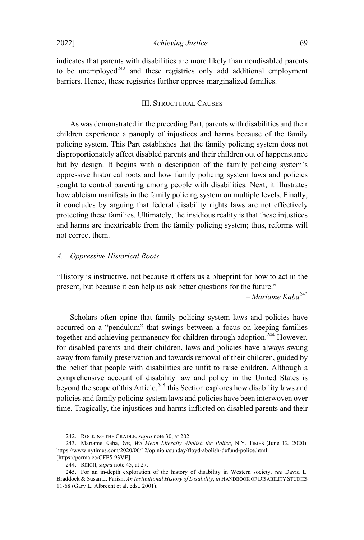2022] *Achieving Justice* 69

indicates that parents with disabilities are more likely than nondisabled parents to be unemployed<sup>242</sup> and these registries only add additional employment barriers. Hence, these registries further oppress marginalized families.

## III. STRUCTURAL CAUSES

As was demonstrated in the preceding Part, parents with disabilities and their children experience a panoply of injustices and harms because of the family policing system. This Part establishes that the family policing system does not disproportionately affect disabled parents and their children out of happenstance but by design. It begins with a description of the family policing system's oppressive historical roots and how family policing system laws and policies sought to control parenting among people with disabilities. Next, it illustrates how ableism manifests in the family policing system on multiple levels. Finally, it concludes by arguing that federal disability rights laws are not effectively protecting these families. Ultimately, the insidious reality is that these injustices and harms are inextricable from the family policing system; thus, reforms will not correct them.

#### *A. Oppressive Historical Roots*

"History is instructive, not because it offers us a blueprint for how to act in the present, but because it can help us ask better questions for the future."

– *Mariame Kaba* 243

Scholars often opine that family policing system laws and policies have occurred on a "pendulum" that swings between a focus on keeping families together and achieving permanency for children through adoption. <sup>244</sup> However, for disabled parents and their children, laws and policies have always swung away from family preservation and towards removal of their children, guided by the belief that people with disabilities are unfit to raise children. Although a comprehensive account of disability law and policy in the United States is beyond the scope of this Article,<sup>245</sup> this Section explores how disability laws and policies and family policing system laws and policies have been interwoven over time. Tragically, the injustices and harms inflicted on disabled parents and their

<sup>242.</sup> ROCKING THE CRADLE, *supra* note 30, at 202.

<sup>243.</sup> Mariame Kaba, *Yes, We Mean Literally Abolish the Police*, N.Y. TIMES (June 12, 2020), https://www.nytimes.com/2020/06/12/opinion/sunday/floyd-abolish-defund-police.html [https://perma.cc/CFF5-93VE].

<sup>244.</sup> REICH, *supra* note 45, at 27.

<sup>245.</sup> For an in-depth exploration of the history of disability in Western society, *see* David L. Braddock & Susan L. Parish, *An Institutional History of Disability*, *in* HANDBOOK OF DISABILITY STUDIES 11-68 (Gary L. Albrecht et al. eds., 2001).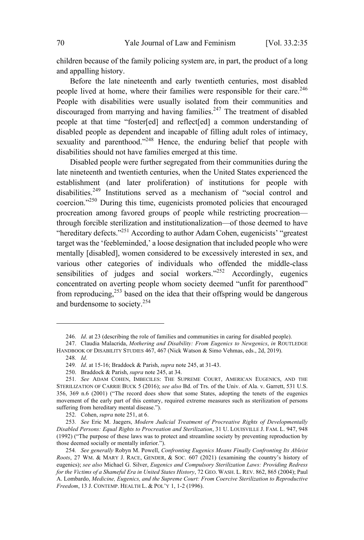children because of the family policing system are, in part, the product of a long and appalling history.

Before the late nineteenth and early twentieth centuries, most disabled people lived at home, where their families were responsible for their care.<sup>246</sup> People with disabilities were usually isolated from their communities and discouraged from marrying and having families.<sup>247</sup> The treatment of disabled people at that time "foster[ed] and reflect[ed] a common understanding of disabled people as dependent and incapable of filling adult roles of intimacy, sexuality and parenthood."<sup>248</sup> Hence, the enduring belief that people with disabilities should not have families emerged at this time.

Disabled people were further segregated from their communities during the late nineteenth and twentieth centuries, when the United States experienced the establishment (and later proliferation) of institutions for people with disabilities.<sup>249</sup> Institutions served as <sup>a</sup> mechanism of "social control and coercion."<sup>250</sup> During this time, eugenicists promoted policies that encouraged procreation among favored groups of people while restricting procreation through forcible sterilization and institutionalization—of those deemed to have "hereditary defects."<sup>251</sup> According to author Adam Cohen, eugenicists' "greatest target was the 'feebleminded,' a loose designation that included people who were mentally [disabled], women considered to be excessively interested in sex, and various other categories of individuals who offended the middle-class sensibilities of judges and social workers."<sup>252</sup> Accordingly, eugenics concentrated on averting people whom society deemed "unfit for parenthood" from reproducing, $253$  based on the idea that their offspring would be dangerous and burdensome to society. 254

<sup>246</sup>*. Id*. at 23 (describing the role of families and communities in caring for disabled people).

<sup>247.</sup> Claudia Malacrida, *Mothering and Disability: From Eugenics to Newgenics*, *in* ROUTLEDGE HANDBOOK OF DISABILITY STUDIES 467, 467 (Nick Watson & Simo Vehmas, eds., 2d, 2019).

<sup>248</sup>*. Id*.

<sup>249</sup>*. Id*. at 15-16; Braddock & Parish, *supra* note 245, at 31-43.

<sup>250.</sup> Braddock & Parish, *supra* note 245, at 34.

<sup>251</sup>*. See* ADAM COHEN, IMBECILES: THE SUPREME COURT, AMERICAN EUGENICS, AND THE STERILIZATION OF CARRIE BUCK 5 (2016); *see also* Bd. of Trs. of the Univ. of Ala. v. Garrett, 531 U.S. 356, 369 n.6 (2001) ("The record does show that some States, adopting the tenets of the eugenics movement of the early part of this century, required extreme measures such as sterilization of persons suffering from hereditary mental disease.").

<sup>252.</sup> Cohen, *supra* note 251, at 6.

<sup>253</sup>*. See* Eric M. Jaegers, *Modern Judicial Treatment of Procreative Rights of Developmentally Disabled Persons: Equal Rights to Procreation and Sterilization*, 31 U. LOUISVILLE J. FAM. L. 947, 948 (1992) ("The purpose of these laws was to protect and streamline society by preventing reproduction by those deemed socially or mentally inferior.").

<sup>254</sup>*. See generally* Robyn M. Powell, *Confronting Eugenics Means Finally Confronting Its Ableist Roots*, 27 WM. & MARY J. RACE, GENDER, & SOC. 607 (2021) (examining the country's history of eugenics); *see also* Michael G. Silver, *Eugenics and Compulsory Sterilization Laws: Providing Redress for the Victims of a Shameful Era in United States History*, 72 GEO. WASH. L. REV. 862, 865 (2004); Paul A. Lombardo, *Medicine, Eugenics, and the Supreme Court: From Coercive Sterilization to Reproductive Freedom*, 13 J. CONTEMP. HEALTH L. & POL'<sup>Y</sup> 1, 1-2 (1996).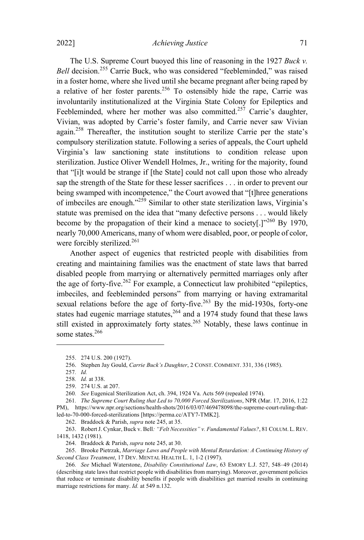## 2022] *Achieving Justice* 71

The U.S. Supreme Court buoyed this line of reasoning in the 1927 *Buck v. Bell* decision. <sup>255</sup> Carrie Buck, who was considered "feebleminded," was raised in a foster home, where she lived until she became pregnant after being raped by a relative of her foster parents.<sup>256</sup> To ostensibly hide the rape, Carrie was involuntarily institutionalized at the Virginia State Colony for Epileptics and Feebleminded, where her mother was also committed.<sup>257</sup> Carrie's daughter, Vivian, was adopted by Carrie's foster family, and Carrie never saw Vivian again.<sup>258</sup> Thereafter, the institution sought to sterilize Carrie per the state's compulsory sterilization statute. Following a series of appeals, the Court upheld Virginia's law sanctioning state institutions to condition release upon sterilization. Justice Oliver Wendell Holmes, Jr., writing for the majority, found that "[i]t would be strange if [the State] could not call upon those who already sap the strength of the State for these lesser sacrifices . . . in order to prevent our being swamped with incompetence," the Court avowed that "[t]hree generations of imbeciles are enough."<sup>259</sup> Similar to other state sterilization laws, Virginia's statute was premised on the idea that "many defective persons . . . would likely become by the propagation of their kind a menace to society[.] $1^{260}$  By 1970, nearly 70,000 Americans, many of whom were disabled, poor, or people of color, were forcibly sterilized.<sup>261</sup>

Another aspect of eugenics that restricted people with disabilities from creating and maintaining families was the enactment of state laws that barred disabled people from marrying or alternatively permitted marriages only after the age of forty-five.<sup>262</sup> For example, a Connecticut law prohibited "epileptics, imbeciles, and feebleminded persons" from marrying or having extramarital sexual relations before the age of forty-five.<sup>263</sup> By the mid-1930s, forty-one states had eugenic marriage statutes, $264$  and a 1974 study found that these laws still existed in approximately forty states. <sup>265</sup> Notably, these laws continue in some states. 266

265. Brooke Pietrzak, *Marriage Laws and People with Mental Retardation: A Continuing History of Second Class Treatment*, 17 DEV. MENTAL HEALTH L. 1, 1-2 (1997).

<sup>255.</sup> 274 U.S. 200 (1927).

<sup>256.</sup> Stephen Jay Gould, *Carrie Buck's Daughter*, 2 CONST. COMMENT. 331, 336 (1985).

<sup>257</sup>*. Id.*

<sup>258</sup>*. Id.* at 338.

<sup>259.</sup> 274 U.S. at 207.

<sup>260</sup>*. See* Eugenical Sterilization Act, ch. 394, 1924 Va. Acts 569 (repealed 1974).

<sup>261</sup>*. The Supreme Court Ruling that Led to 70,000 Forced Sterilizations*, NPR (Mar. 17, 2016, 1:22 PM), https://www.npr.org/sections/health-shots/2016/03/07/469478098/the-supreme-court-ruling-thatled-to-70-000-forced-sterilizations [https://perma.cc/ATY7-TMK2].

<sup>262.</sup> Braddock & Parish, *supra* note 245, at 35.

<sup>263.</sup> Robert J. Cynkar, Buck v. Bell*: "Felt Necessities" v. Fundamental Values?*, 81 COLUM. L.REV. 1418, 1432 (1981).

<sup>264.</sup> Braddock & Parish, *supra* note 245, at 30.

<sup>266</sup>*. See* Michael Waterstone, *Disability Constitutional Law*, 63 EMORY L.J. 527, 548–49 (2014) (describing state laws that restrict people with disabilities from marrying). Moreover, government policies that reduce or terminate disability benefits if people with disabilities get married results in continuing marriage restrictions for many. *Id.* at 549 n.132.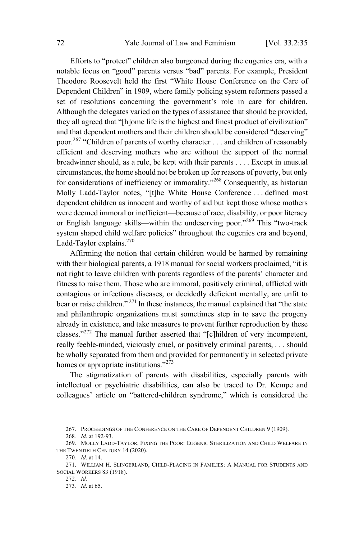Efforts to "protect" children also burgeoned during the eugenics era, with a notable focus on "good" parents versus "bad" parents. For example, President Theodore Roosevelt held the first "White House Conference on the Care of Dependent Children" in 1909, where family policing system reformers passed a set of resolutions concerning the government's role in care for children. Although the delegates varied on the types of assistance that should be provided, they all agreed that "[h]ome life is the highest and finest product of civilization" and that dependent mothers and their children should be considered "deserving" poor. <sup>267</sup> "Children of parents of worthy character . . . and children of reasonably efficient and deserving mothers who are without the support of the normal breadwinner should, as a rule, be kept with their parents . . . . Except in unusual circumstances, the home should not be broken up for reasons of poverty, but only for considerations of inefficiency or immorality."<sup>268</sup> Consequently, as historian Molly Ladd-Taylor notes, "[t]he White House Conference . . . defined most dependent children as innocent and worthy of aid but kept those whose mothers were deemed immoral or inefficient—because of race, disability, or poor literacy or English language skills—within the undeserving poor."<sup>269</sup> This "two-track system shaped child welfare policies" throughout the eugenics era and beyond, Ladd-Taylor explains.<sup>270</sup>

Affirming the notion that certain children would be harmed by remaining with their biological parents, a 1918 manual for social workers proclaimed, "it is not right to leave children with parents regardless of the parents' character and fitness to raise them. Those who are immoral, positively criminal, afflicted with contagious or infectious diseases, or decidedly deficient mentally, are unfit to bear or raise children." <sup>271</sup> In these instances, the manual explained that "the state and philanthropic organizations must sometimes step in to save the progeny already in existence, and take measures to prevent further reproduction by these classes."<sup>272</sup> The manual further asserted that "[c]hildren of very incompetent, really feeble-minded, viciously cruel, or positively criminal parents, . . . should be wholly separated from them and provided for permanently in selected private homes or appropriate institutions."<sup>273</sup>

The stigmatization of parents with disabilities, especially parents with intellectual or psychiatric disabilities, can also be traced to Dr. Kempe and colleagues' article on "battered-children syndrome," which is considered the

<sup>267.</sup> PROCEEDINGS OF THE CONFERENCE ON THE CARE OF DEPENDENT CHILDREN 9 (1909).

<sup>268</sup>*. Id*. at 192-93.

<sup>269.</sup> MOLLY LADD-TAYLOR, FIXING THE POOR: EUGENIC STERILIZATION AND CHILD WELFARE IN THE TWENTIETH CENTURY 14 (2020).

<sup>270</sup>*. Id*. at 14.

<sup>271.</sup> WILLIAM H. SLINGERLAND, CHILD-PLACING IN FAMILIES: A MANUAL FOR STUDENTS AND SOCIAL WORKERS 83 (1918).

<sup>272</sup>*. Id.*

<sup>273</sup>*. Id*. at 65.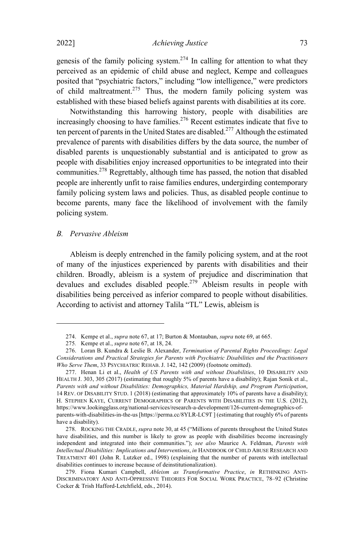genesis of the family policing system. <sup>274</sup> In calling for attention to what they perceived as an epidemic of child abuse and neglect, Kempe and colleagues posited that "psychiatric factors," including "low intelligence," were predictors of child maltreatment.<sup>275</sup> Thus, the modern family policing system was established with these biased beliefs against parents with disabilities at its core.

Notwithstanding this harrowing history, people with disabilities are increasingly choosing to have families.<sup>276</sup> Recent estimates indicate that five to ten percent of parents in the United States are disabled.<sup>277</sup> Although the estimated prevalence of parents with disabilities differs by the data source, the number of disabled parents is unquestionably substantial and is anticipated to grow as people with disabilities enjoy increased opportunities to be integrated into their communities.<sup>278</sup> Regrettably, although time has passed, the notion that disabled people are inherently unfit to raise families endures, undergirding contemporary family policing system laws and policies. Thus, as disabled people continue to become parents, many face the likelihood of involvement with the family policing system.

### *B. Pervasive Ableism*

Ableism is deeply entrenched in the family policing system, and at the root of many of the injustices experienced by parents with disabilities and their children. Broadly, ableism is a system of prejudice and discrimination that devalues and excludes disabled people.<sup>279</sup> Ableism results in people with disabilities being perceived as inferior compared to people without disabilities. According to activist and attorney Talila "TL" Lewis, ableism is

<sup>274.</sup> Kempe et al., *supra* note 67, at 17; Burton & Montauban, *supra* note 69, at 665.

<sup>275</sup>*.* Kempe et al., *supra* note 67, at 18, 24.

<sup>276.</sup> Loran B. Kundra & Leslie B. Alexander, *Termination of Parental Rights Proceedings: Legal Considerations and Practical Strategies for Parents with Psychiatric Disabilities and the Practitioners Who Serve Them*, 33 PSYCHIATRIC REHAB. J. 142, 142 (2009) (footnote omitted).

<sup>277.</sup> Henan Li et al., *Health of US Parents with and without Disabilities*, 10 DISABILITY AND HEALTH J. 303, 305 (2017) (estimating that roughly 5% of parents have a disability); Rajan Sonik et al., *Parents with and without Disabilities: Demographics, Material Hardship, and Program Participation*, 14 REV. OF DISABILITY STUD. 1 (2018) (estimating that approximately 10% of parents have a disability); H. STEPHEN KAYE, CURRENT DEMOGRAPHICS OF PARENTS WITH DISABILITIES IN THE U.S. (2012), https://www.lookingglass.org/national-services/research-a-development/126-current-demographics-ofparents-with-disabilities-in-the-us [https://perma.cc/8YLR-LC9T ] (estimating that roughly 6% of parents have a disability).

<sup>278.</sup> ROCKING THE CRADLE, *supra* note 30, at 45 ("Millions of parents throughout the United States have disabilities, and this number is likely to grow as people with disabilities become increasingly independent and integrated into their communities."); *see also* Maurice A. Feldman, *Parents with Intellectual Disabilities: Implications and Interventions*, *in* HANDBOOK OF CHILD ABUSE RESEARCH AND TREATMENT 401 (John R. Lutzker ed., 1998) (explaining that the number of parents with intellectual disabilities continues to increase because of deinstitutionalization).

<sup>279.</sup> Fiona Kumari Campbell, *Ableism as Transformative Practice*, *in* RETHINKING ANTI-DISCRIMINATORY AND ANTI-OPPRESSIVE THEORIES FOR SOCIAL WORK PRACTICE, 78–92 (Christine Cocker & Trish Hafford-Letchfield, eds., 2014).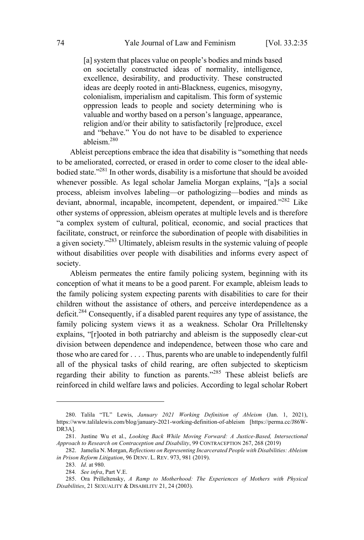[a] system that places value on people's bodies and minds based on societally constructed ideas of normality, intelligence, excellence, desirability, and productivity. These constructed ideas are deeply rooted in anti-Blackness, eugenics, misogyny, colonialism, imperialism and capitalism. This form of systemic oppression leads to people and society determining who is valuable and worthy based on a person's language, appearance, religion and/or their ability to satisfactorily [re]produce, excel and "behave." You do not have to be disabled to experience ableism. 280

Ableist perceptions embrace the idea that disability is "something that needs to be ameliorated, corrected, or erased in order to come closer to the ideal ablebodied state."<sup>281</sup> In other words, disability is a misfortune that should be avoided whenever possible. As legal scholar Jamelia Morgan explains, "[a]s a social process, ableism involves labeling—or pathologizing—bodies and minds as deviant, abnormal, incapable, incompetent, dependent, or impaired."<sup>282</sup> Like other systems of oppression, ableism operates at multiple levels and is therefore "a complex system of cultural, political, economic, and social practices that facilitate, construct, or reinforce the subordination of people with disabilities in a given society." <sup>283</sup> Ultimately, ableism results in the systemic valuing of people without disabilities over people with disabilities and informs every aspect of society.

Ableism permeates the entire family policing system, beginning with its conception of what it means to be a good parent. For example, ableism leads to the family policing system expecting parents with disabilities to care for their children without the assistance of others, and perceive interdependence as a deficit.<sup>284</sup> Consequently, if <sup>a</sup> disabled parent requires any type of assistance, the family policing system views it as a weakness. Scholar Ora Prilleltensky explains, "[r]ooted in both patriarchy and ableism is the supposedly clear-cut division between dependence and independence, between those who care and those who are cared for . . . . Thus, parents who are unable to independently fulfil all of the physical tasks of child rearing, are often subjected to skepticism regarding their ability to function as parents."<sup>285</sup> These ableist beliefs are reinforced in child welfare laws and policies. According to legal scholar Robert

<sup>280.</sup> Talila "TL" Lewis, *January 2021 Working Definition of Ableism* (Jan. 1, 2021), https://www.talilalewis.com/blog/january-2021-working-definition-of-ableism [https://perma.cc/J86W-DR3A].

<sup>281.</sup> Justine Wu et al., *Looking Back While Moving Forward: A Justice-Based, Intersectional Approach to Research on Contraception and Disability*, 99 CONTRACEPTION 267, 268 (2019)

<sup>282.</sup> Jamelia N. Morgan, *Reflections on Representing Incarcerated People with Disabilities: Ableism in Prison Reform Litigation*, 96 DENV. L. REV. 973, 981 (2019).

<sup>283</sup>*. Id*. at 980.

<sup>284</sup>*. See infra*, Part V.E.

<sup>285.</sup> Ora Prilleltensky, *A Ramp to Motherhood: The Experiences of Mothers with Physical Disabilities*, 21 SEXUALITY & DISABILITY 21, 24 (2003).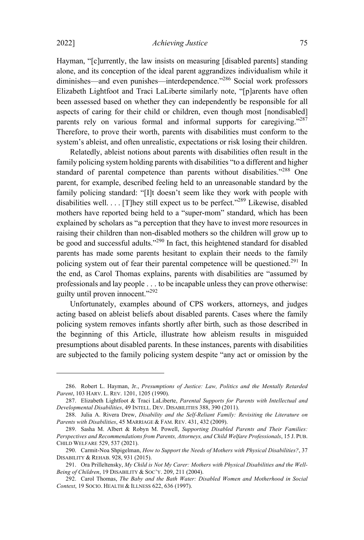Hayman, "[c]urrently, the law insists on measuring [disabled parents] standing alone, and its conception of the ideal parent aggrandizes individualism while it diminishes—and even punishes—interdependence."<sup>286</sup> Social work professors Elizabeth Lightfoot and Traci LaLiberte similarly note, "[p]arents have often been assessed based on whether they can independently be responsible for all aspects of caring for their child or children, even though most [nondisabled] parents rely on various formal and informal supports for caregiving."<sup>287</sup> Therefore, to prove their worth, parents with disabilities must conform to the system's ableist, and often unrealistic, expectations or risk losing their children.

Relatedly, ableist notions about parents with disabilities often result in the family policing system holding parents with disabilities "to a different and higher standard of parental competence than parents without disabilities."<sup>288</sup> One parent, for example, described feeling held to an unreasonable standard by the family policing standard: "[I]t doesn't seem like they work with people with disabilities well.  $\ldots$  [T] hey still expect us to be perfect."<sup>289</sup> Likewise, disabled mothers have reported being held to a "super-mom" standard, which has been explained by scholars as "a perception that they have to invest more resources in raising their children than non-disabled mothers so the children will grow up to be good and successful adults."<sup>290</sup> In fact, this heightened standard for disabled parents has made some parents hesitant to explain their needs to the family policing system out of fear their parental competence will be questioned.<sup>291</sup> In the end, as Carol Thomas explains, parents with disabilities are "assumed by professionals and lay people . . . to be incapable unless they can prove otherwise: guilty until proven innocent."<sup>292</sup>

Unfortunately, examples abound of CPS workers, attorneys, and judges acting based on ableist beliefs about disabled parents. Cases where the family policing system removes infants shortly after birth, such as those described in the beginning of this Article, illustrate how ableism results in misguided presumptions about disabled parents. In these instances, parents with disabilities are subjected to the family policing system despite "any act or omission by the

<sup>286.</sup> Robert L. Hayman, Jr., *Presumptions of Justice: Law, Politics and the Mentally Retarded Parent*, 103 HARV. L. REV. 1201, 1205 (1990).

<sup>287.</sup> Elizabeth Lightfoot & Traci LaLiberte, *Parental Supports for Parents with Intellectual and Developmental Disabilities*, 49 INTELL. DEV. DISABILITIES 388, 390 (2011).

<sup>288.</sup> Julia A. Rivera Drew, *Disability and the Self-Reliant Family: Revisiting the Literature on Parents with Disabilities*, 45 MARRIAGE & FAM. REV. 431, 432 (2009).

<sup>289.</sup> Sasha M. Albert & Robyn M. Powell, *Supporting Disabled Parents and Their Families: Perspectives and Recommendations from Parents, Attorneys, and Child Welfare Professionals*, 15 J. PUB. CHILD WELFARE 529, 537 (2021).

<sup>290.</sup> Carmit-Noa Shpigelman, *How to Support the Needs of Mothers with Physical Disabilities?*, 37 DISABILITY & REHAB. 928, 931 (2015).

<sup>291.</sup> Ora Prilleltensky, *My Child is Not My Carer: Mothers with Physical Disabilities and the Well‐ Being of Children*, 19 DISABILITY & SOC'Y. 209, 211 (2004).

<sup>292.</sup> Carol Thomas, *The Baby and the Bath Water: Disabled Women and Motherhood in Social Context*, 19 SOCIO. HEALTH & ILLNESS 622, 636 (1997).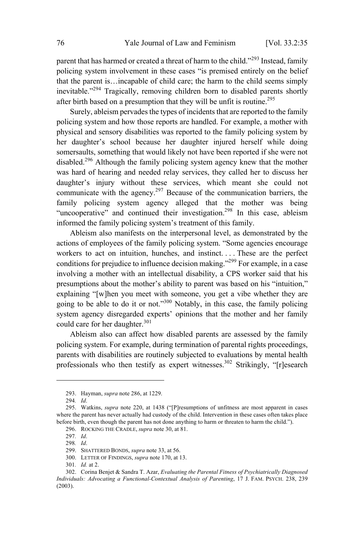parent that has harmed or created a threat of harm to the child."<sup>293</sup> Instead, family policing system involvement in these cases "is premised entirely on the belief that the parent is…incapable of child care; the harm to the child seems simply inevitable."<sup>294</sup> Tragically, removing children born to disabled parents shortly after birth based on a presumption that they will be unfit is routine.<sup>295</sup>

Surely, ableism pervades the types of incidents that are reported to the family policing system and how those reports are handled. For example, a mother with physical and sensory disabilities was reported to the family policing system by her daughter's school because her daughter injured herself while doing somersaults, something that would likely not have been reported if she were not disabled.<sup>296</sup> Although the family policing system agency knew that the mother was hard of hearing and needed relay services, they called her to discuss her daughter's injury without these services, which meant she could not communicate with the agency.<sup>297</sup> Because of the communication barriers, the family policing system agency alleged that the mother was being "uncooperative" and continued their investigation.<sup>298</sup> In this case, ableism informed the family policing system's treatment of this family.

Ableism also manifests on the interpersonal level, as demonstrated by the actions of employees of the family policing system. "Some agencies encourage workers to act on intuition, hunches, and instinct. . . . These are the perfect conditions for prejudice to influence decision making."<sup>299</sup> For example, in a case involving a mother with an intellectual disability, a CPS worker said that his presumptions about the mother's ability to parent was based on his "intuition," explaining "[w]hen you meet with someone, you get a vibe whether they are going to be able to do it or not."<sup>300</sup> Notably, in this case, the family policing system agency disregarded experts' opinions that the mother and her family could care for her daughter.<sup>301</sup>

Ableism also can affect how disabled parents are assessed by the family policing system. For example, during termination of parental rights proceedings, parents with disabilities are routinely subjected to evaluations by mental health professionals who then testify as expert witnesses.<sup>302</sup> Strikingly, "[r]esearch

<sup>293.</sup> Hayman, *supra* note 286, at 1229.

<sup>294</sup>*. Id*.

<sup>295.</sup> Watkins, *supra* note 220, at 1438 ("[P]resumptions of unfitness are most apparent in cases where the parent has never actually had custody of the child. Intervention in these cases often takes place before birth, even though the parent has not done anything to harm or threaten to harm the child.").

<sup>296.</sup> ROCKING THE CRADLE, *supra* note 30, at 81.

<sup>297</sup>*. Id*.

<sup>298</sup>*. Id*.

<sup>299.</sup> SHATTERED BONDS, *supra* note 33, at 56.

<sup>300.</sup> LETTER OF FINDINGS, *supra* note 170, at 13.

<sup>301</sup>*. Id.* at 2.

<sup>302.</sup> Corina Benjet & Sandra T. Azar, *Evaluating the Parental Fitness of Psychiatrically Diagnosed Individuals: Advocating a Functional-Contextual Analysis of Parenting*, 17 J. FAM. PSYCH. 238, 239 (2003).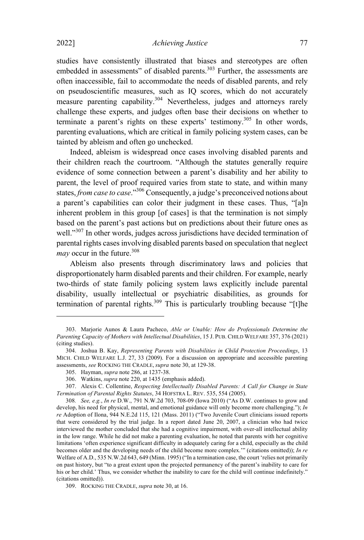studies have consistently illustrated that biases and stereotypes are often embedded in assessments" of disabled parents.<sup>303</sup> Further, the assessments are often inaccessible, fail to accommodate the needs of disabled parents, and rely on pseudoscientific measures, such as IQ scores, which do not accurately measure parenting capability.<sup>304</sup> Nevertheless, judges and attorneys rarely challenge these experts, and judges often base their decisions on whether to terminate a parent's rights on these experts' testimony.<sup>305</sup> In other words, parenting evaluations, which are critical in family policing system cases, can be tainted by ableism and often go unchecked.

Indeed, ableism is widespread once cases involving disabled parents and their children reach the courtroom. "Although the statutes generally require evidence of some connection between a parent's disability and her ability to parent, the level of proof required varies from state to state, and within many states, *from case to case*."<sup>306</sup> Consequently, <sup>a</sup> judge's preconceived notions about a parent's capabilities can color their judgment in these cases. Thus, "[a]n inherent problem in this group [of cases] is that the termination is not simply based on the parent's past actions but on predictions about their future ones as well."<sup>307</sup> In other words, judges across jurisdictions have decided termination of parental rights cases involving disabled parents based on speculation that neglect *may* occur in the future.<sup>308</sup>

Ableism also presents through discriminatory laws and policies that disproportionately harm disabled parents and their children. For example, nearly two-thirds of state family policing system laws explicitly include parental disability, usually intellectual or psychiatric disabilities, as grounds for termination of parental rights.<sup>309</sup> This is particularly troubling because "[t]he

<sup>303.</sup> Marjorie Aunos & Laura Pacheco, *Able or Unable: How do Professionals Determine the Parenting Capacity of Mothers with Intellectual Disabilities*, 15 J. PUB. CHILD WELFARE 357, 376 (2021) (citing studies).

<sup>304.</sup> Joshua B. Kay, *Representing Parents with Disabilities in Child Protection Proceedings*, 13 MICH. CHILD WELFARE L.J. 27, 33 (2009). For a discussion on appropriate and accessible parenting assessments, *see* ROCKING THE CRADLE, *supra* note 30, at 129-38.

<sup>305.</sup> Hayman, *supra* note 286, at 1237-38.

<sup>306.</sup> Watkins, *supra* note 220, at 1435 (emphasis added).

<sup>307.</sup> Alexis C. Collentine, *Respecting Intellectually Disabled Parents: A Call for Change in State Termination of Parental Rights Statutes*, 34 HOFSTRA L. REV. 535, 554 (2005).

<sup>308</sup>*. See, e.g.*, *In re* D.W., 791 N.W.2d 703, 708-09 (Iowa 2010) ("As D.W. continues to grow and develop, his need for physical, mental, and emotional guidance will only become more challenging."); *In re* Adoption of Ilona, 944 N.E.2d 115, 121 (Mass. 2011) ("Two Juvenile Court clinicians issued reports that were considered by the trial judge. In a report dated June 20, 2007, a clinician who had twice interviewed the mother concluded that she had a cognitive impairment, with over-all intellectual ability in the low range. While he did not make a parenting evaluation, he noted that parents with her cognitive limitations 'often experience significant difficulty in adequately caring for a child, especially as the child becomes older and the developing needs of the child become more complex.'" (citations omitted)); *In re* Welfare of A.D., 535 N.W.2d 643, 649 (Minn. 1995) ("In a termination case, the court 'relies not primarily on past history, but "to a great extent upon the projected permanency of the parent's inability to care for his or her child.' Thus, we consider whether the inability to care for the child will continue indefinitely." (citations omitted)).

<sup>309.</sup> ROCKING THE CRADLE, *supra* note 30, at 16.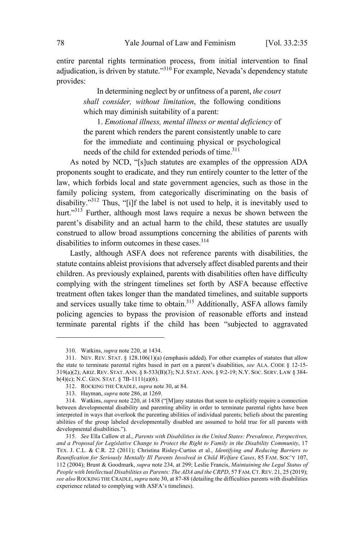entire parental rights termination process, from initial intervention to final adjudication, is driven by statute."<sup>310</sup> For example, Nevada's dependency statute provides:

> In determining neglect by or unfitness of a parent, *the court shall consider, without limitation*, the following conditions which may diminish suitability of a parent:

> 1. *Emotional illness, mental illness or mental deficiency* of the parent which renders the parent consistently unable to care for the immediate and continuing physical or psychological needs of the child for extended periods of time.<sup>311</sup>

As noted by NCD, "[s]uch statutes are examples of the oppression ADA proponents sought to eradicate, and they run entirely counter to the letter of the law, which forbids local and state government agencies, such as those in the family policing system, from categorically discriminating on the basis of disability."<sup>312</sup> Thus, "[i]f the label is not used to help, it is inevitably used to hurt."<sup>313</sup> Further, although most laws require a nexus be shown between the parent's disability and an actual harm to the child, these statutes are usually construed to allow broad assumptions concerning the abilities of parents with disabilities to inform outcomes in these cases.<sup>314</sup>

Lastly, although ASFA does not reference parents with disabilities, the statute contains ableist provisions that adversely affect disabled parents and their children. As previously explained, parents with disabilities often have difficulty complying with the stringent timelines set forth by ASFA because effective treatment often takes longer than the mandated timelines, and suitable supports and services usually take time to obtain. <sup>315</sup> Additionally, ASFA allows family policing agencies to bypass the provision of reasonable efforts and instead terminate parental rights if the child has been "subjected to aggravated

<sup>310.</sup> Watkins, *supra* note 220, at 1434.

<sup>311.</sup> NEV. REV. STAT.  $\S$  128.106(1)(a) (emphasis added). For other examples of statutes that allow the state to terminate parental rights based in part on a parent's disabilities, *see* ALA. CODE § 12-15- 319(a)(2); ARIZ. REV. STAT. ANN. § 8-533(B)(3); N.J. STAT. ANN. § 9:2-19; N.Y. SOC. SERV. LAW § 384 b(4)(c); N.C. GEN. STAT. § 7B-1111(a)(6).

<sup>312.</sup> ROCKING THE CRADLE, *supra* note 30, at 84.

<sup>313.</sup> Hayman, *supra* note 286, at 1269.

<sup>314.</sup> Watkins, *supra* note 220, at 1438 ("[M]any statutes that seem to explicitly require a connection between developmental disability and parenting ability in order to terminate parental rights have been interpreted in ways that overlook the parenting abilities of individual parents; beliefs about the parenting abilities of the group labeled developmentally disabled are assumed to hold true for all parents with developmental disabilities.").

<sup>315</sup>*. See* Ella Callow et al., *Parents with Disabilities in the United States: Prevalence, Perspectives, and a Proposal for Legislative Change to Protect the Right to Family in the Disability Community*, 17 TEX. J. C.L. & C.R. 22 (2011); Christina Risley-Curtiss et al., *Identifying and Reducing Barriers to Reunification for Seriously Mentally Ill Parents Involved in Child Welfare Cases*, 85 FAM. SOC'<sup>Y</sup> 107, 112 (2004); Brunt & Goodmark, *supra* note 234, at 299; Leslie Francis, *Maintaining the Legal Status of People with Intellectual Disabilities as Parents: The ADA and the CRPD*, 57 FAM.CT.REV. 21, 25 (2019); *see also* ROCKING THE CRADLE,*supra* note 30, at 87-88 (detailing the difficulties parents with disabilities experience related to complying with ASFA's timelines).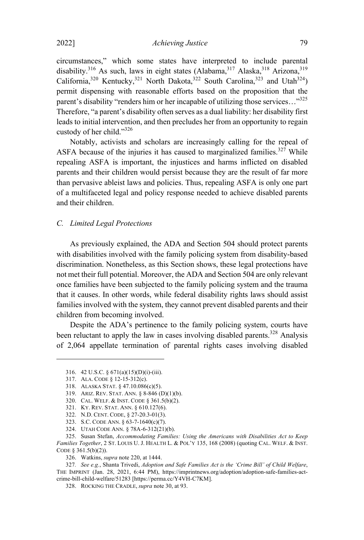circumstances," which some states have interpreted to include parental disability.<sup>316</sup> As such, laws in eight states (Alabama,<sup>317</sup> Alaska,<sup>318</sup> Arizona,<sup>319</sup> California,<sup>320</sup> Kentucky,<sup>321</sup> North Dakota,<sup>322</sup> South Carolina,<sup>323</sup> and Utah<sup>324</sup>) permit dispensing with reasonable efforts based on the proposition that the parent's disability "renders him or her incapable of utilizing those services..."<sup>325</sup> Therefore, "a parent's disability often serves as a dual liability: her disability first leads to initial intervention, and then precludes her from an opportunity to regain custody of her child."<sup>326</sup>

Notably, activists and scholars are increasingly calling for the repeal of ASFA because of the injuries it has caused to marginalized families.<sup>327</sup> While repealing ASFA is important, the injustices and harms inflicted on disabled parents and their children would persist because they are the result of far more than pervasive ableist laws and policies. Thus, repealing ASFA is only one part of a multifaceted legal and policy response needed to achieve disabled parents and their children.

*C. Limited Legal Protections*

As previously explained, the ADA and Section 504 should protect parents with disabilities involved with the family policing system from disability-based discrimination. Nonetheless, as this Section shows, these legal protections have not met their full potential. Moreover, the ADA and Section 504 are only relevant once families have been subjected to the family policing system and the trauma that it causes. In other words, while federal disability rights laws should assist families involved with the system, they cannot prevent disabled parents and their children from becoming involved.

Despite the ADA's pertinence to the family policing system, courts have been reluctant to apply the law in cases involving disabled parents.<sup>328</sup> Analysis of 2,064 appellate termination of parental rights cases involving disabled

<sup>316.</sup> 42 U.S.C. § 671(a)(15)(D)(i)-(iii).

<sup>317.</sup> ALA. CODE § 12-15-312(c).

<sup>318.</sup> ALASKA STAT. § 47.10.086(c)(5).

<sup>319.</sup> ARIZ. REV. STAT. ANN. § 8-846 (D)(1)(b).

<sup>320.</sup> CAL. WELF. & INST. CODE § 361.5(b)(2).

<sup>321.</sup> KY. REV. STAT. ANN. § 610.127(6). 322. N.D. CENT. CODE, § 27-20.3-01(3).

<sup>323.</sup> S.C. CODE ANN. § 63-7-1640(c)(7).

<sup>324.</sup> UTAH CODE ANN. § 78A-6-312(21)(b).

<sup>325.</sup> Susan Stefan, *Accommodating Families: Using the Americans with Disabilities Act to Keep Families Together*, 2 ST. LOUIS U. J. HEALTH L. & POL'<sup>Y</sup> 135, 168 (2008) (quoting CAL. WELF. & INST. CODE § 361.5(b)(2)).

<sup>326.</sup> Watkins, *supra* note 220, at 1444.

<sup>327</sup>*. See e.g.*, Shanta Trivedi, *Adoption and Safe Families Act is the 'Crime Bill' of Child Welfare*, THE IMPRINT (Jan. 28, 2021, 6:44 PM), https://imprintnews.org/adoption/adoption-safe-families-actcrime-bill-child-welfare/51283 [https://perma.cc/Y4VH-C7KM].

<sup>328.</sup> ROCKING THE CRADLE, *supra* note 30, at 93.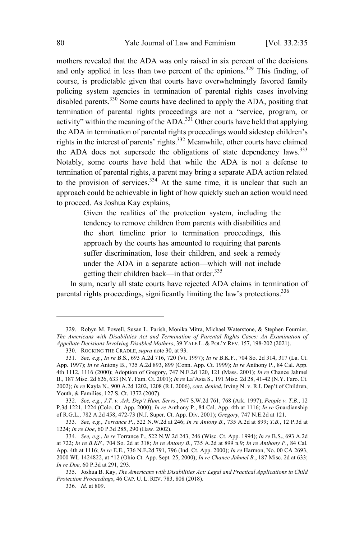mothers revealed that the ADA was only raised in six percent of the decisions and only applied in less than two percent of the opinions.<sup>329</sup> This finding, of course, is predictable given that courts have overwhelmingly favored family policing system agencies in termination of parental rights cases involving disabled parents. <sup>330</sup> Some courts have declined to apply the ADA, positing that termination of parental rights proceedings are not a "service, program, or activity" within the meaning of the ADA.<sup>331</sup> Other courts have held that applying the ADA in termination of parental rights proceedings would sidestep children's rights in the interest of parents' rights. <sup>332</sup> Meanwhile, other courts have claimed the ADA does not supersede the obligations of state dependency laws.<sup>333</sup> Notably, some courts have held that while the ADA is not a defense to termination of parental rights, a parent may bring a separate ADA action related to the provision of services.<sup>334</sup> At the same time, it is unclear that such an approach could be achievable in light of how quickly such an action would need to proceed. As Joshua Kay explains,

> Given the realities of the protection system, including the tendency to remove children from parents with disabilities and the short timeline prior to termination proceedings, this approach by the courts has amounted to requiring that parents suffer discrimination, lose their children, and seek a remedy under the ADA in a separate action—which will not include getting their children back—in that order.<sup>335</sup>

In sum, nearly all state courts have rejected ADA claims in termination of parental rights proceedings, significantly limiting the law's protections.<sup>336</sup>

<sup>329.</sup> Robyn M. Powell, Susan L. Parish, Monika Mitra, Michael Waterstone, & Stephen Fournier, *The Americans with Disabilities Act and Termination of Parental Rights Cases: An Examination of Appellate Decisions Involving Disabled Mothers*, 39 YALE L. & POL'<sup>Y</sup> REV. 157, 198-202 (2021).

<sup>330.</sup> ROCKING THE CRADLE, *supra* note 30, at 93.

<sup>331</sup>*. See, e.g.*, *In re* B.S*.*, 693 A.2d 716, 720 (Vt. 1997); *In re* B.K.F., 704 So. 2d 314, 317 (La. Ct. App. 1997); *In re* Antony B., 735 A.2d 893, 899 (Conn. App. Ct. 1999); *In re* Anthony P., 84 Cal. App. 4th 1112, 1116 (2000); Adoption of Gregory, 747 N.E.2d 120, 121 (Mass. 2001); *In re* Chance Jahmel B., 187 Misc. 2d 626, 633 (N.Y. Fam. Ct. 2001); *In re* La'Asia S., 191 Misc. 2d 28, 41-42 (N.Y. Faro. Ct. 2002); *In re* Kayla N., 900 A.2d 1202, 1208 (R.I. 2006), *cert. denied*, Irving N. v. R.I. Dep't of Children, Youth, & Families, 127 S. Ct. 1372 (2007).

<sup>332</sup>*. See, e.g.*, *J.T. v. Ark. Dep't Hum. Servs*., 947 S.W.2d 761, 768 (Ark. 1997); *People v. T.B*., 12 P.3d 1221, 1224 (Colo. Ct. App. 2000); *In re* Anthony P*.*, 84 Cal. App. 4th at 1116; *In re* Guardianship of R.G.L., 782 A.2d 458, 472-73 (N.J. Super. Ct. App. Div. 2001); *Gregory*, 747 N.E.2d at 121.

<sup>333</sup>*. See, e.g.*, *Torrance P.*, 522 N.W.2d at 246; *In re Antony B.*, 735 A.2d at 899; *T.B.*, 12 P.3d at 1224; *In re Doe*, 60 P.3d 285, 290 (Haw. 2002).

<sup>334</sup>*. See, e.g.*, *In re* Torrance P., 522 N.W.2d 243, 246 (Wisc. Ct. App. 1994); *In re* B.S., 693 A.2d at 722; *In re B.KF.*, 704 So. 2d at 318; *In re Antony B.*, 735 A.2d at 899 n.9; *In re Anthony P.*, 84 Cal. App. 4th at 1116; *In re* E.E., 736 N.E.2d 791, 796 (Ind. Ct. App. 2000); *In re* Harmon, No. 00 CA 2693, 2000 WL 1424822, at \*12 (Ohio Ct. App. Sept. 25, 2000); *In re Chance Jahmel B.*, 187 Misc. 2d at 633; *In re Doe*, 60 P.3d at 291, 293.

<sup>335.</sup> Joshua B. Kay, *The Americans with Disabilities Act: Legal and Practical Applications in Child Protection Proceedings*, 46 CAP. U. L. REV. 783, 808 (2018).

<sup>336</sup>*. Id*. at 809.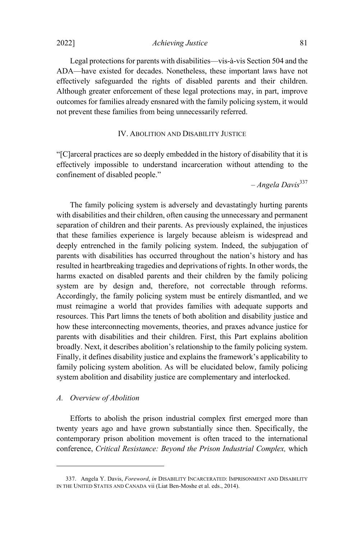2022] *Achieving Justice* 81

Legal protections for parents with disabilities—vis-à-vis Section 504 and the ADA—have existed for decades. Nonetheless, these important laws have not effectively safeguarded the rights of disabled parents and their children. Although greater enforcement of these legal protections may, in part, improve outcomes for families already ensnared with the family policing system, it would not prevent these families from being unnecessarily referred.

## IV. ABOLITION AND DISABILITY JUSTICE

"[C]arceral practices are so deeply embedded in the history of disability that it is effectively impossible to understand incarceration without attending to the confinement of disabled people."

– *Angela Davis* 337

The family policing system is adversely and devastatingly hurting parents with disabilities and their children, often causing the unnecessary and permanent separation of children and their parents. As previously explained, the injustices that these families experience is largely because ableism is widespread and deeply entrenched in the family policing system. Indeed, the subjugation of parents with disabilities has occurred throughout the nation's history and has resulted in heartbreaking tragedies and deprivations of rights. In other words, the harms exacted on disabled parents and their children by the family policing system are by design and, therefore, not correctable through reforms. Accordingly, the family policing system must be entirely dismantled, and we must reimagine a world that provides families with adequate supports and resources. This Part limns the tenets of both abolition and disability justice and how these interconnecting movements, theories, and praxes advance justice for parents with disabilities and their children. First, this Part explains abolition broadly. Next, it describes abolition's relationship to the family policing system. Finally, it defines disability justice and explains the framework's applicability to family policing system abolition. As will be elucidated below, family policing system abolition and disability justice are complementary and interlocked.

#### *A. Overview of Abolition*

Efforts to abolish the prison industrial complex first emerged more than twenty years ago and have grown substantially since then. Specifically, the contemporary prison abolition movement is often traced to the international conference, *Critical Resistance: Beyond the Prison Industrial Complex,* which

<sup>337.</sup> Angela Y. Davis, *Foreword*, *in* DISABILITY INCARCERATED: IMPRISONMENT AND DISABILITY IN THE UNITED STATES AND CANADA vii (Liat Ben-Moshe et al. eds., 2014).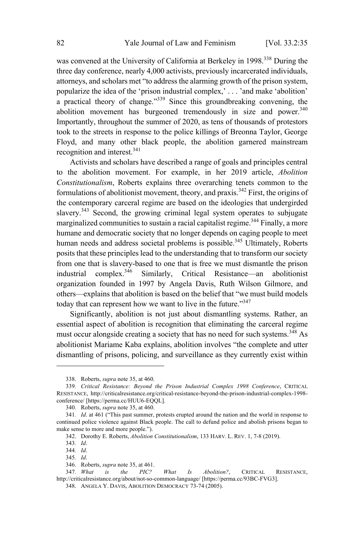was convened at the University of California at Berkeley in 1998.<sup>338</sup> During the three day conference, nearly 4,000 activists, previously incarcerated individuals, attorneys, and scholars met "to address the alarming growth of the prison system, popularize the idea of the 'prison industrial complex,' . . . 'and make 'abolition' <sup>a</sup> practical theory of change."<sup>339</sup> Since this groundbreaking convening, the abolition movement has burgeoned tremendously in size and power.<sup>340</sup> Importantly, throughout the summer of 2020, as tens of thousands of protestors took to the streets in response to the police killings of Breonna Taylor, George Floyd, and many other black people, the abolition garnered mainstream recognition and interest.<sup>341</sup>

Activists and scholars have described a range of goals and principles central to the abolition movement. For example, in her 2019 article, *Abolition Constitutionalism*, Roberts explains three overarching tenets common to the formulations of abolitionist movement, theory, and praxis.<sup>342</sup> First, the origins of the contemporary carceral regime are based on the ideologies that undergirded slavery.<sup>343</sup> Second, the growing criminal legal system operates to subjugate marginalized communities to sustain a racial capitalist regime.<sup>344</sup> Finally, a more humane and democratic society that no longer depends on caging people to meet human needs and address societal problems is possible.<sup>345</sup> Ultimately, Roberts posits that these principles lead to the understanding that to transform our society from one that is slavery-based to one that is free we must dismantle the prison industrial complex.<sup>346</sup> Similarly, Critical Resistance—an abolitionist organization founded in 1997 by Angela Davis, Ruth Wilson Gilmore, and others—explains that abolition is based on the belief that "we must build models today that can represent how we want to live in the future."<sup>347</sup>

Significantly, abolition is not just about dismantling systems. Rather, an essential aspect of abolition is recognition that eliminating the carceral regime must occur alongside creating a society that has no need for such systems.<sup>348</sup> As abolitionist Mariame Kaba explains, abolition involves "the complete and utter dismantling of prisons, policing, and surveillance as they currently exist within

<sup>338.</sup> Roberts, *supra* note 35, at 460.

<sup>339</sup>*. Critical Resistance: Beyond the Prison Industrial Complex 1998 Conference*, CRITICAL RESISTANCE, http://criticalresistance.org/critical-resistance-beyond-the-prison-industrial-complex-1998 conference/ [https://perma.cc/HUU6-EQQL].

<sup>340.</sup> Roberts, *supra* note 35, at 460.

<sup>341</sup>*. Id*. at 461 ("This past summer, protests erupted around the nation and the world in response to continued police violence against Black people. The call to defund police and abolish prisons began to make sense to more and more people.").

<sup>342.</sup> Dorothy E. Roberts, *Abolition Constitutionalism*, 133 HARV. L. REV. 1, 7-8 (2019).

<sup>343</sup>*. Id*.

<sup>344</sup>*. Id*.

<sup>345</sup>*. Id*.

<sup>346.</sup> Roberts, *supra* note 35, at 461.

<sup>347</sup>*. What is the PIC? What Is Abolition?*, CRITICAL RESISTANCE, http://criticalresistance.org/about/not-so-common-language/ [https://perma.cc/93BC-FVG3].

<sup>348.</sup> ANGELA Y. DAVIS, ABOLITION DEMOCRACY 73-74 (2005).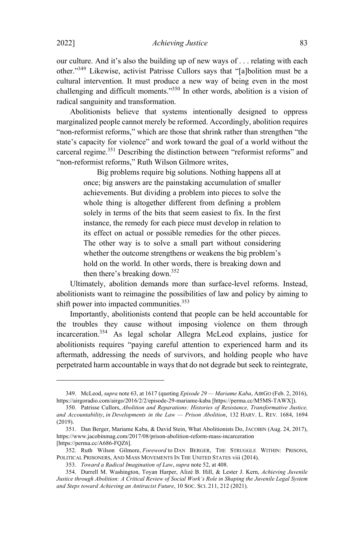our culture. And it's also the building up of new ways of . . . relating with each other." <sup>349</sup> Likewise, activist Patrisse Cullors says that "[a]bolition must be <sup>a</sup> cultural intervention. It must produce a new way of being even in the most challenging and difficult moments." <sup>350</sup> In other words, abolition is <sup>a</sup> vision of radical sanguinity and transformation.

Abolitionists believe that systems intentionally designed to oppress marginalized people cannot merely be reformed. Accordingly, abolition requires "non-reformist reforms," which are those that shrink rather than strengthen "the state's capacity for violence" and work toward the goal of a world without the carceral regime.<sup>351</sup> Describing the distinction between "reformist reforms" and "non-reformist reforms," Ruth Wilson Gilmore writes,

> Big problems require big solutions. Nothing happens all at once; big answers are the painstaking accumulation of smaller achievements. But dividing a problem into pieces to solve the whole thing is altogether different from defining a problem solely in terms of the bits that seem easiest to fix. In the first instance, the remedy for each piece must develop in relation to its effect on actual or possible remedies for the other pieces. The other way is to solve a small part without considering whether the outcome strengthens or weakens the big problem's hold on the world. In other words, there is breaking down and then there's breaking down.<sup>352</sup>

Ultimately, abolition demands more than surface-level reforms. Instead, abolitionists want to reimagine the possibilities of law and policy by aiming to shift power into impacted communities. 353

Importantly, abolitionists contend that people can be held accountable for the troubles they cause without imposing violence on them through incarceration. <sup>354</sup> As legal scholar Allegra McLeod explains, justice for abolitionists requires "paying careful attention to experienced harm and its aftermath, addressing the needs of survivors, and holding people who have perpetrated harm accountable in ways that do not degrade but seek to reintegrate,

<sup>349.</sup> McLeod, *supra* note 63, at 1617 (quoting *Episode 29 — Mariame Kaba*, AIRG<sup>O</sup> (Feb. 2, 2016), https://airgoradio.com/airgo/2016/2/2/episode-29-mariame-kaba [https://perma.cc/M5MS-TAWX]).

<sup>350.</sup> Patrisse Cullors, *Abolition and Reparations: Histories of Resistance, Transformative Justice, and Accountability*, *in Developments in the Law — Prison Abolition*, 132 HARV. L. REV. 1684, 1694 (2019).

<sup>351.</sup> Dan Berger, Mariame Kaba, & David Stein, What Abolitionists Do, JACOBIN (Aug. 24, 2017), https://www.jacobinmag.com/2017/08/prison-abolition-reform-mass-incarceration [https://perma.cc/A686-FQZ6].

<sup>352.</sup> Ruth Wilson Gilmore, *Foreword* to DAN BERGER, THE STRUGGLE WITHIN: PRISONS, POLITICAL PRISONERS, AND MASS MOVEMENTS IN THE UNITED STATES viii (2014).

<sup>353.</sup> *Toward a Radical Imagination of Law*, *supra* note 52, at 408.

<sup>354.</sup> Durrell M. Washington, Toyan Harper, Alizé B. Hill, & Lester J. Kern, *Achieving Juvenile Justice through Abolition: A Critical Review of Social Work's Role in Shaping the Juvenile Legal System and Steps toward Achieving an Antiracist Future*, 10 SOC. SCI. 211, 212 (2021).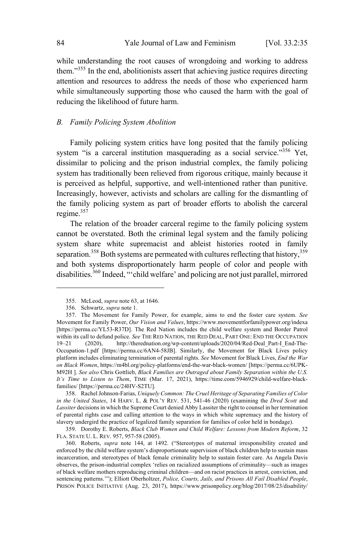while understanding the root causes of wrongdoing and working to address them."<sup>355</sup> In the end, abolitionists assert that achieving justice requires directing attention and resources to address the needs of those who experienced harm while simultaneously supporting those who caused the harm with the goal of reducing the likelihood of future harm.

#### *B. Family Policing System Abolition*

Family policing system critics have long posited that the family policing system "is a carceral institution masquerading as a social service."356 Yet, dissimilar to policing and the prison industrial complex, the family policing system has traditionally been relieved from rigorous critique, mainly because it is perceived as helpful, supportive, and well-intentioned rather than punitive. Increasingly, however, activists and scholars are calling for the dismantling of the family policing system as part of broader efforts to abolish the carceral regime. 357

The relation of the broader carceral regime to the family policing system cannot be overstated. Both the criminal legal system and the family policing system share white supremacist and ableist histories rooted in family separation.<sup>358</sup> Both systems are permeated with cultures reflecting that history,<sup>359</sup> and both systems disproportionately harm people of color and people with disabilities.<sup>360</sup> Indeed, "'child welfare' and policing are not just parallel, mirrored

358. RachelJohnson-Farias, *Uniquely Common: The Cruel Heritage of Separating Families of Color in the United States*, 14 HARV. L. & POL'<sup>Y</sup> REV. 531, 541-46 (2020) (examining the *Dred Scott* and *Lassiter* decisions in which the Supreme Court denied Abby Lassiter the right to counsel in her termination of parental rights case and calling attention to the ways in which white supremacy and the history of slavery undergird the practice of legalized family separation for families of color held in bondage).

359. Dorothy E. Roberts, *Black Club Women and Child Welfare: Lessons from Modern Reform*, 32 FLA. STATE U. L. REV. 957, 957-58 (2005).

<sup>355.</sup> McLeod, *supra* note 63, at 1646.

<sup>356.</sup> Schwartz, *supra* note 1.

<sup>357.</sup> The Movement for Family Power, for example, aims to end the foster care system. *See* Movement for Family Power, *Our Vision and Values*, https://www.movementforfamilypower.org/indexa [https://perma.cc/YL53-R37D]. The Red Nation includes the child welfare system and Border Patrol within its call to defund police. *See* THE RED NATION, THE RED DEAL, PART ONE: END THE OCCUPATION 19–21 (2020), http://therednation.org/wp-content/uploads/2020/04/Red-Deal Part-I End-Thehttp://therednation.org/wp-content/uploads/2020/04/Red-Deal\_Part-I\_End-The-Occupation-1.pdf [https://perma.cc/6AN4-58JB]. Similarly, the Movement for Black Lives policy platform includes eliminating termination of parental rights. *See* Movement for Black Lives, *End the War on Black Women*, https://m4bl.org/policy-platforms/end-the-war-black-women/ [https://perma.cc/6UPK-M92H ]. *See also* Chris Gottlieb, *Black Families are Outraged about Family Separation within the U.S. It's Time to Listen to Them*, TIME (Mar. 17, 2021), https://time.com/5946929/child-welfare-blackfamilies/ [https://perma.cc/24HV-S2TU].

<sup>360.</sup> Roberts, *supra* note 144, at 1492. ("Stereotypes of maternal irresponsibility created and enforced by the child welfare system's disproportionate supervision of black children help to sustain mass incarceration, and stereotypes of black female criminality help to sustain foster care. As Angela Davis observes, the prison-industrial complex 'relies on racialized assumptions of criminality—such as images of black welfare mothers reproducing criminal children—and on racist practices in arrest, conviction, and sentencing patterns.'"); Elliott Oberholtzer, *Police, Courts, Jails, and Prisons All Fail Disabled People*, PRISON POLICE INITIATIVE (Aug. 23, 2017), https://www.prisonpolicy.org/blog/2017/08/23/disability/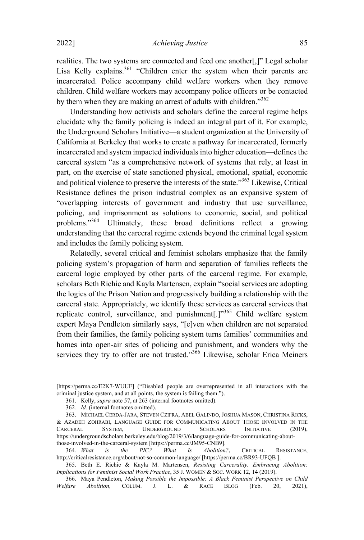realities. The two systems are connected and feed one another[,]" Legal scholar Lisa Kelly explains.<sup>361</sup> "Children enter the system when their parents are incarcerated. Police accompany child welfare workers when they remove children. Child welfare workers may accompany police officers or be contacted by them when they are making an arrest of adults with children."<sup>362</sup>

Understanding how activists and scholars define the carceral regime helps elucidate why the family policing is indeed an integral part of it. For example, the Underground Scholars Initiative—a student organization at the University of California at Berkeley that works to create a pathway for incarcerated, formerly incarcerated and system impacted individuals into higher education—defines the carceral system "as a comprehensive network of systems that rely, at least in part, on the exercise of state sanctioned physical, emotional, spatial, economic and political violence to preserve the interests of the state."<sup>363</sup> Likewise, Critical Resistance defines the prison industrial complex as an expansive system of "overlapping interests of government and industry that use surveillance, policing, and imprisonment as solutions to economic, social, and political problems."<sup>364</sup> Ultimately, these broad definitions reflect <sup>a</sup> growing understanding that the carceral regime extends beyond the criminal legal system and includes the family policing system.

Relatedly, several critical and feminist scholars emphasize that the family policing system's propagation of harm and separation of families reflects the carceral logic employed by other parts of the carceral regime. For example, scholars Beth Richie and Kayla Martensen, explain "social services are adopting the logics of the Prison Nation and progressively building a relationship with the carceral state. Appropriately, we identify these services as carceral services that replicate control, surveillance, and punishment[.]"<sup>365</sup> Child welfare system expert Maya Pendleton similarly says, "[e]ven when children are not separated from their families, the family policing system turns families' communities and homes into open-air sites of policing and punishment, and wonders why the services they try to offer are not trusted."<sup>366</sup> Likewise, scholar Erica Meiners

<sup>[</sup>https://perma.cc/E2K7-WUUF] ("Disabled people are overrepresented in all interactions with the criminal justice system, and at all points, the system is failing them.").

<sup>361.</sup> Kelly, *supra* note 57, at 263 (internal footnotes omitted).

<sup>362</sup>*. Id.* (internal footnotes omitted).

<sup>363.</sup> MICHAEL CERDA-JARA, STEVEN CZIFRA, ABEL GALINDO, JOSHUA MASON, CHRISTINA RICKS, & AZADEH ZOHRABI, LANGUAGE GUIDE FOR COMMUNICATING ABOUT THOSE INVOLVED IN THE CARCERAL SYSTEM, UNDERGROUND SCHOLARS INITIATIVE (2019), CARCERAL SYSTEM, UNDERGROUND SCHOLARS INITIATIVE https://undergroundscholars.berkeley.edu/blog/2019/3/6/language-guide-for-communicating-aboutthose-involved-in-the-carceral-system [https://perma.cc/JM95-CNB9].

<sup>364</sup>*. What is the PIC? What Is Abolition?*, CRITICAL RESISTANCE, http://criticalresistance.org/about/not-so-common-language/ [https://perma.cc/BR93-UFQB ].

<sup>365.</sup> Beth E. Richie & Kayla M. Martensen, *Resisting Carcerality, Embracing Abolition: Implications for Feminist Social Work Practice*, 35 J. WOMEN & SOC. WORK 12, 14 (2019).

<sup>366.</sup> Maya Pendleton, *Making Possible the Impossible: A Black Feminist Perspective on Child Welfare Abolition*, COLUM. J. L. & RACE BLOG (Feb. 20, 2021),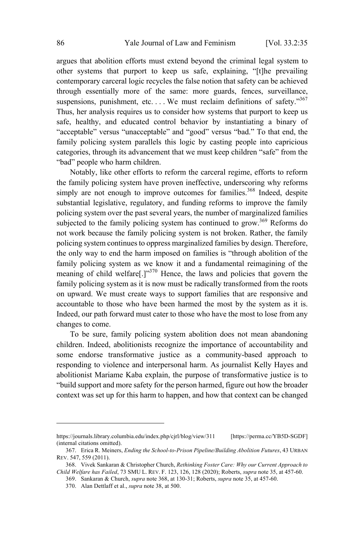argues that abolition efforts must extend beyond the criminal legal system to other systems that purport to keep us safe, explaining, "[t]he prevailing contemporary carceral logic recycles the false notion that safety can be achieved through essentially more of the same: more guards, fences, surveillance, suspensions, punishment, etc.... We must reclaim definitions of safety."367 Thus, her analysis requires us to consider how systems that purport to keep us safe, healthy, and educated control behavior by instantiating a binary of "acceptable" versus "unacceptable" and "good" versus "bad." To that end, the family policing system parallels this logic by casting people into capricious categories, through its advancement that we must keep children "safe" from the "bad" people who harm children.

Notably, like other efforts to reform the carceral regime, efforts to reform the family policing system have proven ineffective, underscoring why reforms simply are not enough to improve outcomes for families.<sup>368</sup> Indeed, despite substantial legislative, regulatory, and funding reforms to improve the family policing system over the past several years, the number of marginalized families subjected to the family policing system has continued to grow.<sup>369</sup> Reforms do not work because the family policing system is not broken. Rather, the family policing system continues to oppress marginalized families by design. Therefore, the only way to end the harm imposed on families is "through abolition of the family policing system as we know it and a fundamental reimagining of the meaning of child welfare<sup>[.]"370</sup> Hence, the laws and policies that govern the family policing system as it is now must be radically transformed from the roots on upward. We must create ways to support families that are responsive and accountable to those who have been harmed the most by the system as it is. Indeed, our path forward must cater to those who have the most to lose from any changes to come.

To be sure, family policing system abolition does not mean abandoning children. Indeed, abolitionists recognize the importance of accountability and some endorse transformative justice as a community-based approach to responding to violence and interpersonal harm. As journalist Kelly Hayes and abolitionist Mariame Kaba explain, the purpose of transformative justice is to "build support and more safety for the person harmed, figure out how the broader context was set up for this harm to happen, and how that context can be changed

https://journals.library.columbia.edu/index.php/cjrl/blog/view/311 [https://perma.cc/YB5D-SGDF] (internal citations omitted).

<sup>367.</sup> Erica R. Meiners, *Ending the School-to-Prison Pipeline/Building Abolition Futures*, 43 URBAN REV. 547, 559 (2011).

<sup>368.</sup> Vivek Sankaran & Christopher Church, *Rethinking Foster Care: Why our Current Approach to Child Welfare has Failed*, 73 SMU L. REV. F. 123, 126, 128 (2020); Roberts, *supra* note 35, at 457-60.

<sup>369.</sup> Sankaran & Church, *supra* note 368, at 130-31; Roberts, *supra* note 35, at 457-60.

<sup>370.</sup> Alan Dettlaff et al., *supra* note 38, at 500.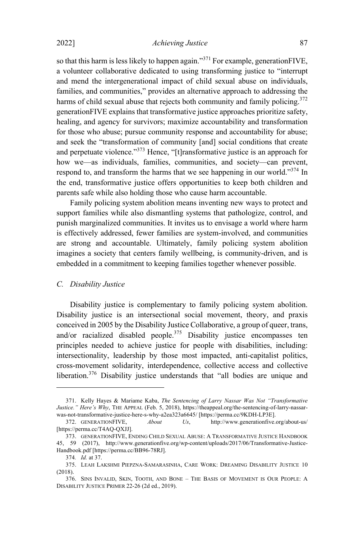so that this harm is less likely to happen again."<sup>371</sup> For example, generationFIVE, a volunteer collaborative dedicated to using transforming justice to "interrupt and mend the intergenerational impact of child sexual abuse on individuals, families, and communities," provides an alternative approach to addressing the harms of child sexual abuse that rejects both community and family policing.<sup>372</sup> generationFIVE explains that transformative justice approaches prioritize safety, healing, and agency for survivors; maximize accountability and transformation for those who abuse; pursue community response and accountability for abuse; and seek the "transformation of community [and] social conditions that create and perpetuate violence."<sup>373</sup> Hence, "[t]ransformative justice is an approach for how we—as individuals, families, communities, and society—can prevent, respond to, and transform the harms that we see happening in our world."<sup>374</sup> In the end, transformative justice offers opportunities to keep both children and parents safe while also holding those who cause harm accountable.

Family policing system abolition means inventing new ways to protect and support families while also dismantling systems that pathologize, control, and punish marginalized communities. It invites us to envisage a world where harm is effectively addressed, fewer families are system-involved, and communities are strong and accountable. Ultimately, family policing system abolition imagines a society that centers family wellbeing, is community-driven, and is embedded in a commitment to keeping families together whenever possible.

#### *C. Disability Justice*

Disability justice is complementary to family policing system abolition. Disability justice is an intersectional social movement, theory, and praxis conceived in 2005 by the Disability Justice Collaborative, a group of queer, trans, and/or racialized disabled people.<sup>375</sup> Disability justice encompasses ten principles needed to achieve justice for people with disabilities, including: intersectionality, leadership by those most impacted, anti-capitalist politics, cross-movement solidarity, interdependence, collective access and collective liberation.<sup>376</sup> Disability justice understands that "all bodies are unique and

<sup>371.</sup> Kelly Hayes & Mariame Kaba, *The Sentencing of Larry Nassar Was Not "Transformative Justice." Here's Why*, THE APPEAL (Feb. 5, 2018), https://theappeal.org/the-sentencing-of-larry-nassarwas-not-transformative-justice-here-s-why-a2ea323a6645/ [https://perma.cc/9KDH-LP3E].

<sup>372.</sup> GENERATIONFIVE, *About Us*, http://www.generationfive.org/about-us/ [https://perma.cc/T4AQ-QXJJ].

<sup>373.</sup> GENERATIONFIVE, ENDING CHILD SEXUAL ABUSE: A TRANSFORMATIVE JUSTICE HANDBOOK 45, 59 (2017), http://www.generationfive.org/wp-content/uploads/2017/06/Transformative-Justice-Handbook.pdf [https://perma.cc/BB96-78RJ].

<sup>374</sup>*. Id.* at 37.

<sup>375.</sup> LEAH LAKSHMI PIEPZNA-SAMARASINHA, CARE WORK: DREAMING DISABILITY JUSTICE 10 (2018).

<sup>376.</sup> SINS INVALID, SKIN, TOOTH, AND BONE – THE BASIS OF MOVEMENT IS OUR PEOPLE: A DISABILITY JUSTICE PRIMER 22-26 (2d ed., 2019).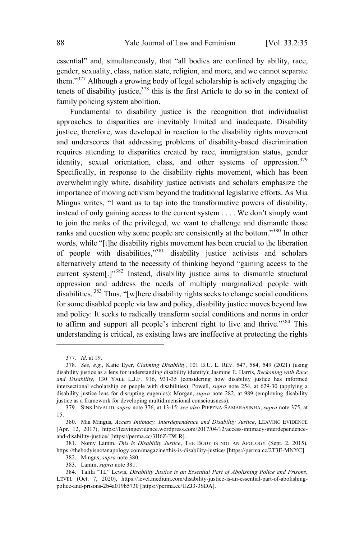essential" and, simultaneously, that "all bodies are confined by ability, race, gender, sexuality, class, nation state, religion, and more, and we cannot separate them."<sup>377</sup> Although <sup>a</sup> growing body of legal scholarship is actively engaging the tenets of disability justice,  $378$  this is the first Article to do so in the context of family policing system abolition.

Fundamental to disability justice is the recognition that individualist approaches to disparities are inevitably limited and inadequate. Disability justice, therefore, was developed in reaction to the disability rights movement and underscores that addressing problems of disability-based discrimination requires attending to disparities created by race, immigration status, gender identity, sexual orientation, class, and other systems of oppression.<sup>379</sup> Specifically, in response to the disability rights movement, which has been overwhelmingly white, disability justice activists and scholars emphasize the importance of moving activism beyond the traditional legislative efforts. As Mia Mingus writes, "I want us to tap into the transformative powers of disability, instead of only gaining access to the current system . . . . We don't simply want to join the ranks of the privileged, we want to challenge and dismantle those ranks and question why some people are consistently at the bottom."<sup>380</sup> In other words, while "[t]he disability rights movement has been crucial to the liberation of people with disabilities,"<sup>381</sup> disability justice activists and scholars alternatively attend to the necessity of thinking beyond "gaining access to the current system[.]"<sup>382</sup> Instead, disability justice aims to dismantle structural oppression and address the needs of multiply marginalized people with disabilities. <sup>383</sup> Thus, "[w]here disability rights seeks to change social conditions for some disabled people via law and policy, disability justice moves beyond law and policy: It seeks to radically transform social conditions and norms in order to affirm and support all people's inherent right to live and thrive."<sup>384</sup> This understanding is critical, as existing laws are ineffective at protecting the rights

<sup>377</sup>*. Id*. at 19.

<sup>378</sup>*. See, e.g.*, Katie Eyer, *Claiming Disability*, 101 B.U. L. REV. 547, 584, 549 (2021) (using disability justice as a lens for understanding disability identity); Jasmine E. Harris, *Reckoning with Race and Disability*, 130 YALE L.J.F. 916, 931-35 (considering how disability justice has informed intersectional scholarship on people with disabilities); Powell, *supra* note 254, at 629-30 (applying a disability justice lens for disrupting eugenics); Morgan, *supra* note 282, at 989 (employing disability justice as a framework for developing multidimensional consciousness).

<sup>379.</sup> SINS INVALID, *supra* note 376, at 13-15; *see also* PIEPZNA-SAMARASINHA, *supra* note 375, at 15.

<sup>380.</sup> Mia Mingus, *Access Intimacy, Interdependence and Disability Justice*, LEAVING EVIDENCE (Apr. 12, 2017), https://leavingevidence.wordpress.com/2017/04/12/access-intimacy-interdependenceand-disability-justice/ [https://perma.cc/3H6Z-T9LR].

<sup>381.</sup> Nomy Lamm, *This is Disability Justice*, THE BODY IS NOT AN APOLOGY (Sept. 2, 2015), https://thebodyisnotanapology.com/magazine/this-is-disability-justice/ [https://perma.cc/2T3E-MNYC].

<sup>382.</sup> Mingus, *supra* note 380.

<sup>383.</sup> Lamm, *supra* note 381.

<sup>384.</sup> Talila "TL" Lewis, *Disability Justice is an Essential Part of Abolishing Police and Prisons*, LEVEL (Oct. 7, 2020), https://level.medium.com/disability-justice-is-an-essential-part-of-abolishingpolice-and-prisons-2b4a019b5730 [https://perma.cc/UZJ3-3SDA].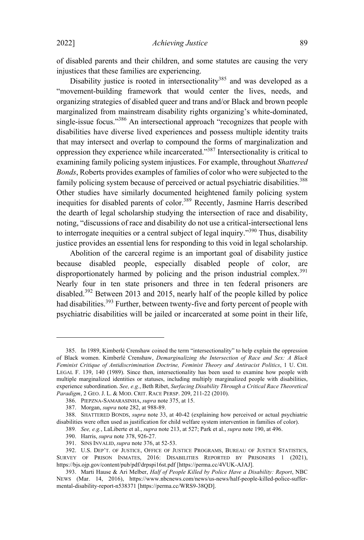of disabled parents and their children, and some statutes are causing the very injustices that these families are experiencing.

Disability justice is rooted in intersectionality<sup>385</sup> and was developed as a "movement-building framework that would center the lives, needs, and organizing strategies of disabled queer and trans and/or Black and brown people marginalized from mainstream disability rights organizing's white-dominated, single-issue focus."<sup>386</sup> An intersectional approach "recognizes that people with disabilities have diverse lived experiences and possess multiple identity traits that may intersect and overlap to compound the forms of marginalization and oppression they experience while incarcerated."<sup>387</sup> Intersectionality is critical to examining family policing system injustices. For example, throughout *Shattered Bonds*, Roberts provides examples of families of color who were subjected to the family policing system because of perceived or actual psychiatric disabilities.<sup>388</sup> Other studies have similarly documented heightened family policing system inequities for disabled parents of color.<sup>389</sup> Recently, Jasmine Harris described the dearth of legal scholarship studying the intersection of race and disability, noting, "discussions of race and disability do not use a critical-intersectional lens to interrogate inequities or <sup>a</sup> central subject of legal inquiry."<sup>390</sup> Thus, disability justice provides an essential lens for responding to this void in legal scholarship.

Abolition of the carceral regime is an important goal of disability justice because disabled people, especially disabled people of color, are disproportionately harmed by policing and the prison industrial complex.<sup>391</sup> Nearly four in ten state prisoners and three in ten federal prisoners are disabled.<sup>392</sup> Between <sup>2013</sup> and 2015, nearly half of the people killed by police had disabilities.<sup>393</sup> Further, between twenty-five and forty percent of people with psychiatric disabilities will be jailed or incarcerated at some point in their life,

390. Harris, *supra* note 378, 926-27.

<sup>385.</sup> In 1989, Kimberlé Crenshaw coined the term "intersectionality" to help explain the oppression of Black women. Kimberlé Crenshaw, *Demarginalizing the Intersection of Race and Sex: A Black Feminist Critique of Antidiscrimination Doctrine, Feminist Theory and Antiracist Politics*, 1 U. CHI. LEGAL F. 139, 140 (1989). Since then, intersectionality has been used to examine how people with multiple marginalized identities or statuses, including multiply marginalized people with disabilities, experience subordination. *See, e.g.*, Beth Ribet, *Surfacing Disability Through a Critical Race Theoretical Paradigm*, 2 GEO. J. L. & MOD. CRIT. RACE PERSP. 209, 211-22 (2010).

<sup>386.</sup> PIEPZNA-SAMARASINHA, *supra* note 375, at 15.

<sup>387.</sup> Morgan, *supra* note 282, at 988-89.

<sup>388.</sup> SHATTERED BONDS, *supra* note 33, at 40-42 (explaining how perceived or actual psychiatric disabilities were often used as justification for child welfare system intervention in families of color).

<sup>389</sup>*. See, e.g.*, LaLiberte et al., *supra* note 213, at 527; Park et al., *supra* note 190, at 496.

<sup>391.</sup> SINS INVALID, *supra* note 376, at 52-53.

<sup>392.</sup> U.S. DEP'T. OF JUSTICE, OFFICE OF JUSTICE PROGRAMS, BUREAU OF JUSTICE STATISTICS, SURVEY OF PRISON INMATES, 2016: DISABILITIES REPORTED BY PRISONERS 1 (2021), https://bjs.ojp.gov/content/pub/pdf/drpspi16st.pdf [https://perma.cc/4VUK-AJAJ].

<sup>393.</sup> Marti Hause & Ari Melber, *Half of People Killed by Police Have a Disability: Report*, NBC NEWS (Mar. 14, 2016), https://www.nbcnews.com/news/us-news/half-people-killed-police-suffermental-disability-report-n538371 [https://perma.cc/WRS9-38QD].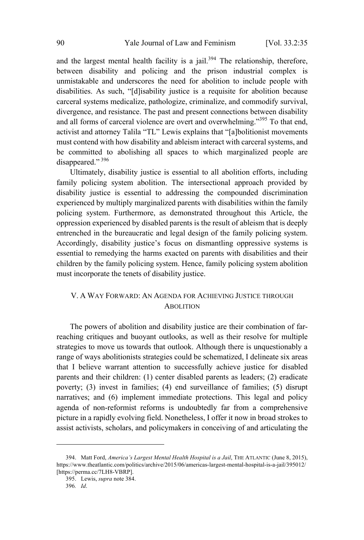and the largest mental health facility is a jail. $394$  The relationship, therefore, between disability and policing and the prison industrial complex is unmistakable and underscores the need for abolition to include people with disabilities. As such, "[d]isability justice is a requisite for abolition because carceral systems medicalize, pathologize, criminalize, and commodify survival, divergence, and resistance. The past and present connections between disability and all forms of carceral violence are overt and overwhelming." <sup>395</sup> To that end, activist and attorney Talila "TL" Lewis explains that "[a]bolitionist movements must contend with how disability and ableism interact with carceral systems, and be committed to abolishing all spaces to which marginalized people are disappeared."<sup>396</sup>

Ultimately, disability justice is essential to all abolition efforts, including family policing system abolition. The intersectional approach provided by disability justice is essential to addressing the compounded discrimination experienced by multiply marginalized parents with disabilities within the family policing system. Furthermore, as demonstrated throughout this Article, the oppression experienced by disabled parents is the result of ableism that is deeply entrenched in the bureaucratic and legal design of the family policing system. Accordingly, disability justice's focus on dismantling oppressive systems is essential to remedying the harms exacted on parents with disabilities and their children by the family policing system. Hence, family policing system abolition must incorporate the tenets of disability justice.

# V. A WAY FORWARD: A<sup>N</sup> AGENDA FOR ACHIEVING JUSTICE THROUGH ABOLITION

The powers of abolition and disability justice are their combination of farreaching critiques and buoyant outlooks, as well as their resolve for multiple strategies to move us towards that outlook. Although there is unquestionably a range of ways abolitionists strategies could be schematized, I delineate six areas that I believe warrant attention to successfully achieve justice for disabled parents and their children: (1) center disabled parents as leaders; (2) eradicate poverty; (3) invest in families; (4) end surveillance of families; (5) disrupt narratives; and (6) implement immediate protections. This legal and policy agenda of non-reformist reforms is undoubtedly far from a comprehensive picture in a rapidly evolving field. Nonetheless, I offer it now in broad strokes to assist activists, scholars, and policymakers in conceiving of and articulating the

<sup>394.</sup> Matt Ford, *America's Largest Mental Health Hospital is a Jail*, THE ATLANTIC (June 8, 2015), https://www.theatlantic.com/politics/archive/2015/06/americas-largest-mental-hospital-is-a-jail/395012/ [https://perma.cc/7LH8-VBRP].

<sup>395.</sup> Lewis, *supra* note 384.

<sup>396</sup>*. Id*.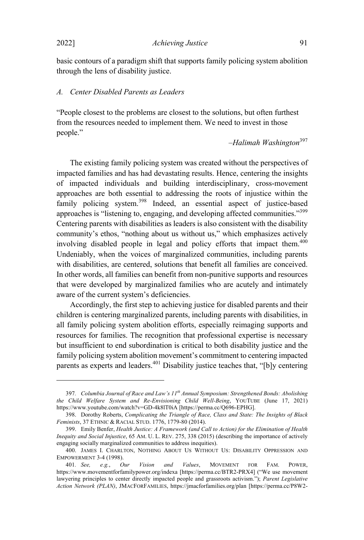2022] *Achieving Justice* 91

basic contours of a paradigm shift that supports family policing system abolition through the lens of disability justice.

## *A. Center Disabled Parents as Leaders*

"People closest to the problems are closest to the solutions, but often furthest from the resources needed to implement them. We need to invest in those people."

–*Halimah Washington* 397

The existing family policing system was created without the perspectives of impacted families and has had devastating results. Hence, centering the insights of impacted individuals and building interdisciplinary, cross-movement approaches are both essential to addressing the roots of injustice within the family policing system. <sup>398</sup> Indeed, an essential aspect of justice-based approaches is "listening to, engaging, and developing affected communities."<sup>399</sup> Centering parents with disabilities as leaders is also consistent with the disability community's ethos, "nothing about us without us," which emphasizes actively involving disabled people in legal and policy efforts that impact them. 400 Undeniably, when the voices of marginalized communities, including parents with disabilities, are centered, solutions that benefit all families are conceived. In other words, all families can benefit from non-punitive supports and resources that were developed by marginalized families who are acutely and intimately aware of the current system's deficiencies.

Accordingly, the first step to achieving justice for disabled parents and their children is centering marginalized parents, including parents with disabilities, in all family policing system abolition efforts, especially reimaging supports and resources for families. The recognition that professional expertise is necessary but insufficient to end subordination is critical to both disability justice and the family policing system abolition movement's commitment to centering impacted parents as experts and leaders.<sup>401</sup> Disability justice teaches that, "[b]y centering

<sup>397</sup>*. Columbia Journal of Race and Law's 11th Annual Symposium: Strengthened Bonds: Abolishing the Child Welfare System and Re-Envisioning Child Well-Being*, YOUTUBE (June 17, 2021) https://www.youtube.com/watch?v=GD-4k8lT0iA [https://perma.cc/Q696-EPHG].

<sup>398.</sup> Dorothy Roberts, *Complicating the Triangle of Race, Class and State: The Insights of Black Feminists*, 37 ETHNIC & RACIAL STUD. 1776, 1779-80 (2014).

<sup>399.</sup> Emily Benfer, *Health Justice: A Framework (and Call to Action) for the Elimination of Health Inequity and Social Injustice*, 65 AM. U. L. REV. 275, 338 (2015) (describing the importance of actively engaging socially marginalized communities to address inequities).

<sup>400.</sup> JAMES I. CHARLTON, NOTHING ABOUT US WITHOUT US: DISABILITY OPPRESSION AND EMPOWERMENT 3-4 (1998).<br>401. See, e.g., O

<sup>401</sup>*. See, e.g.*, *Our Vision and Values*, MOVEMENT FOR FAM. POWER, https://www.movementforfamilypower.org/indexa [https://perma.cc/BTR2-PRX4] ("We use movement lawyering principles to center directly impacted people and grassroots activism."); *Parent Legislative Action Network (PLAN)*, JMACFORFAMILIES, https://jmacforfamilies.org/plan [https://perma.cc/P8W2-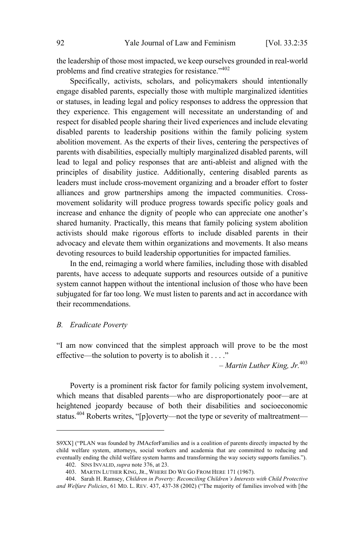the leadership of those most impacted, we keep ourselves grounded in real-world problems and find creative strategies for resistance."<sup>402</sup>

Specifically, activists, scholars, and policymakers should intentionally engage disabled parents, especially those with multiple marginalized identities or statuses, in leading legal and policy responses to address the oppression that they experience. This engagement will necessitate an understanding of and respect for disabled people sharing their lived experiences and include elevating disabled parents to leadership positions within the family policing system abolition movement. As the experts of their lives, centering the perspectives of parents with disabilities, especially multiply marginalized disabled parents, will lead to legal and policy responses that are anti-ableist and aligned with the principles of disability justice. Additionally, centering disabled parents as leaders must include cross-movement organizing and a broader effort to foster alliances and grow partnerships among the impacted communities. Crossmovement solidarity will produce progress towards specific policy goals and increase and enhance the dignity of people who can appreciate one another's shared humanity. Practically, this means that family policing system abolition activists should make rigorous efforts to include disabled parents in their advocacy and elevate them within organizations and movements. It also means devoting resources to build leadership opportunities for impacted families.

In the end, reimaging a world where families, including those with disabled parents, have access to adequate supports and resources outside of a punitive system cannot happen without the intentional inclusion of those who have been subjugated for far too long. We must listen to parents and act in accordance with their recommendations.

## *B. Eradicate Poverty*

"I am now convinced that the simplest approach will prove to be the most effective—the solution to poverty is to abolish it . . . ."

– *Martin Luther King, Jr.*<sup>403</sup>

Poverty is a prominent risk factor for family policing system involvement, which means that disabled parents—who are disproportionately poor—are at heightened jeopardy because of both their disabilities and socioeconomic status.<sup>404</sup> Roberts writes, "[p]overty—not the type or severity of maltreatment—

S9XX] ("PLAN was founded by JMAcforFamilies and is a coalition of parents directly impacted by the child welfare system, attorneys, social workers and academia that are committed to reducing and eventually ending the child welfare system harms and transforming the way society supports families.").

<sup>402.</sup> SINS INVALID, *supra* note 376, at 23.

<sup>403.</sup> MARTIN LUTHER KING, JR., WHERE DO WE GO FROM HERE 171 (1967).

<sup>404.</sup> Sarah H. Ramsey, *Children in Poverty: Reconciling Children's Interests with Child Protective and Welfare Policies*, 61 MD. L. REV. 437, 437-38 (2002) ("The majority of families involved with [the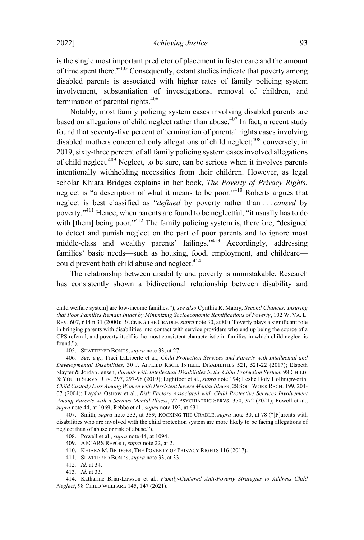is the single most important predictor of placement in foster care and the amount of time spent there."<sup>405</sup> Consequently, extant studies indicate that poverty among disabled parents is associated with higher rates of family policing system involvement, substantiation of investigations, removal of children, and termination of parental rights.<sup>406</sup>

Notably, most family policing system cases involving disabled parents are based on allegations of child neglect rather than abuse. $407$  In fact, a recent study found that seventy-five percent of termination of parental rights cases involving disabled mothers concerned only allegations of child neglect;<sup>408</sup> conversely, in 2019, sixty-three percent of all family policing system cases involved allegations of child neglect.<sup>409</sup> Neglect, to be sure, can be serious when it involves parents intentionally withholding necessities from their children. However, as legal scholar Khiara Bridges explains in her book, *The Poverty of Privacy Rights*, neglect is "a description of what it means to be poor." <sup>410</sup> Roberts argues that neglect is best classified as "*defined* by poverty rather than . . . *caused* by poverty."<sup>411</sup> Hence, when parents are found to be neglectful, "it usually has to do with [them] being poor."<sup>412</sup> The family policing system is, therefore, "designed to detect and punish neglect on the part of poor parents and to ignore most middle-class and wealthy parents' failings."<sup>413</sup> Accordingly, addressing families' basic needs—such as housing, food, employment, and childcare could prevent both child abuse and neglect.<sup>414</sup>

The relationship between disability and poverty is unmistakable. Research has consistently shown a bidirectional relationship between disability and

child welfare system] are low-income families."); *see also* Cynthia R. Mabry, *Second Chances: Insuring that Poor Families Remain Intact by Minimizing Socioeconomic Ramifications of Poverty*, 102 W. VA. L. REV. 607, 614 n.31 (2000); ROCKING THE CRADLE, *supra* note 30, at 80 ("Poverty plays a significant role in bringing parents with disabilities into contact with service providers who end up being the source of a CPS referral, and poverty itself is the most consistent characteristic in families in which child neglect is found.").

<sup>405.</sup> SHATTERED BONDS, *supra* note 33, at 27.

<sup>406</sup>*. See, e.g.*, Traci LaLiberte et al., *Child Protection Services and Parents with Intellectual and Developmental Disabilities*, 30 J. APPLIED RSCH. INTELL. DISABILITIES 521, 521-22 (2017); Elspeth Slayter & Jordan Jensen, *Parents with Intellectual Disabilities in the Child Protection System*, 98 CHILD. & YOUTH SERVS. REV. 297, 297-98 (2019); Lightfoot et al., *supra* note 194; Leslie Doty Hollingsworth, *Child Custody Loss Among Women with Persistent Severe Mental Illness*, 28 SOC. WORK RSCH. 199, 204- 07 (2004); Laysha Ostrow et al., *Risk Factors Associated with Child Protective Services Involvement Among Parents with a Serious Mental Illness*, 72 PSYCHIATRIC SERVS. 370, 372 (2021); Powell et al., *supra* note 44, at 1069; Rebbe et al., *supra* note 192, at 631.

<sup>407.</sup> Smith, *supra* note 233, at 389; ROCKING THE CRADLE, *supra* note 30, at 78 ("[P]arents with disabilities who are involved with the child protection system are more likely to be facing allegations of neglect than of abuse or risk of abuse.").

<sup>408.</sup> Powell et al., *supra* note 44, at 1094.

<sup>409.</sup> AFCARS REPORT, *supra* note 22, at 2.

<sup>410.</sup> KHIARA M. BRIDGES, THE POVERTY OF PRIVACY RIGHTS 116 (2017).

<sup>411.</sup> SHATTERED BONDS, *supra* note 33, at 33.

<sup>412</sup>*. Id*. at 34.

<sup>413</sup>*. Id*. at 33.

<sup>414.</sup> Katharine Briar-Lawson et al., *Family-Centered Anti-Poverty Strategies to Address Child Neglect*, 98 CHILD WELFARE 145, 147 (2021).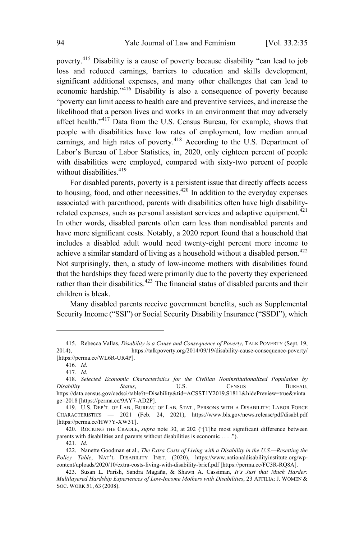poverty.<sup>415</sup> Disability is <sup>a</sup> cause of poverty because disability "can lead to job loss and reduced earnings, barriers to education and skills development, significant additional expenses, and many other challenges that can lead to economic hardship."<sup>416</sup> Disability is also a consequence of poverty because "poverty can limit access to health care and preventive services, and increase the likelihood that a person lives and works in an environment that may adversely affect health."<sup>417</sup> Data from the U.S. Census Bureau, for example, shows that people with disabilities have low rates of employment, low median annual earnings, and high rates of poverty.<sup>418</sup> According to the U.S. Department of Labor's Bureau of Labor Statistics, in, 2020, only eighteen percent of people with disabilities were employed, compared with sixty-two percent of people without disabilities. $419$ 

For disabled parents, poverty is a persistent issue that directly affects access to housing, food, and other necessities. $420$  In addition to the everyday expenses associated with parenthood, parents with disabilities often have high disabilityrelated expenses, such as personal assistant services and adaptive equipment.<sup>421</sup> In other words, disabled parents often earn less than nondisabled parents and have more significant costs. Notably, a 2020 report found that a household that includes a disabled adult would need twenty-eight percent more income to achieve a similar standard of living as a household without a disabled person.<sup>422</sup> Not surprisingly, then, a study of low-income mothers with disabilities found that the hardships they faced were primarily due to the poverty they experienced rather than their disabilities.<sup>423</sup> The financial status of disabled parents and their children is bleak.

Many disabled parents receive government benefits, such as Supplemental Security Income ("SSI") or Social Security Disability Insurance ("SSDI"), which

<sup>415.</sup> Rebecca Vallas, *Disability is a Cause and Consequence of Poverty*, TALK POVERTY (Sept. 19, 2014), https://talkpoverty.org/2014/09/19/disability-cause-consequence-poverty/ 2014), https://talkpoverty.org/2014/09/19/disability-cause-consequence-poverty/ [https://perma.cc/WL6R-UR4P].

<sup>416</sup>*. Id*.

<sup>417</sup>*. Id*.

<sup>418.</sup> *Selected Economic Characteristics for the Civilian Noninstitutionalized Population by Disability Status*, U.S. CENSUS BUREAU, https://data.census.gov/cedsci/table?t=Disability&tid=ACSST1Y2019.S1811&hidePreview=true&vinta ge=2018 [https://perma.cc/9AY7-AD2P].

<sup>419.</sup> U.S. DEP'T. OF LAB., BUREAU OF LAB. STAT., PERSONS WITH A DISABILITY: LABOR FORCE CHARACTERISTICS — 2021 (Feb. 24, 2021), https://www.bls.gov/news.release/pdf/disabl.pdf [https://perma.cc/HW7Y-XW3T].

<sup>420.</sup> ROCKING THE CRADLE, *supra* note 30, at 202 ("[T]he most significant difference between parents with disabilities and parents without disabilities is economic . . . .").

<sup>421</sup>*. Id*.

<sup>422.</sup> Nanette Goodman et al., *The Extra Costs of Living with a Disability in the U.S.—Resetting the Policy Table*, NAT'<sup>L</sup> DISABILITY INST. (2020), https://www.nationaldisabilityinstitute.org/wpcontent/uploads/2020/10/extra-costs-living-with-disability-brief.pdf [https://perma.cc/FC3R-RQ8A].

<sup>423.</sup> Susan L. Parish, Sandra Magaña, & Shawn A. Cassiman, *It's Just that Much Harder: Multilayered Hardship Experiences of Low-Income Mothers with Disabilities*, 23 AFFILIA: J. WOMEN & SOC. WORK 51, 63 (2008).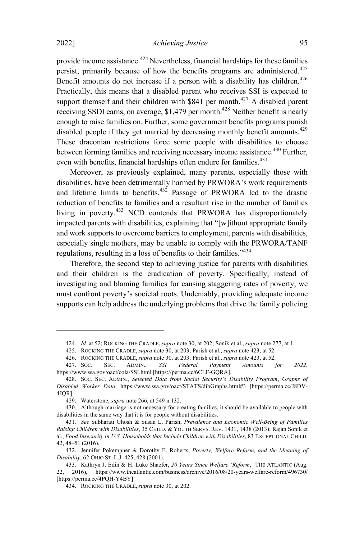provide income assistance.<sup>424</sup> Nevertheless, financial hardships for these families persist, primarily because of how the benefits programs are administered.<sup>425</sup> Benefit amounts do not increase if a person with a disability has children.<sup>426</sup> Practically, this means that a disabled parent who receives SSI is expected to support themself and their children with  $$841$  per month.<sup>427</sup> A disabled parent receiving SSDI earns, on average, \$1,479 per month.<sup>428</sup> Neither benefit is nearly enough to raise families on. Further, some government benefits programs punish disabled people if they get married by decreasing monthly benefit amounts.<sup>429</sup> These draconian restrictions force some people with disabilities to choose between forming families and receiving necessary income assistance. <sup>430</sup> Further, even with benefits, financial hardships often endure for families.<sup>431</sup>

Moreover, as previously explained, many parents, especially those with disabilities, have been detrimentally harmed by PRWORA's work requirements and lifetime limits to benefits.<sup>432</sup> Passage of PRWORA led to the drastic reduction of benefits to families and a resultant rise in the number of families living in poverty.<sup>433</sup> NCD contends that PRWORA has disproportionately impacted parents with disabilities, explaining that "[w]ithout appropriate family and work supports to overcome barriers to employment, parents with disabilities, especially single mothers, may be unable to comply with the PRWORA/TANF regulations, resulting in <sup>a</sup> loss of benefits to their families."<sup>434</sup>

Therefore, the second step to achieving justice for parents with disabilities and their children is the eradication of poverty. Specifically, instead of investigating and blaming families for causing staggering rates of poverty, we must confront poverty's societal roots. Undeniably, providing adequate income supports can help address the underlying problems that drive the family policing

<sup>424</sup>*. Id.* at 52; ROCKING THE CRADLE, *supra* note 30, at 202; Sonik et al., *supra* note 277, at 1.

<sup>425.</sup> ROCKING THE CRADLE, *supra* note 30, at 203; Parish et al., *supra* note 423, at 52.

<sup>426.</sup> ROCKING THE CRADLE, *supra* note 30, at 203; Parish et al., *supra* note 423, at 52.

<sup>427.</sup> SOC. SEC. ADMIN., *SSI Federal Payment Amounts for 2022*, https://www.ssa.gov/oact/cola/SSI.html [https://perma.cc/6CLF-GQRA].

<sup>428.</sup> SOC. SEC. ADMIN., *Selected Data from Social Security's Disability Program*, *Graphs of Disabled Worker Data*, https://www.ssa.gov/oact/STATS/dibGraphs.html#3 [https://perma.cc/J8DV-4JQR].

<sup>429.</sup> Waterstone, *supra* note 266, at 549 n.132.

<sup>430.</sup> Although marriage is not necessary for creating families, it should be available to people with disabilities in the same way that it is for people without disabilities.

<sup>431</sup>*. See* Subharati Ghosh & Susan L. Parish, *Prevalence and Economic Well-Being of Families Raising Children with Disabilities*, 35 CHILD. & YOUTH SERVS. REV. 1431, 1438 (2013); Rajan Sonik et al., *Food Insecurity in U.S. Households that Include Children with Disabilities*, 83 EXCEPTIONAL CHILD. 42, 48–51 (2016).

<sup>432.</sup> Jennifer Pokempner & Dorothy E. Roberts, *Poverty, Welfare Reform, and the Meaning of Disability*, 62 OHIO ST. L.J. 425, 428 (2001).

<sup>433.</sup> Kathryn J. Edin & H. Luke Shaefer, *20 Years Since Welfare 'Reform*,*'* THE ATLANTIC (Aug. 22, 2016), https://www.theatlantic.com/business/archive/2016/08/20-years-welfare-reform/496730/ [https://perma.cc/4PQH-Y4BY].

<sup>434.</sup> ROCKING THE CRADLE, *supra* note 30, at 202.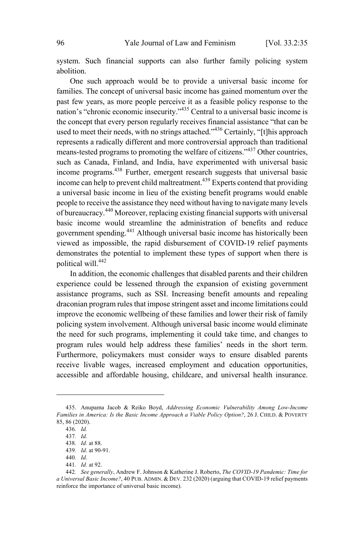system. Such financial supports can also further family policing system abolition.

One such approach would be to provide a universal basic income for families. The concept of universal basic income has gained momentum over the past few years, as more people perceive it as a feasible policy response to the nation's "chronic economic insecurity."<sup>435</sup> Central to <sup>a</sup> universal basic income is the concept that every person regularly receives financial assistance "that can be used to meet their needs, with no strings attached."<sup>436</sup> Certainly, "[t]his approach represents a radically different and more controversial approach than traditional means-tested programs to promoting the welfare of citizens."<sup>437</sup> Other countries, such as Canada, Finland, and India, have experimented with universal basic income programs.<sup>438</sup> Further, emergent research suggests that universal basic income can help to prevent child maltreatment.<sup>439</sup> Experts contend that providing a universal basic income in lieu of the existing benefit programs would enable people to receive the assistance they need without having to navigate many levels of bureaucracy.<sup>440</sup> Moreover, replacing existing financialsupports with universal basic income would streamline the administration of benefits and reduce government spending.<sup>441</sup> Although universal basic income has historically been viewed as impossible, the rapid disbursement of COVID-19 relief payments demonstrates the potential to implement these types of support when there is political will.<sup>442</sup>

In addition, the economic challenges that disabled parents and their children experience could be lessened through the expansion of existing government assistance programs, such as SSI. Increasing benefit amounts and repealing draconian program rules that impose stringent asset and income limitations could improve the economic wellbeing of these families and lower their risk of family policing system involvement. Although universal basic income would eliminate the need for such programs, implementing it could take time, and changes to program rules would help address these families' needs in the short term. Furthermore, policymakers must consider ways to ensure disabled parents receive livable wages, increased employment and education opportunities, accessible and affordable housing, childcare, and universal health insurance.

<sup>435.</sup> Anupama Jacob & Reiko Boyd, *Addressing Economic Vulnerability Among Low-Income Families in America: Is the Basic Income Approach a Viable Policy Option?*, 26 J. CHILD. & POVERTY 85, 86 (2020).

<sup>436</sup>*. Id.*

<sup>437</sup>*. Id*.

<sup>438</sup>*. Id.* at 88.

<sup>439</sup>*. Id*. at 90-91.

<sup>440</sup>*. Id*.

<sup>441</sup>*. Id.* at 92.

<sup>442</sup>*. See generally*, Andrew F. Johnson & Katherine J. Roberto, *The COVID-19 Pandemic: Time for a Universal Basic Income?*, 40 PUB. ADMIN. & DEV. 232 (2020) (arguing that COVID-19 relief payments reinforce the importance of universal basic income).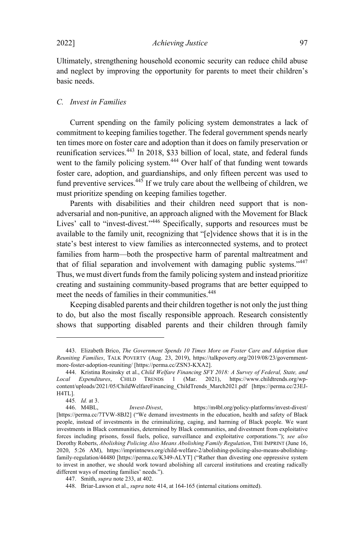Ultimately, strengthening household economic security can reduce child abuse and neglect by improving the opportunity for parents to meet their children's basic needs.

#### *C. Invest in Families*

Current spending on the family policing system demonstrates a lack of commitment to keeping families together. The federal government spends nearly ten times more on foster care and adoption than it does on family preservation or reunification services.<sup>443</sup> In 2018, \$33 billion of local, state, and federal funds went to the family policing system.<sup>444</sup> Over half of that funding went towards foster care, adoption, and guardianships, and only fifteen percent was used to fund preventive services.<sup>445</sup> If we truly care about the wellbeing of children, we must prioritize spending on keeping families together.

Parents with disabilities and their children need support that is nonadversarial and non-punitive, an approach aligned with the Movement for Black Lives' call to "invest-divest."<sup>446</sup> Specifically, supports and resources must be available to the family unit, recognizing that "[e]vidence shows that it is in the state's best interest to view families as interconnected systems, and to protect families from harm—both the prospective harm of parental maltreatment and that of filial separation and involvement with damaging public systems."<sup>447</sup> Thus, we must divert funds from the family policing system and instead prioritize creating and sustaining community-based programs that are better equipped to meet the needs of families in their communities. 448

Keeping disabled parents and their children together is not only the just thing to do, but also the most fiscally responsible approach. Research consistently shows that supporting disabled parents and their children through family

<sup>443.</sup> Elizabeth Brico, *The Government Spends 10 Times More on Foster Care and Adoption than Reuniting Families*, TALK POVERTY (Aug. 23, 2019), https://talkpoverty.org/2019/08/23/governmentmore-foster-adoption-reuniting/ [https://perma.cc/ZSN3-KXA2].

<sup>444.</sup> Kristina Rosinsky et al., *Child Welfare Financing SFY 2018: A Survey of Federal, State, and Local Expenditures*, CHILD TRENDS 1 (Mar. 2021), https://www.childtrends.org/wpcontent/uploads/2021/05/ChildWelfareFinancing\_ChildTrends\_March2021.pdf [https://perma.cc/23EJ-H4TL].

<sup>445</sup>*. Id.* at 3.

<sup>446.</sup> M4BL, *Invest-Divest*, https://m4bl.org/policy-platforms/invest-divest/ [https://perma.cc/7TVW-8BJ2] ("We demand investments in the education, health and safety of Black people, instead of investments in the criminalizing, caging, and harming of Black people. We want investments in Black communities, determined by Black communities, and divestment from exploitative forces including prisons, fossil fuels, police, surveillance and exploitative corporations."); *see also* Dorothy Roberts, *Abolishing Policing Also Means Abolishing Family Regulation*, THE IMPRINT (June 16, 2020, 5:26 AM), https://imprintnews.org/child-welfare-2/abolishing-policing-also-means-abolishingfamily-regulation/44480 [https://perma.cc/K349-ALYT] ("Rather than divesting one oppressive system to invest in another, we should work toward abolishing all carceral institutions and creating radically different ways of meeting families' needs.").

<sup>447.</sup> Smith, *supra* note 233, at 402.

<sup>448.</sup> Briar-Lawson et al., *supra* note 414, at 164-165 (internal citations omitted).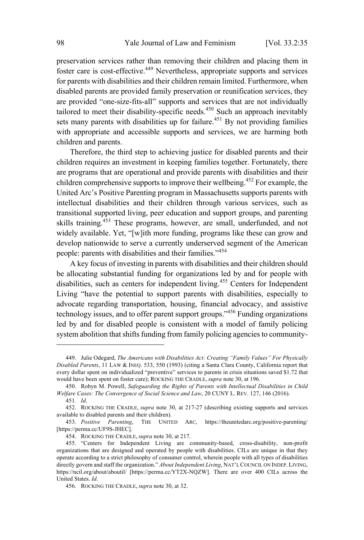preservation services rather than removing their children and placing them in foster care is cost-effective.<sup>449</sup> Nevertheless, appropriate supports and services for parents with disabilities and their children remain limited. Furthermore, when disabled parents are provided family preservation or reunification services, they are provided "one-size-fits-all" supports and services that are not individually tailored to meet their disability-specific needs.<sup>450</sup> Such an approach inevitably sets many parents with disabilities up for failure.<sup>451</sup> By not providing families with appropriate and accessible supports and services, we are harming both children and parents.

Therefore, the third step to achieving justice for disabled parents and their children requires an investment in keeping families together. Fortunately, there are programs that are operational and provide parents with disabilities and their children comprehensive supports to improve their wellbeing. <sup>452</sup> For example, the United Arc's Positive Parenting program in Massachusetts supports parents with intellectual disabilities and their children through various services, such as transitional supported living, peer education and support groups, and parenting skills training.<sup>453</sup> These programs, however, are small, underfunded, and not widely available. Yet, "[w]ith more funding, programs like these can grow and develop nationwide to serve a currently underserved segment of the American people: parents with disabilities and their families."<sup>454</sup>

A key focus of investing in parents with disabilities and their children should be allocating substantial funding for organizations led by and for people with disabilities, such as centers for independent living. <sup>455</sup> Centers for Independent Living "have the potential to support parents with disabilities, especially to advocate regarding transportation, housing, financial advocacy, and assistive technology issues, and to offer parent support groups."<sup>456</sup> Funding organizations led by and for disabled people is consistent with a model of family policing system abolition that shifts funding from family policing agencies to community-

<sup>449.</sup> Julie Odegard, *The Americans with Disabilities Act: Creating "Family Values" For Physically Disabled Parents*, 11 LAW & INEQ. 533, 550 (1993) (citing a Santa Clara County, California report that every dollar spent on individualized "preventive" services to parents in crisis situations saved \$1.72 that would have been spent on foster care); ROCKING THE CRADLE, *supra* note 30, at 196.

<sup>450.</sup> Robyn M. Powell, *Safeguarding the Rights of Parents with Intellectual Disabilities in Child Welfare Cases: The Convergence of Social Science and Law*, 20 CUNY L. REV. 127, 146 (2016). 451*. Id*.

<sup>452.</sup> ROCKING THE CRADLE, *supra* note 30, at 217-27 (describing existing supports and services

available to disabled parents and their children).<br>453. Positive Parenting, THE UNITI THE UNITED ARC, https://theunitedarc.org/positive-parenting/ [https://perma.cc/UF9S-JHEC].

<sup>454.</sup> ROCKING THE CRADLE, *supra* note 30, at 217.

<sup>455.</sup> "Centers for Independent Living are community-based, cross-disability, non-profit organizations that are designed and operated by people with disabilities. CILs are unique in that they operate according to a strict philosophy of consumer control, wherein people with all types of disabilities directly govern and staff the organization." *About Independent Living*, NAT'LCOUNCIL ON INDEP. LIVING, https://ncil.org/about/aboutil/ [https://perma.cc/YT2X-NQZW]. There are over 400 CILs across the United States. *Id*.

<sup>456.</sup> ROCKING THE CRADLE, *supra* note 30, at 32.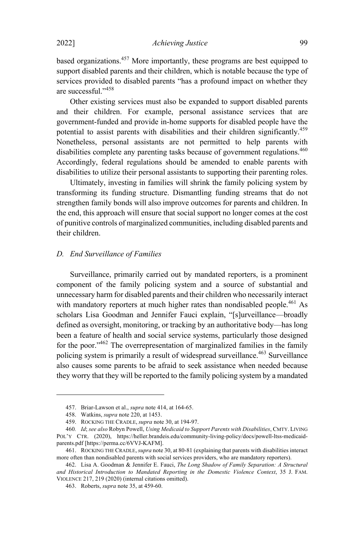based organizations.<sup>457</sup> More importantly, these programs are best equipped to support disabled parents and their children, which is notable because the type of services provided to disabled parents "has a profound impact on whether they are successful."<sup>458</sup>

Other existing services must also be expanded to support disabled parents and their children. For example, personal assistance services that are government-funded and provide in-home supports for disabled people have the potential to assist parents with disabilities and their children significantly.<sup>459</sup> Nonetheless, personal assistants are not permitted to help parents with disabilities complete any parenting tasks because of government regulations.<sup>460</sup> Accordingly, federal regulations should be amended to enable parents with disabilities to utilize their personal assistants to supporting their parenting roles.

Ultimately, investing in families will shrink the family policing system by transforming its funding structure. Dismantling funding streams that do not strengthen family bonds will also improve outcomes for parents and children. In the end, this approach will ensure that social support no longer comes at the cost of punitive controls of marginalized communities, including disabled parents and their children.

## *D. End Surveillance of Families*

Surveillance, primarily carried out by mandated reporters, is a prominent component of the family policing system and a source of substantial and unnecessary harm for disabled parents and their children who necessarily interact with mandatory reporters at much higher rates than nondisabled people.<sup>461</sup> As scholars Lisa Goodman and Jennifer Fauci explain, "[s]urveillance—broadly defined as oversight, monitoring, or tracking by an authoritative body—has long been a feature of health and social service systems, particularly those designed for the poor.<sup>3462</sup> The overrepresentation of marginalized families in the family policing system is primarily a result of widespread surveillance. <sup>463</sup> Surveillance also causes some parents to be afraid to seek assistance when needed because they worry that they will be reported to the family policing system by a mandated

<sup>457.</sup> Briar-Lawson et al., *supra* note 414, at 164-65.

<sup>458.</sup> Watkins, *supra* note 220, at 1453.

<sup>459.</sup> ROCKING THE CRADLE, *supra* note 30, at 194-97.

<sup>460</sup>*. Id*; *see also* Robyn Powell, *Using Medicaid to Support Parents with Disabilities*, CMTY. LIVING POL'Y CTR. (2020), https://heller.brandeis.edu/community-living-policy/docs/powell-ltss-medicaidparents.pdf [https://perma.cc/6VVJ-KAFM].

<sup>461.</sup> ROCKING THECRADLE, *supra* note 30, at 80-81 (explaining that parents with disabilities interact more often than nondisabled parents with social services providers, who are mandatory reporters).

<sup>462.</sup> Lisa A. Goodman & Jennifer E. Fauci, *The Long Shadow of Family Separation: A Structural and Historical Introduction to Mandated Reporting in the Domestic Violence Context*, 35 J. FAM. VIOLENCE 217, 219 (2020) (internal citations omitted).

<sup>463.</sup> Roberts, *supra* note 35, at 459-60.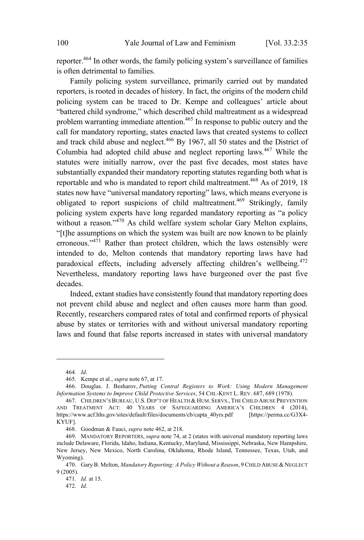reporter.<sup>464</sup> In other words, the family policing system's surveillance of families is often detrimental to families.

Family policing system surveillance, primarily carried out by mandated reporters, is rooted in decades of history. In fact, the origins of the modern child policing system can be traced to Dr. Kempe and colleagues' article about "battered child syndrome," which described child maltreatment as a widespread problem warranting immediate attention. <sup>465</sup> In response to public outcry and the call for mandatory reporting, states enacted laws that created systems to collect and track child abuse and neglect. <sup>466</sup> By 1967, all <sup>50</sup> states and the District of Columbia had adopted child abuse and neglect reporting laws. <sup>467</sup> While the statutes were initially narrow, over the past five decades, most states have substantially expanded their mandatory reporting statutes regarding both what is reportable and who is mandated to report child maltreatment.<sup>468</sup> As of 2019, 18 states now have "universal mandatory reporting" laws, which means everyone is obligated to report suspicions of child maltreatment.<sup>469</sup> Strikingly, family policing system experts have long regarded mandatory reporting as "a policy without a reason." <sup>470</sup> As child welfare system scholar Gary Melton explains, "[t]he assumptions on which the system was built are now known to be plainly erroneous."<sup>471</sup> Rather than protect children, which the laws ostensibly were intended to do, Melton contends that mandatory reporting laws have had paradoxical effects, including adversely affecting children's wellbeing.<sup>472</sup> Nevertheless, mandatory reporting laws have burgeoned over the past five decades.

Indeed, extant studies have consistently found that mandatory reporting does not prevent child abuse and neglect and often causes more harm than good. Recently, researchers compared rates of total and confirmed reports of physical abuse by states or territories with and without universal mandatory reporting laws and found that false reports increased in states with universal mandatory

<sup>464</sup>*. Id*.

<sup>465.</sup> Kempe et al., *supra* note 67, at 17.

<sup>466.</sup> Douglas. J. Besharov, *Putting Central Registers to Work: Using Modern Management Information Systems to Improve Child Protective Services*, 54 CHI.-KENT L. REV. 687, 689 (1978).

<sup>467.</sup> CHILDREN'SBUREAU, U.S. DEP'T OF HEALTH & HUM. SERVS., THECHILD ABUSE PREVENTION AND TREATMENT ACT: 40 YEARS OF SAFEGUARDING AMERICA'S CHILDREN 4 (2014), https://www.acf.hhs.gov/sites/default/files/documents/cb/capta\_40yrs.pdf [https://perma.cc/G3X4- KYUF].

<sup>468.</sup> Goodman & Fauci, *supra* note 462, at 218.

<sup>469.</sup> MANDATORY REPORTERS, *supra* note 74, at 2 (states with universal mandatory reporting laws include Delaware, Florida, Idaho, Indiana, Kentucky, Maryland, Mississippi, Nebraska, New Hampshire, New Jersey, New Mexico, North Carolina, Oklahoma, Rhode Island, Tennessee, Texas, Utah, and Wyoming).

<sup>470.</sup> Gary B. Melton, *Mandatory Reporting: A Policy Without a Reason*, 9 CHILD ABUSE & NEGLECT 9 (2005).

<sup>471</sup>*. Id.* at 15.

<sup>472</sup>*. Id*.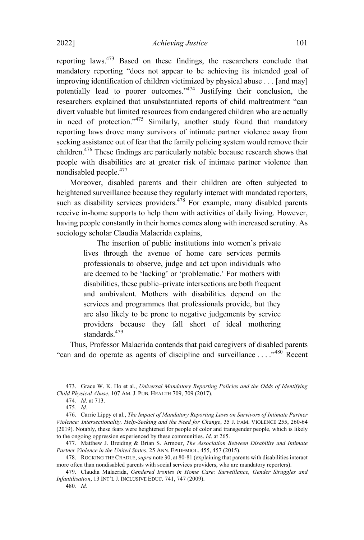reporting laws.<sup>473</sup> Based on these findings, the researchers conclude that mandatory reporting "does not appear to be achieving its intended goal of improving identification of children victimized by physical abuse . . . [and may] potentially lead to poorer outcomes."<sup>474</sup> Justifying their conclusion, the researchers explained that unsubstantiated reports of child maltreatment "can divert valuable but limited resources from endangered children who are actually in need of protection." $475$  Similarly, another study found that mandatory reporting laws drove many survivors of intimate partner violence away from seeking assistance out of fear that the family policing system would remove their children. <sup>476</sup> These findings are particularly notable because research shows that people with disabilities are at greater risk of intimate partner violence than nondisabled people. $477$ 

Moreover, disabled parents and their children are often subjected to heightened surveillance because they regularly interact with mandated reporters, such as disability services providers.<sup>478</sup> For example, many disabled parents receive in-home supports to help them with activities of daily living. However, having people constantly in their homes comes along with increased scrutiny. As sociology scholar Claudia Malacrida explains,

> The insertion of public institutions into women's private lives through the avenue of home care services permits professionals to observe, judge and act upon individuals who are deemed to be 'lacking' or 'problematic.' For mothers with disabilities, these public–private intersections are both frequent and ambivalent. Mothers with disabilities depend on the services and programmes that professionals provide, but they are also likely to be prone to negative judgements by service providers because they fall short of ideal mothering standards.<sup>479</sup>

Thus, Professor Malacrida contends that paid caregivers of disabled parents "can and do operate as agents of discipline and surveillance ...  $\cdot^{480}$  Recent

<sup>473.</sup> Grace W. K. Ho et al., *Universal Mandatory Reporting Policies and the Odds of Identifying Child Physical Abuse*, 107 AM. J. PUB. HEALTH 709, 709 (2017).

<sup>474</sup>*. Id*. at 713.

<sup>475</sup>*. Id.*

<sup>476.</sup> Carrie Lippy et al., *The Impact of Mandatory Reporting Laws on Survivors of Intimate Partner Violence: Intersectionality, Help-Seeking and the Need for Change*, 35 J. FAM. VIOLENCE 255, 260-64 (2019). Notably, these fears were heightened for people of color and transgender people, which is likely to the ongoing oppression experienced by these communities. *Id*. at 265.

<sup>477.</sup> Matthew J. Breiding & Brian S. Armour, *The Association Between Disability and Intimate Partner Violence in the United States*, 25 ANN. EPIDEMIOL. 455, 457 (2015).

<sup>478.</sup> ROCKING THECRADLE, *supra* note 30, at 80-81 (explaining that parents with disabilities interact more often than nondisabled parents with social services providers, who are mandatory reporters).

<sup>479.</sup> Claudia Malacrida, *Gendered Ironies in Home Care: Surveillance, Gender Struggles and Infantilisation*, 13 INT'<sup>L</sup> J. INCLUSIVE EDUC. 741, 747 (2009).

<sup>480</sup>*. Id.*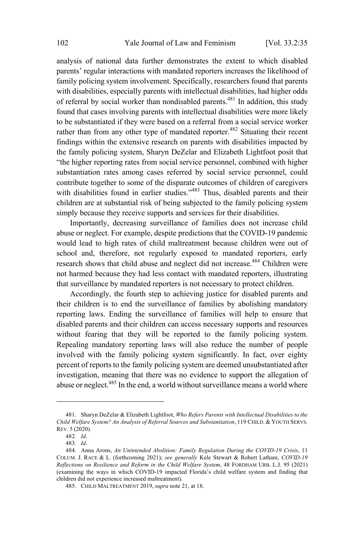analysis of national data further demonstrates the extent to which disabled parents' regular interactions with mandated reporters increases the likelihood of family policing system involvement. Specifically, researchers found that parents with disabilities, especially parents with intellectual disabilities, had higher odds of referral by social worker than nondisabled parents. <sup>481</sup> In addition, this study found that cases involving parents with intellectual disabilities were more likely to be substantiated if they were based on a referral from a social service worker rather than from any other type of mandated reporter.<sup>482</sup> Situating their recent findings within the extensive research on parents with disabilities impacted by the family policing system, Sharyn DeZelar and Elizabeth Lightfoot posit that "the higher reporting rates from social service personnel, combined with higher substantiation rates among cases referred by social service personnel, could contribute together to some of the disparate outcomes of children of caregivers with disabilities found in earlier studies."<sup>483</sup> Thus, disabled parents and their children are at substantial risk of being subjected to the family policing system simply because they receive supports and services for their disabilities.

Importantly, decreasing surveillance of families does not increase child abuse or neglect. For example, despite predictions that the COVID-19 pandemic would lead to high rates of child maltreatment because children were out of school and, therefore, not regularly exposed to mandated reporters, early research shows that child abuse and neglect did not increase.<sup>484</sup> Children were not harmed because they had less contact with mandated reporters, illustrating that surveillance by mandated reporters is not necessary to protect children.

Accordingly, the fourth step to achieving justice for disabled parents and their children is to end the surveillance of families by abolishing mandatory reporting laws. Ending the surveillance of families will help to ensure that disabled parents and their children can access necessary supports and resources without fearing that they will be reported to the family policing system. Repealing mandatory reporting laws will also reduce the number of people involved with the family policing system significantly. In fact, over eighty percent of reports to the family policing system are deemed unsubstantiated after investigation, meaning that there was no evidence to support the allegation of abuse or neglect.<sup>485</sup> In the end, a world without surveillance means a world where

<sup>481.</sup> Sharyn DeZelar & Elizabeth Lightfoot, *Who Refers Parents with Intellectual Disabilities to the Child Welfare System? An Analysis of Referral Sources and Substantiation*, 119 CHILD. & YOUTH SERVS. REV. 5 (2020).

<sup>482</sup>*. Id*.

<sup>483</sup>*. Id*.

<sup>484.</sup> Anna Arons, *An Unintended Abolition: Family Regulation During the COVID-19 Crisis*, 11 COLUM. J. RACE & L. (forthcoming 2021); *see generally* Kele Stewart & Robert Latham, *COVID-19 Reflections on Resilience and Reform in the Child Welfare System*, 48 FORDHAM URB. L.J. 95 (2021) (examining the ways in which COVID-19 impacted Florida's child welfare system and finding that children did not experience increased maltreatment).

<sup>485.</sup> CHILD MALTREATMENT 2019, *supra* note 21, at 18.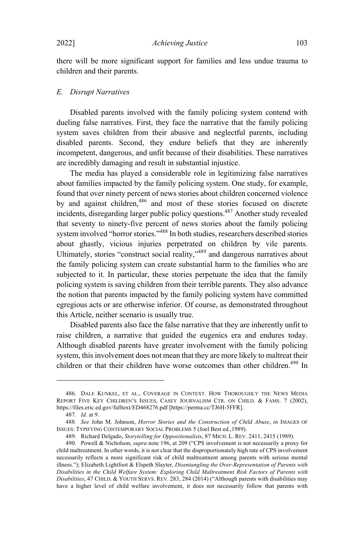there will be more significant support for families and less undue trauma to children and their parents.

### *E. Disrupt Narratives*

Disabled parents involved with the family policing system contend with dueling false narratives. First, they face the narrative that the family policing system saves children from their abusive and neglectful parents, including disabled parents. Second, they endure beliefs that they are inherently incompetent, dangerous, and unfit because of their disabilities. These narratives are incredibly damaging and result in substantial injustice.

The media has played a considerable role in legitimizing false narratives about families impacted by the family policing system. One study, for example, found that over ninety percent of news stories about children concerned violence by and against children,<sup>486</sup> and most of these stories focused on discrete incidents, disregarding larger public policy questions.<sup>487</sup> Another study revealed that seventy to ninety-five percent of news stories about the family policing system involved "horror stories." <sup>488</sup> In both studies, researchers described stories about ghastly, vicious injuries perpetrated on children by vile parents. Ultimately, stories "construct social reality,"<sup>489</sup> and dangerous narratives about the family policing system can create substantial harm to the families who are subjected to it. In particular, these stories perpetuate the idea that the family policing system is saving children from their terrible parents. They also advance the notion that parents impacted by the family policing system have committed egregious acts or are otherwise inferior. Of course, as demonstrated throughout this Article, neither scenario is usually true.

Disabled parents also face the false narrative that they are inherently unfit to raise children, a narrative that guided the eugenics era and endures today. Although disabled parents have greater involvement with the family policing system, this involvement does not mean that they are more likely to maltreat their children or that their children have worse outcomes than other children.<sup>490</sup> In

<sup>486.</sup> DALE KUNKEL, ET AL., COVERAGE IN CONTEXT. HOW THOROUGHLY THE NEWS MEDIA REPORT FIVE KEY CHILDREN'S ISSUES, CASEY JOURNALISM CTR. ON CHILD. & FAMS. 7 (2002), https://files.eric.ed.gov/fulltext/ED468276.pdf [https://perma.cc/TJ6H-5FFR].

<sup>487</sup>*. Id*. at 9.

<sup>488</sup>*. See* John M. Johnson, *Horror Stories and the Construction of Child Abuse*, *in* IMAGES OF ISSUES: TYPIFYING CONTEMPORARY SOCIAL PROBLEMS 5 (Joel Best ed.,1989).

<sup>489.</sup> Richard Delgado, *Storytelling for Oppositionalists*, 87 MICH. L. REV. 2411, 2415 (1989).

<sup>490.</sup> Powell & Nicholson, *supra* note 196, at 209 ("CPS involvement is not necessarily a proxy for child maltreatment. In other words, it is not clear that the disproportionately high rate of CPS involvement necessarily reflects a more significant risk of child maltreatment among parents with serious mental illness."); Elizabeth Lightfoot & Elspeth Slayter, *Disentangling the Over-Representation of Parents with Disabilities in the Child Welfare System: Exploring Child Maltreatment Risk Factors of Parents with Disabilities*, 47 CHILD. & YOUTH SERVS. REV. 283, 284 (2014) ("Although parents with disabilities may have a higher level of child welfare involvement, it does not necessarily follow that parents with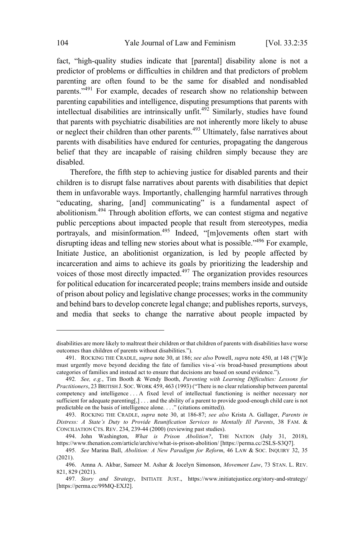fact, "high-quality studies indicate that [parental] disability alone is not a predictor of problems or difficulties in children and that predictors of problem parenting are often found to be the same for disabled and nondisabled parents."<sup>491</sup> For example, decades of research show no relationship between parenting capabilities and intelligence, disputing presumptions that parents with intellectual disabilities are intrinsically unfit.<sup>492</sup> Similarly, studies have found that parents with psychiatric disabilities are not inherently more likely to abuse or neglect their children than other parents.<sup>493</sup> Ultimately, false narratives about parents with disabilities have endured for centuries, propagating the dangerous belief that they are incapable of raising children simply because they are disabled.

Therefore, the fifth step to achieving justice for disabled parents and their children is to disrupt false narratives about parents with disabilities that depict them in unfavorable ways. Importantly, challenging harmful narratives through "educating, sharing, [and] communicating" is a fundamental aspect of abolitionism. <sup>494</sup> Through abolition efforts, we can contest stigma and negative public perceptions about impacted people that result from stereotypes, media portrayals, and misinformation.<sup>495</sup> Indeed, "[m]ovements often start with disrupting ideas and telling new stories about what is possible."<sup>496</sup> For example, Initiate Justice, an abolitionist organization, is led by people affected by incarceration and aims to achieve its goals by prioritizing the leadership and voices of those most directly impacted.<sup>497</sup> The organization provides resources for political education for incarcerated people; trains members inside and outside of prison about policy and legislative change processes; works in the community and behind bars to develop concrete legal change; and publishes reports, surveys, and media that seeks to change the narrative about people impacted by

disabilities are more likely to maltreat their children or that children of parents with disabilities have worse outcomes than children of parents without disabilities.").

<sup>491.</sup> ROCKING THE CRADLE, *supra* note 30, at 186; *see also* Powell, *supra* note 450, at 148 ("[W]e must urgently move beyond deciding the fate of families vis-a`-vis broad-based presumptions about categories of families and instead act to ensure that decisions are based on sound evidence.").

<sup>492</sup>*. See, e.g.*, Tim Booth & Wendy Booth, *Parenting with Learning Difficulties: Lessons for Practitioners*, 23 BRITISH J. SOC. WORK 459, 463 (1993) ("There is no clear relationship between parental competency and intelligence . . . A fixed level of intellectual functioning is neither necessary nor sufficient for adequate parenting[,] . . . and the ability of a parent to provide good-enough child care is not predictable on the basis of intelligence alone. . . ." (citations omitted)).

<sup>493.</sup> ROCKING THE CRADLE, *supra* note 30, at 186-87; *see also* Krista A. Gallager, *Parents in Distress: A State's Duty to Provide Reunification Services to Mentally Ill Parents*, 38 FAM. & CONCILIATION CTS. REV. 234, 239-44 (2000) (reviewing past studies).

<sup>494.</sup> John Washington, *What is Prison Abolition?*, THE NATION (July 31, 2018), https://www.thenation.com/article/archive/what-is-prison-abolition/ [https://perma.cc/2SLS-S3Q7].

<sup>495</sup>*. See* Marina Ball, *Abolition: A New Paradigm for Reform*, 46 LAW & SOC. INQUIRY 32, 35 (2021).

<sup>496.</sup> Amna A. Akbar, Sameer M. Ashar & Jocelyn Simonson, *Movement Law*, 73 STAN. L. REV. 821, 829 (2021).

<sup>497</sup>*. Story and Strategy*, INITIATE JUST., https://www.initiatejustice.org/story-and-strategy/ [https://perma.cc/99MQ-EXJ2].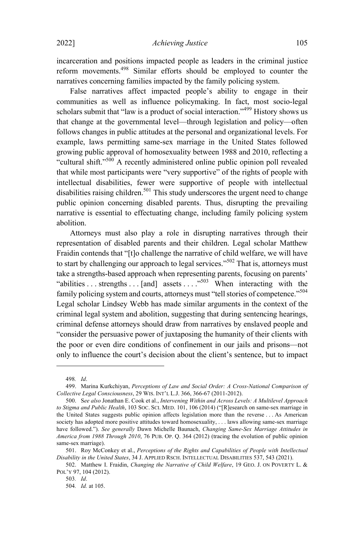incarceration and positions impacted people as leaders in the criminal justice reform movements.<sup>498</sup> Similar efforts should be employed to counter the narratives concerning families impacted by the family policing system.

False narratives affect impacted people's ability to engage in their communities as well as influence policymaking. In fact, most socio-legal scholars submit that "law is a product of social interaction."<sup>499</sup> History shows us that change at the governmental level—through legislation and policy—often follows changes in public attitudes at the personal and organizational levels. For example, laws permitting same-sex marriage in the United States followed growing public approval of homosexuality between 1988 and 2010, reflecting a "cultural shift."<sup>500</sup> <sup>A</sup> recently administered online public opinion poll revealed that while most participants were "very supportive" of the rights of people with intellectual disabilities, fewer were supportive of people with intellectual disabilities raising children.<sup>501</sup> This study underscores the urgent need to change public opinion concerning disabled parents. Thus, disrupting the prevailing narrative is essential to effectuating change, including family policing system abolition.

Attorneys must also play a role in disrupting narratives through their representation of disabled parents and their children. Legal scholar Matthew Fraidin contends that "[t]o challenge the narrative of child welfare, we will have to start by challenging our approach to legal services."<sup>502</sup> That is, attorneys must take a strengths-based approach when representing parents, focusing on parents' "abilities . . . strengths . . . [and] assets . . . .  $\cdot$  . When interacting with the family policing system and courts, attorneys must "tell stories of competence."<sup>504</sup> Legal scholar Lindsey Webb has made similar arguments in the context of the criminal legal system and abolition, suggesting that during sentencing hearings, criminal defense attorneys should draw from narratives by enslaved people and "consider the persuasive power of juxtaposing the humanity of their clients with the poor or even dire conditions of confinement in our jails and prisons—not only to influence the court's decision about the client's sentence, but to impact

<sup>498</sup>*. Id*.

<sup>499.</sup> Marina Kurkchiyan, *Perceptions of Law and Social Order: A Cross-National Comparison of Collective Legal Consciousness*, 29 WIS. INT'<sup>L</sup> L.J. 366, 366-67 (2011-2012).

<sup>500.</sup> S*ee also* Jonathan E. Cook et al., *Intervening Within and Across Levels: A Multilevel Approach to Stigma and Public Health*, 103 SOC. SCI. MED. 101, 106 (2014) ("[R]esearch on same-sex marriage in the United States suggests public opinion affects legislation more than the reverse . . . As American society has adopted more positive attitudes toward homosexuality, . . . laws allowing same-sex marriage have followed."). *See generally* Dawn Michelle Baunach, *Changing Same-Sex Marriage Attitudes in America from 1988 Through 2010*, 76 PUB. OP. Q. 364 (2012) (tracing the evolution of public opinion same-sex marriage).

<sup>501.</sup> Roy McConkey et al., *Perceptions of the Rights and Capabilities of People with Intellectual Disability in the United States*, 34 J. APPLIED RSCH. INTELLECTUAL DISABILITIES 537, 543 (2021).

<sup>502.</sup> Matthew I. Fraidin, *Changing the Narrative of Child Welfare*, 19 GEO. J. ON POVERTY L. & POL'Y 97, 104 (2012).

<sup>503</sup>*. Id*.

<sup>504</sup>*. Id.* at 105.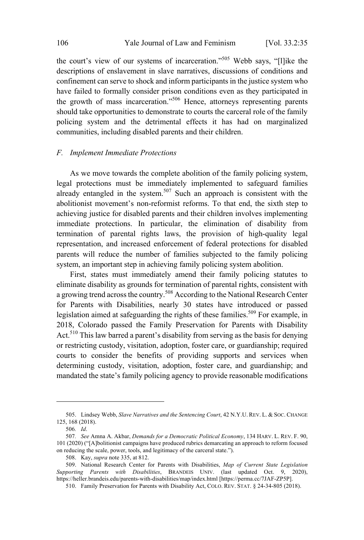the court's view of our systems of incarceration."<sup>505</sup> Webb says, "[l]ike the descriptions of enslavement in slave narratives, discussions of conditions and confinement can serve to shock and inform participants in the justice system who have failed to formally consider prison conditions even as they participated in the growth of mass incarceration."<sup>506</sup> Hence, attorneys representing parents should take opportunities to demonstrate to courts the carceral role of the family policing system and the detrimental effects it has had on marginalized communities, including disabled parents and their children.

#### *F. Implement Immediate Protections*

As we move towards the complete abolition of the family policing system, legal protections must be immediately implemented to safeguard families already entangled in the system. <sup>507</sup> Such an approach is consistent with the abolitionist movement's non-reformist reforms. To that end, the sixth step to achieving justice for disabled parents and their children involves implementing immediate protections. In particular, the elimination of disability from termination of parental rights laws, the provision of high-quality legal representation, and increased enforcement of federal protections for disabled parents will reduce the number of families subjected to the family policing system, an important step in achieving family policing system abolition.

First, states must immediately amend their family policing statutes to eliminate disability as grounds for termination of parental rights, consistent with a growing trend across the country.<sup>508</sup> According to the National Research Center for Parents with Disabilities, nearly 30 states have introduced or passed legislation aimed at safeguarding the rights of these families.<sup>509</sup> For example, in 2018, Colorado passed the Family Preservation for Parents with Disability Act.<sup>510</sup> This law barred a parent's disability from serving as the basis for denying or restricting custody, visitation, adoption, foster care, or guardianship; required courts to consider the benefits of providing supports and services when determining custody, visitation, adoption, foster care, and guardianship; and mandated the state's family policing agency to provide reasonable modifications

<sup>505.</sup> Lindsey Webb, *Slave Narratives and the Sentencing Court*, 42 N.Y.U. REV. L. & SOC. CHANGE 125, 168 (2018).

<sup>506</sup>*. Id*.

<sup>507</sup>*. See* Amna A. Akbar, *Demands for a Democratic Political Economy*, 134 HARV. L. REV. F. 90, 101 (2020) ("[A]bolitionist campaigns have produced rubrics demarcating an approach to reform focused on reducing the scale, power, tools, and legitimacy of the carceral state.").

<sup>508.</sup> Kay, *supra* note 335, at 812.

<sup>509.</sup> National Research Center for Parents with Disabilities, *Map of Current State Legislation Supporting Parents with Disabilities*, BRANDEIS UNIV. (last updated Oct. 9, 2020), https://heller.brandeis.edu/parents-with-disabilities/map/index.html [https://perma.cc/7JAF-ZP5P].

<sup>510.</sup> Family Preservation for Parents with Disability Act, COLO. REV. STAT. § 24-34-805 (2018).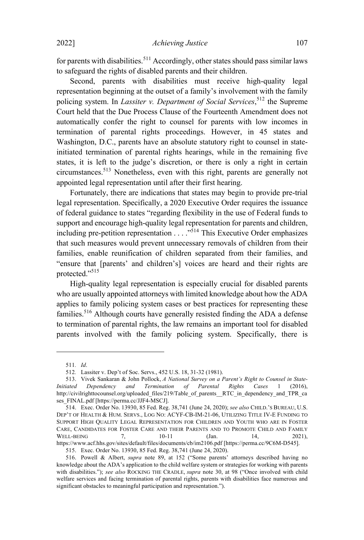for parents with disabilities.<sup>511</sup> Accordingly, other states should pass similar laws to safeguard the rights of disabled parents and their children.

Second, parents with disabilities must receive high-quality legal representation beginning at the outset of a family's involvement with the family policing system. In *Lassiter v. Department of Social Services*, <sup>512</sup> the Supreme Court held that the Due Process Clause of the Fourteenth Amendment does not automatically confer the right to counsel for parents with low incomes in termination of parental rights proceedings. However, in 45 states and Washington, D.C., parents have an absolute statutory right to counsel in stateinitiated termination of parental rights hearings, while in the remaining five states, it is left to the judge's discretion, or there is only a right in certain circumstances.<sup>513</sup> Nonetheless, even with this right, parents are generally not appointed legal representation until after their first hearing.

Fortunately, there are indications that states may begin to provide pre-trial legal representation. Specifically, a 2020 Executive Order requires the issuance of federal guidance to states "regarding flexibility in the use of Federal funds to support and encourage high-quality legal representation for parents and children, including pre-petition representation  $\ldots$ <sup>514</sup>. This Executive Order emphasizes that such measures would prevent unnecessary removals of children from their families, enable reunification of children separated from their families, and "ensure that [parents' and children's] voices are heard and their rights are protected."<sup>515</sup>

High-quality legal representation is especially crucial for disabled parents who are usually appointed attorneys with limited knowledge about how the ADA applies to family policing system cases or best practices for representing these families.<sup>516</sup> Although courts have generally resisted finding the ADA a defense to termination of parental rights, the law remains an important tool for disabled parents involved with the family policing system. Specifically, there is

<sup>511</sup>*. Id*.

<sup>512</sup>*.* Lassiter v. Dep't of Soc. Servs., 452 U.S. 18, 31-32 (1981).

<sup>513.</sup> Vivek Sankaran & John Pollock, *A National Survey on a Parent's Right to Counsel in State-Initiated Dependency and Termination of Parental Rights Cases* 1 (2016), http://civilrighttocounsel.org/uploaded\_files/219/Table\_of\_parents\_\_RTC\_in\_dependency\_and\_TPR\_ca ses\_FINAL.pdf [https://perma.cc/JJF4-MSCJ].

<sup>514.</sup> Exec. Order No. 13930, 85 Fed. Reg. 38,741 (June 24, 2020); *see also* CHILD.'<sup>S</sup> BUREAU, U.S. DEP'T OF HEALTH & HUM. SERVS., LOG NO: ACYF-CB-IM-21-06, UTILIZING TITLE IV-E FUNDING TO SUPPORT HIGH QUALITY LEGAL REPRESENTATION FOR CHILDREN AND YOUTH WHO ARE IN FOSTER CARE, CANDIDATES FOR FOSTER CARE AND THEIR PARENTS AND TO PROMOTE CHILD AND FAMILY WELL-BEING 7, 10-11 (Jan. 14, 2021), WELL-BEING 7, 10-11 (Jan. 14, 2021), https://www.acf.hhs.gov/sites/default/files/documents/cb/im2106.pdf [https://perma.cc/9C6M-D545].

<sup>515.</sup> Exec. Order No. 13930, 85 Fed. Reg. 38,741 (June 24, 2020).

<sup>516.</sup> Powell & Albert, *supra* note 89, at 152 ("Some parents' attorneys described having no knowledge about the ADA's application to the child welfare system or strategies for working with parents with disabilities."); *see also* ROCKING THE CRADLE, *supra* note 30, at 98 ("Once involved with child welfare services and facing termination of parental rights, parents with disabilities face numerous and significant obstacles to meaningful participation and representation.").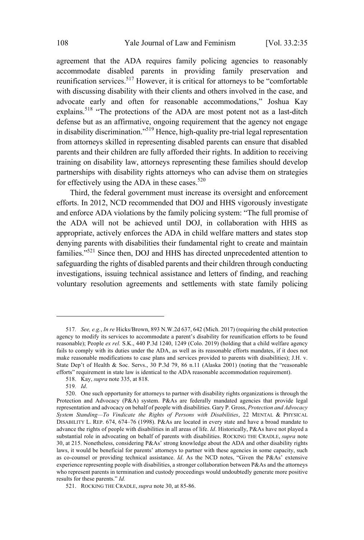agreement that the ADA requires family policing agencies to reasonably accommodate disabled parents in providing family preservation and reunification services.<sup>517</sup> However, it is critical for attorneys to be "comfortable with discussing disability with their clients and others involved in the case, and advocate early and often for reasonable accommodations," Joshua Kay explains.<sup>518</sup> "The protections of the ADA are most potent not as a last-ditch defense but as an affirmative, ongoing requirement that the agency not engage in disability discrimination."<sup>519</sup> Hence, high-quality pre-trial legal representation from attorneys skilled in representing disabled parents can ensure that disabled parents and their children are fully afforded their rights. In addition to receiving training on disability law, attorneys representing these families should develop partnerships with disability rights attorneys who can advise them on strategies for effectively using the ADA in these cases.<sup>520</sup>

Third, the federal government must increase its oversight and enforcement efforts. In 2012, NCD recommended that DOJ and HHS vigorously investigate and enforce ADA violations by the family policing system: "The full promise of the ADA will not be achieved until DOJ, in collaboration with HHS as appropriate, actively enforces the ADA in child welfare matters and states stop denying parents with disabilities their fundamental right to create and maintain families."<sup>521</sup> Since then, DOJ and HHS has directed unprecedented attention to safeguarding the rights of disabled parents and their children through conducting investigations, issuing technical assistance and letters of finding, and reaching voluntary resolution agreements and settlements with state family policing

<sup>517</sup>*. See, e.g.*, *In re* Hicks/Brown, 893 N.W.2d 637, 642 (Mich. 2017) (requiring the child protection agency to modify its services to accommodate a parent's disability for reunification efforts to be found reasonable); People *ex rel.* S.K., 440 P.3d 1240, 1249 (Colo. 2019) (holding that a child welfare agency fails to comply with its duties under the ADA, as well as its reasonable efforts mandates, if it does not make reasonable modifications to case plans and services provided to parents with disabilities); J.H. v. State Dep't of Health & Soc. Servs., 30 P.3d 79, 86 n.11 (Alaska 2001) (noting that the "reasonable efforts" requirement in state law is identical to the ADA reasonable accommodation requirement).

<sup>518.</sup> Kay, *supra* note 335, at 818.

<sup>519</sup>*. Id*.

<sup>520.</sup> One such opportunity for attorneys to partner with disability rights organizations is through the Protection and Advocacy (P&A) system. P&As are federally mandated agencies that provide legal representation and advocacy on behalf of people with disabilities. Gary P. Gross, *Protection and Advocacy System Standing—To Vindicate the Rights of Persons with Disabilities*, 22 MENTAL & PHYSICAL DISABILITY L. REP. 674, 674–76 (1998). P&As are located in every state and have a broad mandate to advance the rights of people with disabilities in all areas of life. *Id*. Historically, P&As have not played a substantial role in advocating on behalf of parents with disabilities. ROCKING THE CRADLE, *supra* note 30, at 215. Nonetheless, considering P&As' strong knowledge about the ADA and other disability rights laws, it would be beneficial for parents' attorneys to partner with these agencies in some capacity, such as co-counsel or providing technical assistance. *Id*. As the NCD notes, "Given the P&As' extensive experience representing people with disabilities, a stronger collaboration between P&As and the attorneys who represent parents in termination and custody proceedings would undoubtedly generate more positive results for these parents." *Id.*

<sup>521.</sup> ROCKING THE CRADLE, *supra* note 30, at 85-86.